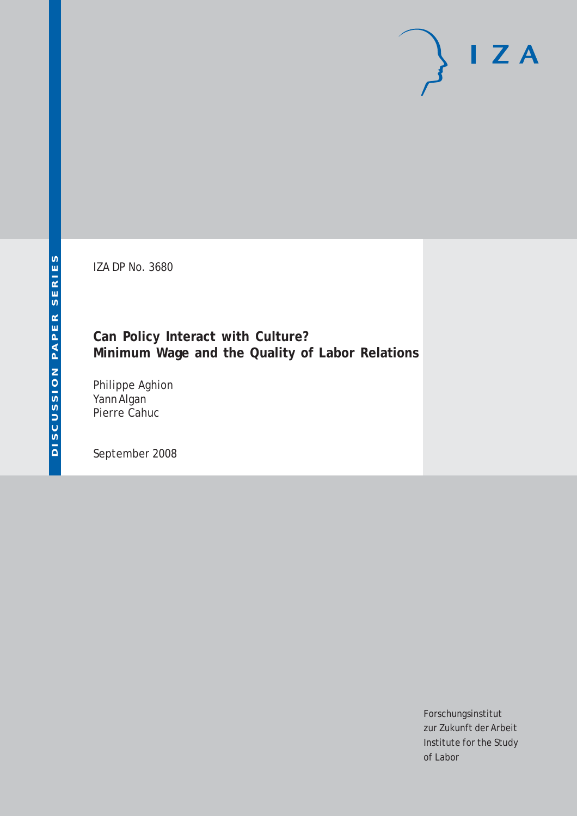IZA DP No. 3680

# **Can Policy Interact with Culture? Minimum Wage and the Quality of Labor Relations**

Philippe Aghion Yann Algan Pierre Cahuc

September 2008

Forschungsinstitut zur Zukunft der Arbeit Institute for the Study of Labor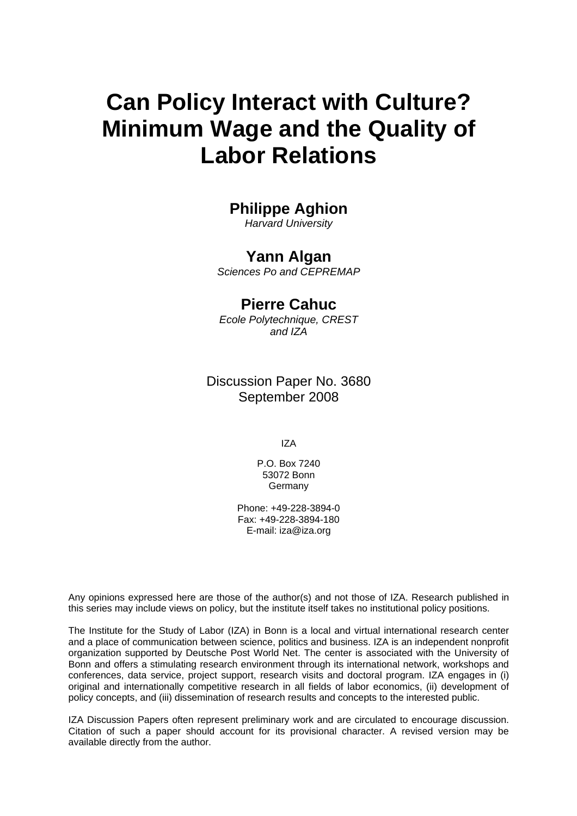# **Can Policy Interact with Culture? Minimum Wage and the Quality of Labor Relations**

# **Philippe Aghion**

*Harvard University* 

### **Yann Algan**

*Sciences Po and CEPREMAP* 

# **Pierre Cahuc**

*Ecole Polytechnique, CREST and IZA*

Discussion Paper No. 3680 September 2008

IZA

P.O. Box 7240 53072 Bonn **Germany** 

Phone: +49-228-3894-0 Fax: +49-228-3894-180 E-mail: [iza@iza.org](mailto:iza@iza.org)

Any opinions expressed here are those of the author(s) and not those of IZA. Research published in this series may include views on policy, but the institute itself takes no institutional policy positions.

The Institute for the Study of Labor (IZA) in Bonn is a local and virtual international research center and a place of communication between science, politics and business. IZA is an independent nonprofit organization supported by Deutsche Post World Net. The center is associated with the University of Bonn and offers a stimulating research environment through its international network, workshops and conferences, data service, project support, research visits and doctoral program. IZA engages in (i) original and internationally competitive research in all fields of labor economics, (ii) development of policy concepts, and (iii) dissemination of research results and concepts to the interested public.

IZA Discussion Papers often represent preliminary work and are circulated to encourage discussion. Citation of such a paper should account for its provisional character. A revised version may be available directly from the author.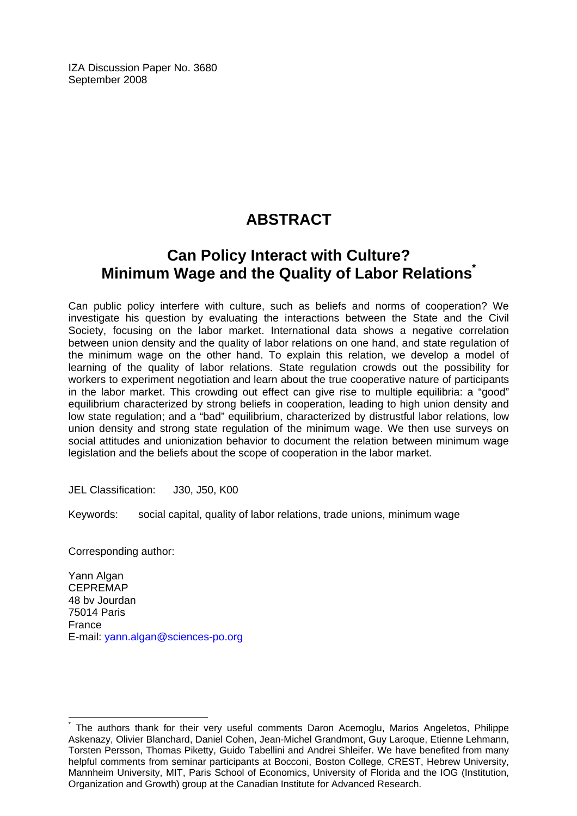IZA Discussion Paper No. 3680 September 2008

# **ABSTRACT**

# **Can Policy Interact with Culture? Minimum Wage and the Quality of Labor Relations[\\*](#page-2-0)**

Can public policy interfere with culture, such as beliefs and norms of cooperation? We investigate his question by evaluating the interactions between the State and the Civil Society, focusing on the labor market. International data shows a negative correlation between union density and the quality of labor relations on one hand, and state regulation of the minimum wage on the other hand. To explain this relation, we develop a model of learning of the quality of labor relations. State regulation crowds out the possibility for workers to experiment negotiation and learn about the true cooperative nature of participants in the labor market. This crowding out effect can give rise to multiple equilibria: a "good" equilibrium characterized by strong beliefs in cooperation, leading to high union density and low state regulation; and a "bad" equilibrium, characterized by distrustful labor relations, low union density and strong state regulation of the minimum wage. We then use surveys on social attitudes and unionization behavior to document the relation between minimum wage legislation and the beliefs about the scope of cooperation in the labor market.

JEL Classification: J30, J50, K00

Keywords: social capital, quality of labor relations, trade unions, minimum wage

Corresponding author:

 $\overline{a}$ 

Yann Algan CEPREMAP 48 bv Jourdan 75014 Paris France E-mail: [yann.algan@sciences-po.org](mailto:yann.algan@sciences-po.org) 

<span id="page-2-0"></span><sup>\*</sup> The authors thank for their very useful comments Daron Acemoglu, Marios Angeletos, Philippe Askenazy, Olivier Blanchard, Daniel Cohen, Jean-Michel Grandmont, Guy Laroque, Etienne Lehmann, Torsten Persson, Thomas Piketty, Guido Tabellini and Andrei Shleifer. We have benefited from many helpful comments from seminar participants at Bocconi, Boston College, CREST, Hebrew University, Mannheim University, MIT, Paris School of Economics, University of Florida and the IOG (Institution, Organization and Growth) group at the Canadian Institute for Advanced Research.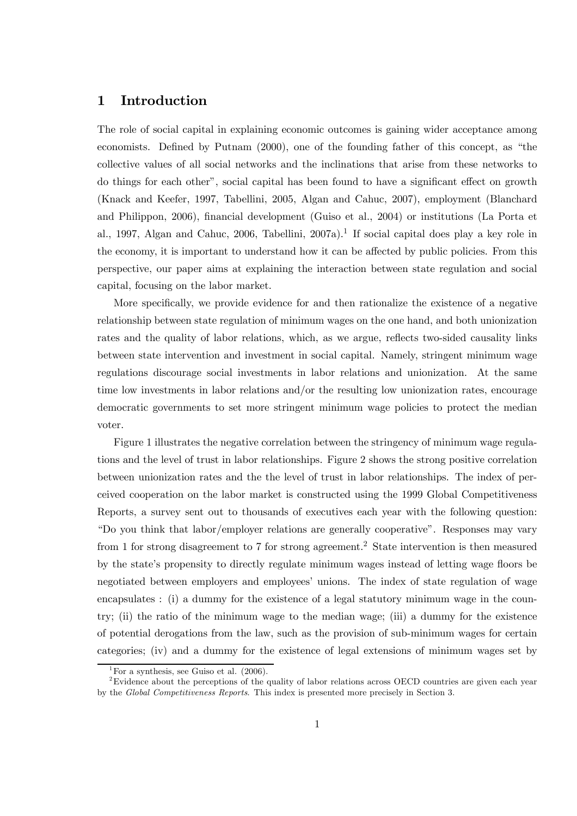### 1 Introduction

The role of social capital in explaining economic outcomes is gaining wider acceptance among economists. Defined by Putnam (2000), one of the founding father of this concept, as "the collective values of all social networks and the inclinations that arise from these networks to do things for each other", social capital has been found to have a significant effect on growth (Knack and Keefer, 1997, Tabellini, 2005, Algan and Cahuc, 2007), employment (Blanchard and Philippon, 2006), financial development (Guiso et al., 2004) or institutions (La Porta et al., 1997, Algan and Cahuc, 2006, Tabellini,  $2007a$ <sup>1</sup>. If social capital does play a key role in the economy, it is important to understand how it can be affected by public policies. From this perspective, our paper aims at explaining the interaction between state regulation and social capital, focusing on the labor market.

More specifically, we provide evidence for and then rationalize the existence of a negative relationship between state regulation of minimum wages on the one hand, and both unionization rates and the quality of labor relations, which, as we argue, reflects two-sided causality links between state intervention and investment in social capital. Namely, stringent minimum wage regulations discourage social investments in labor relations and unionization. At the same time low investments in labor relations and/or the resulting low unionization rates, encourage democratic governments to set more stringent minimum wage policies to protect the median voter.

Figure 1 illustrates the negative correlation between the stringency of minimum wage regulations and the level of trust in labor relationships. Figure 2 shows the strong positive correlation between unionization rates and the the level of trust in labor relationships. The index of perceived cooperation on the labor market is constructed using the 1999 Global Competitiveness Reports, a survey sent out to thousands of executives each year with the following question: "Do you think that labor/employer relations are generally cooperative". Responses may vary from 1 for strong disagreement to 7 for strong agreement.<sup>2</sup> State intervention is then measured by the state's propensity to directly regulate minimum wages instead of letting wage floors be negotiated between employers and employees' unions. The index of state regulation of wage encapsulates : (i) a dummy for the existence of a legal statutory minimum wage in the country; (ii) the ratio of the minimum wage to the median wage; (iii) a dummy for the existence of potential derogations from the law, such as the provision of sub-minimum wages for certain categories; (iv) and a dummy for the existence of legal extensions of minimum wages set by

<sup>&</sup>lt;sup>1</sup>For a synthesis, see Guiso et al.  $(2006)$ .

<sup>&</sup>lt;sup>2</sup>Evidence about the perceptions of the quality of labor relations across OECD countries are given each year by the Global Competitiveness Reports. This index is presented more precisely in Section 3.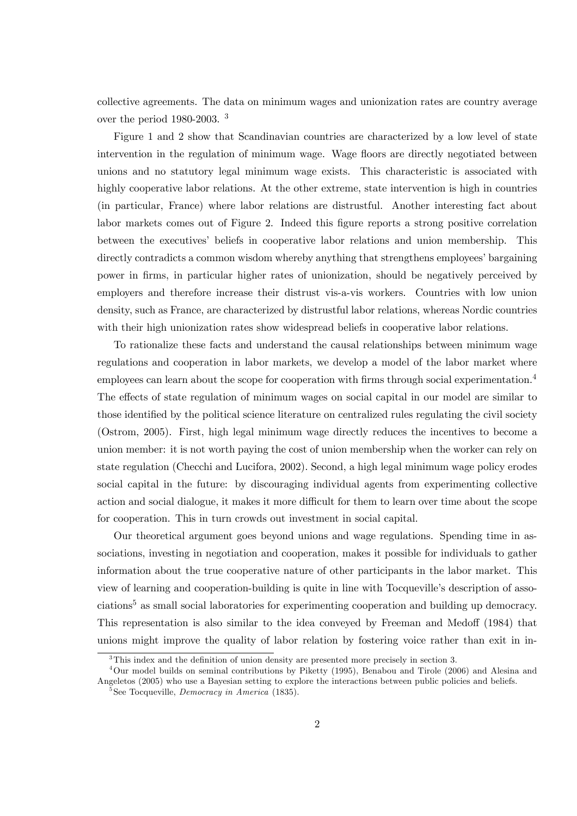collective agreements. The data on minimum wages and unionization rates are country average over the period 1980-2003. <sup>3</sup>

Figure 1 and 2 show that Scandinavian countries are characterized by a low level of state intervention in the regulation of minimum wage. Wage floors are directly negotiated between unions and no statutory legal minimum wage exists. This characteristic is associated with highly cooperative labor relations. At the other extreme, state intervention is high in countries (in particular, France) where labor relations are distrustful. Another interesting fact about labor markets comes out of Figure 2. Indeed this figure reports a strong positive correlation between the executives' beliefs in cooperative labor relations and union membership. This directly contradicts a common wisdom whereby anything that strengthens employees' bargaining power in firms, in particular higher rates of unionization, should be negatively perceived by employers and therefore increase their distrust vis-a-vis workers. Countries with low union density, such as France, are characterized by distrustful labor relations, whereas Nordic countries with their high unionization rates show widespread beliefs in cooperative labor relations.

To rationalize these facts and understand the causal relationships between minimum wage regulations and cooperation in labor markets, we develop a model of the labor market where employees can learn about the scope for cooperation with firms through social experimentation.<sup>4</sup> The effects of state regulation of minimum wages on social capital in our model are similar to those identified by the political science literature on centralized rules regulating the civil society (Ostrom, 2005). First, high legal minimum wage directly reduces the incentives to become a union member: it is not worth paying the cost of union membership when the worker can rely on state regulation (Checchi and Lucifora, 2002). Second, a high legal minimum wage policy erodes social capital in the future: by discouraging individual agents from experimenting collective action and social dialogue, it makes it more difficult for them to learn over time about the scope for cooperation. This in turn crowds out investment in social capital.

Our theoretical argument goes beyond unions and wage regulations. Spending time in associations, investing in negotiation and cooperation, makes it possible for individuals to gather information about the true cooperative nature of other participants in the labor market. This view of learning and cooperation-building is quite in line with Tocqueville's description of associations5 as small social laboratories for experimenting cooperation and building up democracy. This representation is also similar to the idea conveyed by Freeman and Medoff (1984) that unions might improve the quality of labor relation by fostering voice rather than exit in in-

<sup>&</sup>lt;sup>3</sup>This index and the definition of union density are presented more precisely in section 3.

<sup>4</sup>Our model builds on seminal contributions by Piketty (1995), Benabou and Tirole (2006) and Alesina and Angeletos (2005) who use a Bayesian setting to explore the interactions between public policies and beliefs.

 ${}^{5}$ See Tocqueville, *Democracy in America* (1835).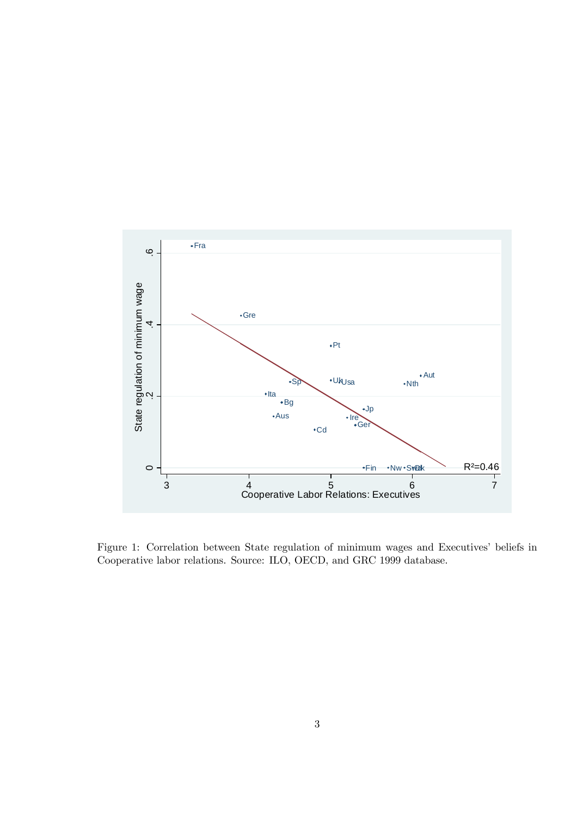

Figure 1: Correlation between State regulation of minimum wages and Executives' beliefs in Cooperative labor relations. Source: ILO, OECD, and GRC 1999 database.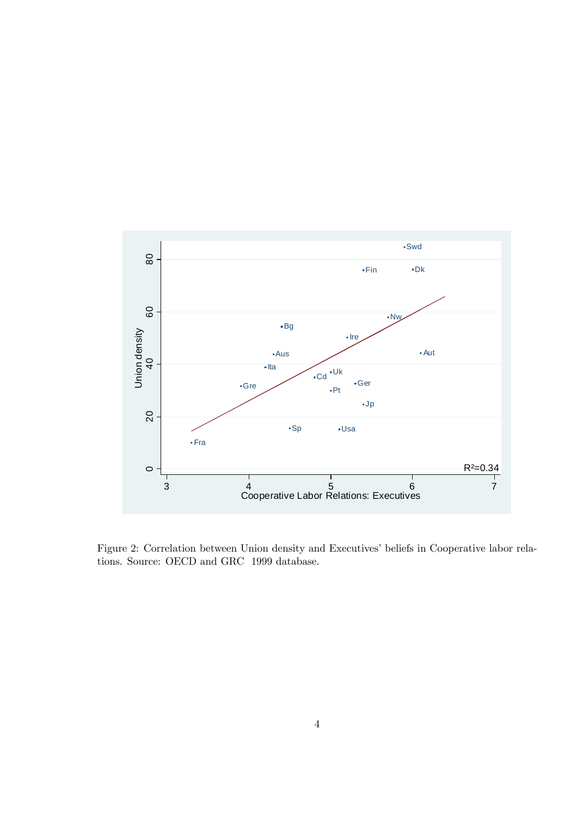

Figure 2: Correlation between Union density and Executives' beliefs in Cooperative labor relations. Source: OECD and GRC 1999 database.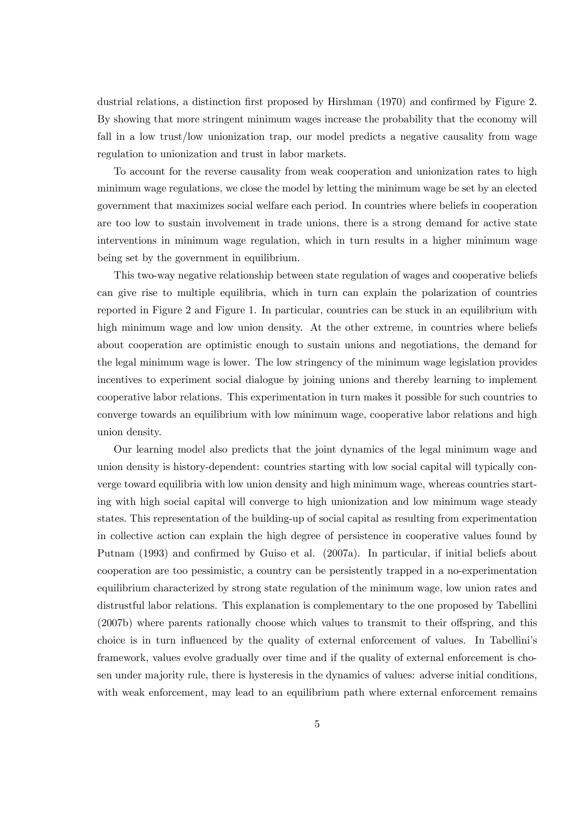dustrial relations, a distinction first proposed by Hirshman (1970) and confirmed by Figure 2. By showing that more stringent minimum wages increase the probability that the economy will fall in a low trust/low unionization trap, our model predicts a negative causality from wage regulation to unionization and trust in labor markets.

To account for the reverse causality from weak cooperation and unionization rates to high minimum wage regulations, we close the model by letting the minimum wage be set by an elected government that maximizes social welfare each period. In countries where beliefs in cooperation are too low to sustain involvement in trade unions, there is a strong demand for active state interventions in minimum wage regulation, which in turn results in a higher minimum wage being set by the government in equilibrium.

This two-way negative relationship between state regulation of wages and cooperative beliefs can give rise to multiple equilibria, which in turn can explain the polarization of countries reported in Figure 2 and Figure 1. In particular, countries can be stuck in an equilibrium with high minimum wage and low union density. At the other extreme, in countries where beliefs about cooperation are optimistic enough to sustain unions and negotiations, the demand for the legal minimum wage is lower. The low stringency of the minimum wage legislation provides incentives to experiment social dialogue by joining unions and thereby learning to implement cooperative labor relations. This experimentation in turn makes it possible for such countries to converge towards an equilibrium with low minimum wage, cooperative labor relations and high union density.

Our learning model also predicts that the joint dynamics of the legal minimum wage and union density is history-dependent: countries starting with low social capital will typically converge toward equilibria with low union density and high minimum wage, whereas countries starting with high social capital will converge to high unionization and low minimum wage steady states. This representation of the building-up of social capital as resulting from experimentation in collective action can explain the high degree of persistence in cooperative values found by Putnam (1993) and confirmed by Guiso et al. (2007a). In particular, if initial beliefs about cooperation are too pessimistic, a country can be persistently trapped in a no-experimentation equilibrium characterized by strong state regulation of the minimum wage, low union rates and distrustful labor relations. This explanation is complementary to the one proposed by Tabellini (2007b) where parents rationally choose which values to transmit to their offspring, and this choice is in turn influenced by the quality of external enforcement of values. In Tabellini's framework, values evolve gradually over time and if the quality of external enforcement is chosen under majority rule, there is hysteresis in the dynamics of values: adverse initial conditions, with weak enforcement, may lead to an equilibrium path where external enforcement remains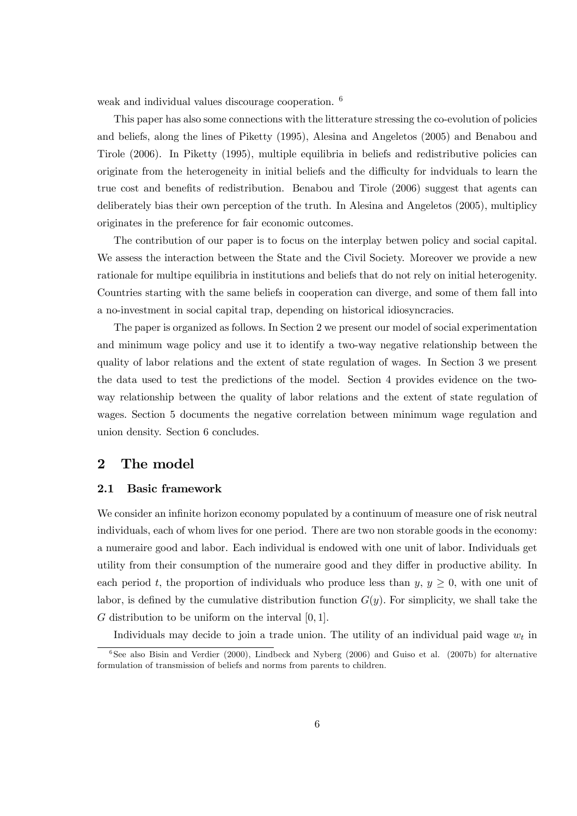weak and individual values discourage cooperation. <sup>6</sup>

This paper has also some connections with the litterature stressing the co-evolution of policies and beliefs, along the lines of Piketty (1995), Alesina and Angeletos (2005) and Benabou and Tirole (2006). In Piketty (1995), multiple equilibria in beliefs and redistributive policies can originate from the heterogeneity in initial beliefs and the difficulty for indviduals to learn the true cost and benefits of redistribution. Benabou and Tirole (2006) suggest that agents can deliberately bias their own perception of the truth. In Alesina and Angeletos (2005), multiplicy originates in the preference for fair economic outcomes.

The contribution of our paper is to focus on the interplay betwen policy and social capital. We assess the interaction between the State and the Civil Society. Moreover we provide a new rationale for multipe equilibria in institutions and beliefs that do not rely on initial heterogenity. Countries starting with the same beliefs in cooperation can diverge, and some of them fall into a no-investment in social capital trap, depending on historical idiosyncracies.

The paper is organized as follows. In Section 2 we present our model of social experimentation and minimum wage policy and use it to identify a two-way negative relationship between the quality of labor relations and the extent of state regulation of wages. In Section 3 we present the data used to test the predictions of the model. Section 4 provides evidence on the twoway relationship between the quality of labor relations and the extent of state regulation of wages. Section 5 documents the negative correlation between minimum wage regulation and union density. Section 6 concludes.

### 2 The model

### 2.1 Basic framework

We consider an infinite horizon economy populated by a continuum of measure one of risk neutral individuals, each of whom lives for one period. There are two non storable goods in the economy: a numeraire good and labor. Each individual is endowed with one unit of labor. Individuals get utility from their consumption of the numeraire good and they differ in productive ability. In each period t, the proportion of individuals who produce less than  $y, y \geq 0$ , with one unit of labor, is defined by the cumulative distribution function  $G(y)$ . For simplicity, we shall take the  $G$  distribution to be uniform on the interval  $[0, 1]$ .

Individuals may decide to join a trade union. The utility of an individual paid wage  $w_t$  in

 $6$ See also Bisin and Verdier (2000), Lindbeck and Nyberg (2006) and Guiso et al. (2007b) for alternative formulation of transmission of beliefs and norms from parents to children.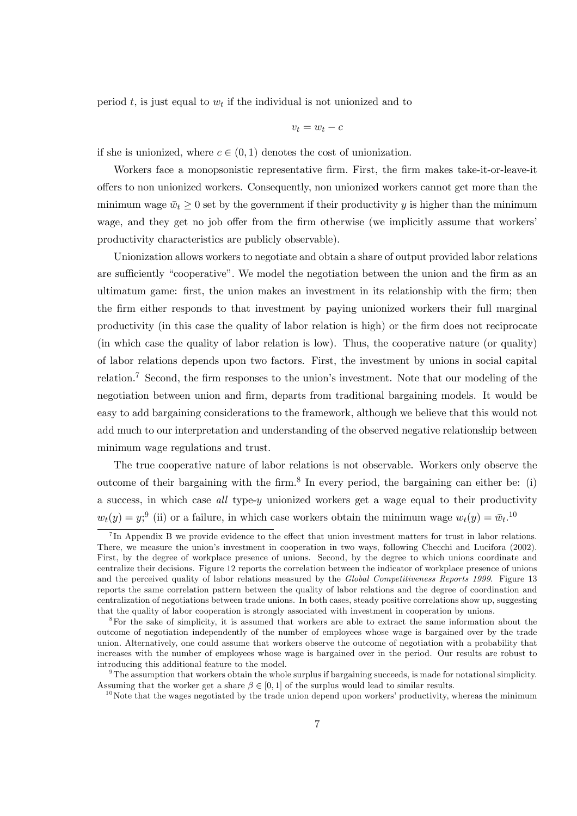period t, is just equal to  $w_t$  if the individual is not unionized and to

$$
v_t=w_t-c
$$

if she is unionized, where  $c \in (0,1)$  denotes the cost of unionization.

Workers face a monopsonistic representative firm. First, the firm makes take-it-or-leave-it offers to non unionized workers. Consequently, non unionized workers cannot get more than the minimum wage  $\bar{w}_t \geq 0$  set by the government if their productivity y is higher than the minimum wage, and they get no job offer from the firm otherwise (we implicitly assume that workers' productivity characteristics are publicly observable).

Unionization allows workers to negotiate and obtain a share of output provided labor relations are sufficiently "cooperative". We model the negotiation between the union and the firm as an ultimatum game: first, the union makes an investment in its relationship with the firm; then the firm either responds to that investment by paying unionized workers their full marginal productivity (in this case the quality of labor relation is high) or the firm does not reciprocate (in which case the quality of labor relation is low). Thus, the cooperative nature (or quality) of labor relations depends upon two factors. First, the investment by unions in social capital relation.7 Second, the firm responses to the union's investment. Note that our modeling of the negotiation between union and firm, departs from traditional bargaining models. It would be easy to add bargaining considerations to the framework, although we believe that this would not add much to our interpretation and understanding of the observed negative relationship between minimum wage regulations and trust.

The true cooperative nature of labor relations is not observable. Workers only observe the outcome of their bargaining with the firm.<sup>8</sup> In every period, the bargaining can either be: (i) a success, in which case all type-y unionized workers get a wage equal to their productivity  $w_t(y) = y$ <sup>0</sup>; (ii) or a failure, in which case workers obtain the minimum wage  $w_t(y) = \bar{w}_t$ <sup>10</sup>

 $^{7}$ In Appendix B we provide evidence to the effect that union investment matters for trust in labor relations. There, we measure the union's investment in cooperation in two ways, following Checchi and Lucifora (2002). First, by the degree of workplace presence of unions. Second, by the degree to which unions coordinate and centralize their decisions. Figure 12 reports the correlation between the indicator of workplace presence of unions and the perceived quality of labor relations measured by the *Global Competitiveness Reports 1999*. Figure 13 reports the same correlation pattern between the quality of labor relations and the degree of coordination and centralization of negotiations between trade unions. In both cases, steady positive correlations show up, suggesting that the quality of labor cooperation is strongly associated with investment in cooperation by unions.

<sup>8</sup>For the sake of simplicity, it is assumed that workers are able to extract the same information about the outcome of negotiation independently of the number of employees whose wage is bargained over by the trade union. Alternatively, one could assume that workers observe the outcome of negotiation with a probability that increases with the number of employees whose wage is bargained over in the period. Our results are robust to introducing this additional feature to the model.

<sup>&</sup>lt;sup>9</sup>The assumption that workers obtain the whole surplus if bargaining succeeds, is made for notational simplicity. Assuming that the worker get a share  $\beta \in [0, 1]$  of the surplus would lead to similar results.<br><sup>10</sup>Note that the wages negotiated by the trade union depend upon workers' productivity, whereas the minimum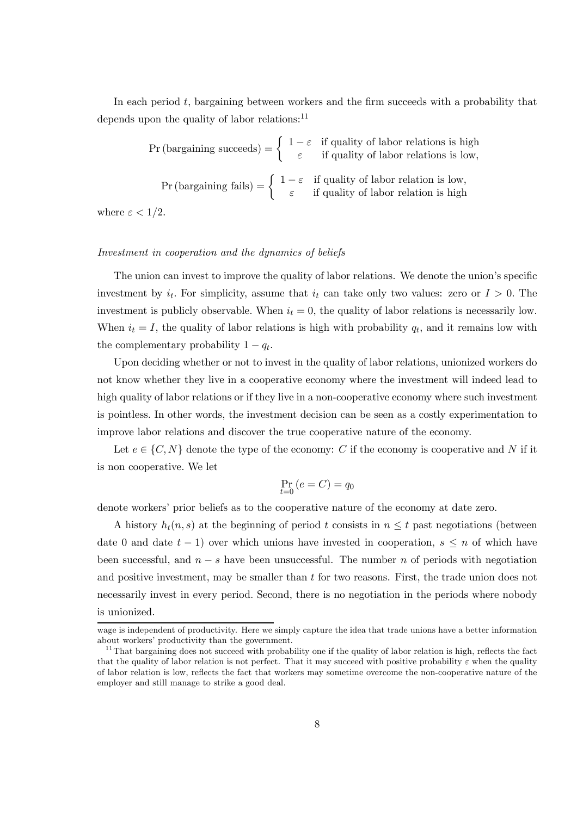In each period  $t$ , bargaining between workers and the firm succeeds with a probability that depends upon the quality of labor relations:<sup>11</sup>

> Pr(bargaining succeeds) =  $\begin{cases} 1 - \varepsilon & \text{if quality of labor relations is high} \\ 0 & \text{if quality of labor relations is low.} \end{cases}$  $\varepsilon$  if quality of labor relations is low,  $\Pr(\text{bargaining fails}) = \begin{cases} 1 - \varepsilon & \text{if quality of labor relation is low,} \\ 0 & \text{if weight of labor relation is high.} \end{cases}$

 $\varepsilon$  if quality of labor relation is high

where  $\varepsilon < 1/2$ .

### Investment in cooperation and the dynamics of beliefs

The union can invest to improve the quality of labor relations. We denote the union's specific investment by  $i_t$ . For simplicity, assume that  $i_t$  can take only two values: zero or  $I > 0$ . The investment is publicly observable. When  $i_t = 0$ , the quality of labor relations is necessarily low. When  $i_t = I$ , the quality of labor relations is high with probability  $q_t$ , and it remains low with the complementary probability  $1 - q_t$ .

Upon deciding whether or not to invest in the quality of labor relations, unionized workers do not know whether they live in a cooperative economy where the investment will indeed lead to high quality of labor relations or if they live in a non-cooperative economy where such investment is pointless. In other words, the investment decision can be seen as a costly experimentation to improve labor relations and discover the true cooperative nature of the economy.

Let  $e \in \{C, N\}$  denote the type of the economy: C if the economy is cooperative and N if it is non cooperative. We let

$$
\Pr_{t=0} (e = C) = q_0
$$

denote workers' prior beliefs as to the cooperative nature of the economy at date zero.

A history  $h_t(n, s)$  at the beginning of period t consists in  $n \leq t$  past negotiations (between date 0 and date  $t-1$ ) over which unions have invested in cooperation,  $s \leq n$  of which have been successful, and  $n - s$  have been unsuccessful. The number n of periods with negotiation and positive investment, may be smaller than  $t$  for two reasons. First, the trade union does not necessarily invest in every period. Second, there is no negotiation in the periods where nobody is unionized.

wage is independent of productivity. Here we simply capture the idea that trade unions have a better information about workers' productivity than the government.

 $11$ That bargaining does not succeed with probability one if the quality of labor relation is high, reflects the fact that the quality of labor relation is not perfect. That it may succeed with positive probability  $\varepsilon$  when the quality of labor relation is low, reflects the fact that workers may sometime overcome the non-cooperative nature of the employer and still manage to strike a good deal.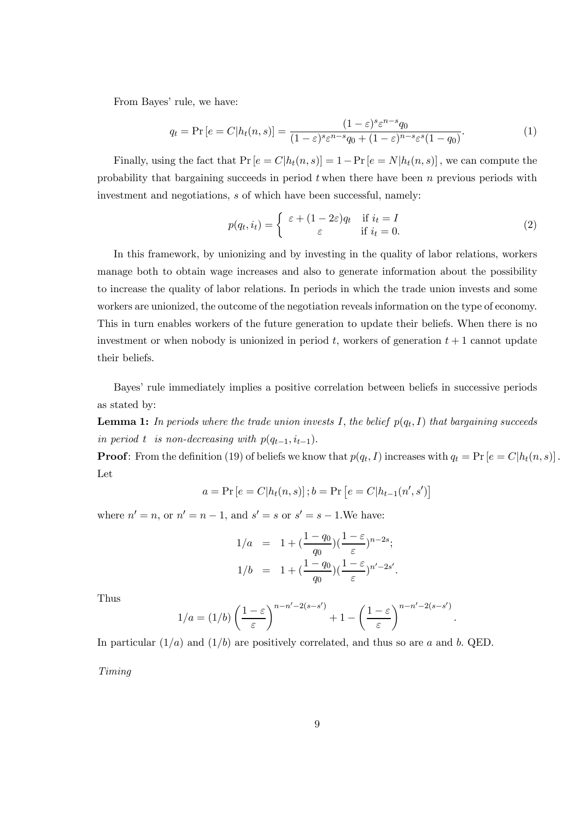From Bayes' rule, we have:

$$
q_t = \Pr\left[e = C|h_t(n,s)\right] = \frac{(1-\varepsilon)^s \varepsilon^{n-s} q_0}{(1-\varepsilon)^s \varepsilon^{n-s} q_0 + (1-\varepsilon)^{n-s} \varepsilon^s (1-q_0)}.
$$
\n(1)

Finally, using the fact that  $Pr [e = C|h_t(n, s)] = 1 - Pr [e = N|h_t(n, s)]$ , we can compute the probability that bargaining succeeds in period  $t$  when there have been  $n$  previous periods with investment and negotiations, s of which have been successful, namely:

$$
p(q_t, i_t) = \begin{cases} \varepsilon + (1 - 2\varepsilon)q_t & \text{if } i_t = I \\ \varepsilon & \text{if } i_t = 0. \end{cases}
$$
 (2)

In this framework, by unionizing and by investing in the quality of labor relations, workers manage both to obtain wage increases and also to generate information about the possibility to increase the quality of labor relations. In periods in which the trade union invests and some workers are unionized, the outcome of the negotiation reveals information on the type of economy. This in turn enables workers of the future generation to update their beliefs. When there is no investment or when nobody is unionized in period  $t$ , workers of generation  $t + 1$  cannot update their beliefs.

Bayes' rule immediately implies a positive correlation between beliefs in successive periods as stated by:

**Lemma 1:** In periods where the trade union invests I, the belief  $p(q_t, I)$  that bargaining succeeds in period t is non-decreasing with  $p(q_{t-1}, i_{t-1})$ .

**Proof:** From the definition (19) of beliefs we know that  $p(q_t, I)$  increases with  $q_t = Pr [e = C|h_t(n, s)]$ . Let

$$
a = \Pr\left[e = C|h_t(n, s)|\, ; b = \Pr\left[e = C|h_{t-1}(n', s')\right]\right]
$$

where  $n' = n$ , or  $n' = n - 1$ , and  $s' = s$  or  $s' = s - 1$ . We have:

$$
1/a = 1 + (\frac{1 - q_0}{q_0})(\frac{1 - \varepsilon}{\varepsilon})^{n - 2s};
$$
  

$$
1/b = 1 + (\frac{1 - q_0}{q_0})(\frac{1 - \varepsilon}{\varepsilon})^{n' - 2s'}.
$$

Thus

$$
1/a = (1/b) \left(\frac{1-\varepsilon}{\varepsilon}\right)^{n-n'-2(s-s')} + 1 - \left(\frac{1-\varepsilon}{\varepsilon}\right)^{n-n'-2(s-s')}.
$$

In particular  $(1/a)$  and  $(1/b)$  are positively correlated, and thus so are a and b. QED.

Timing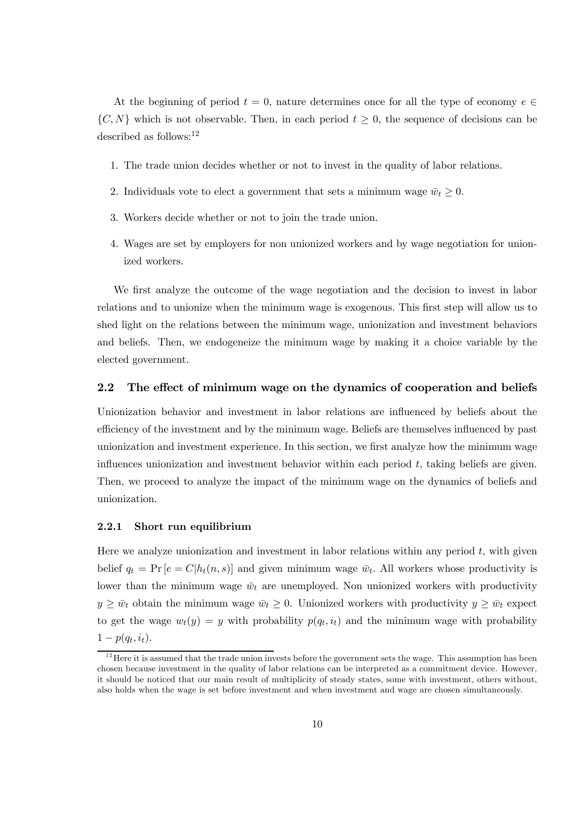At the beginning of period  $t = 0$ , nature determines once for all the type of economy  $e \in$  $\{C, N\}$  which is not observable. Then, in each period  $t \geq 0$ , the sequence of decisions can be described as follows:<sup>12</sup>

- 1. The trade union decides whether or not to invest in the quality of labor relations.
- 2. Individuals vote to elect a government that sets a minimum wage  $\bar{w}_t \geq 0$ .
- 3. Workers decide whether or not to join the trade union.
- 4. Wages are set by employers for non unionized workers and by wage negotiation for unionized workers.

We first analyze the outcome of the wage negotiation and the decision to invest in labor relations and to unionize when the minimum wage is exogenous. This first step will allow us to shed light on the relations between the minimum wage, unionization and investment behaviors and beliefs. Then, we endogeneize the minimum wage by making it a choice variable by the elected government.

### 2.2 The effect of minimum wage on the dynamics of cooperation and beliefs

Unionization behavior and investment in labor relations are influenced by beliefs about the efficiency of the investment and by the minimum wage. Beliefs are themselves influenced by past unionization and investment experience. In this section, we first analyze how the minimum wage influences unionization and investment behavior within each period  $t$ , taking beliefs are given. Then, we proceed to analyze the impact of the minimum wage on the dynamics of beliefs and unionization.

### 2.2.1 Short run equilibrium

Here we analyze unionization and investment in labor relations within any period  $t$ , with given belief  $q_t = Pr [e = C | h_t(n, s)]$  and given minimum wage  $\bar{w}_t$ . All workers whose productivity is lower than the minimum wage  $\bar{w}_t$  are unemployed. Non unionized workers with productivity  $y \ge \bar{w}_t$  obtain the minimum wage  $\bar{w}_t \ge 0$ . Unionized workers with productivity  $y \ge \bar{w}_t$  expect to get the wage  $w_t(y) = y$  with probability  $p(q_t, i_t)$  and the minimum wage with probability  $1 - p(q_t, i_t).$ 

 $12$  Here it is assumed that the trade union invests before the government sets the wage. This assumption has been chosen because investment in the quality of labor relations can be interpreted as a commitment device. However, it should be noticed that our main result of multiplicity of steady states, some with investment, others without, also holds when the wage is set before investment and when investment and wage are chosen simultaneously.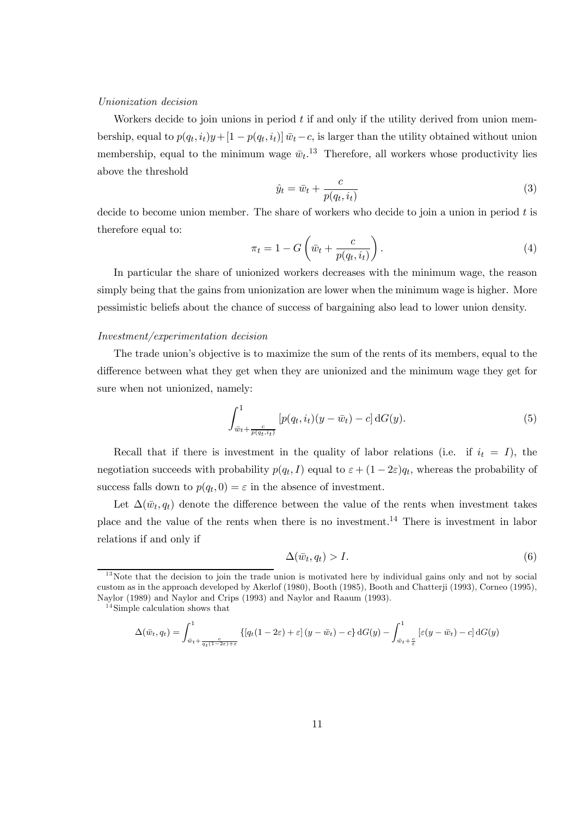### Unionization decision

Workers decide to join unions in period  $t$  if and only if the utility derived from union membership, equal to  $p(q_t, i_t)y+[1-p(q_t, i_t)]\overline{w}_t-c$ , is larger than the utility obtained without union membership, equal to the minimum wage  $\bar{w}_t$ .<sup>13</sup> Therefore, all workers whose productivity lies above the threshold

$$
\hat{y}_t = \bar{w}_t + \frac{c}{p(q_t, i_t)}\tag{3}
$$

decide to become union member. The share of workers who decide to join a union in period  $t$  is therefore equal to:

$$
\pi_t = 1 - G\left(\bar{w}_t + \frac{c}{p(q_t, i_t)}\right). \tag{4}
$$

In particular the share of unionized workers decreases with the minimum wage, the reason simply being that the gains from unionization are lower when the minimum wage is higher. More pessimistic beliefs about the chance of success of bargaining also lead to lower union density.

### Investment/experimentation decision

The trade union's objective is to maximize the sum of the rents of its members, equal to the difference between what they get when they are unionized and the minimum wage they get for sure when not unionized, namely:

$$
\int_{\bar{w}_t + \frac{c}{p(q_t, i_t)}}^1 [p(q_t, i_t)(y - \bar{w}_t) - c] \, \mathrm{d}G(y). \tag{5}
$$

Recall that if there is investment in the quality of labor relations (i.e. if  $i_t = I$ ), the negotiation succeeds with probability  $p(q_t, I)$  equal to  $\varepsilon + (1 - 2\varepsilon)q_t$ , whereas the probability of success falls down to  $p(q_t, 0) = \varepsilon$  in the absence of investment.

Let  $\Delta(\bar{w}_t, q_t)$  denote the difference between the value of the rents when investment takes place and the value of the rents when there is no investment.<sup>14</sup> There is investment in labor relations if and only if

$$
\Delta(\bar{w}_t, q_t) > I. \tag{6}
$$

$$
\Delta(\bar{w}_t, q_t) = \int_{\bar{w}_t + \frac{c}{q_t(1-2\varepsilon)+\varepsilon}}^1 \left\{ \left[ q_t(1-2\varepsilon) + \varepsilon \right] (y-\bar{w}_t) - c \right\} \mathrm{d}G(y) - \int_{\bar{w}_t + \frac{c}{\varepsilon}}^1 \left[ \varepsilon (y-\bar{w}_t) - c \right] \mathrm{d}G(y)
$$

 $13$ Note that the decision to join the trade union is motivated here by individual gains only and not by social custom as in the approach developed by Akerlof (1980), Booth (1985), Booth and Chatterji (1993), Corneo (1995), Naylor (1989) and Naylor and Crips (1993) and Naylor and Raaum (1993).

 $14$ Simple calculation shows that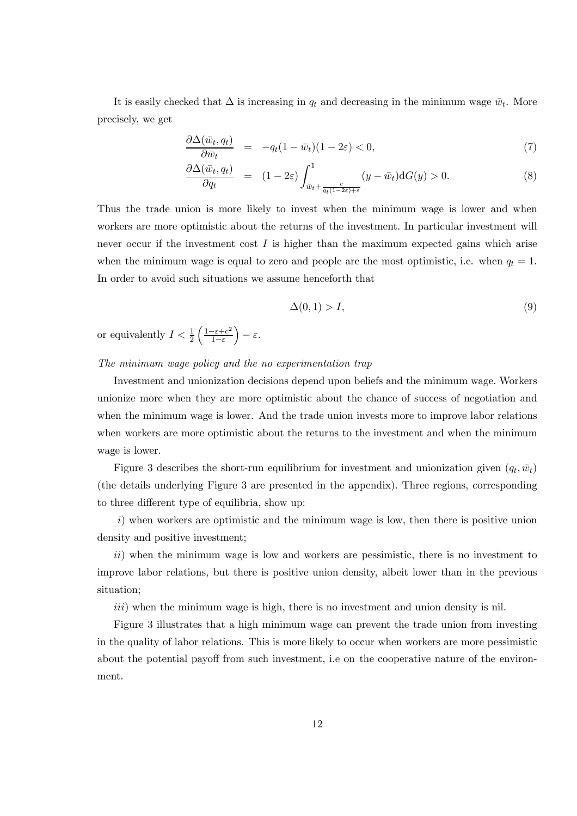It is easily checked that  $\Delta$  is increasing in  $q_t$  and decreasing in the minimum wage  $\bar{w}_t$ . More precisely, we get

$$
\frac{\partial \Delta(\bar{w}_t, q_t)}{\partial \bar{w}_t} = -q_t(1 - \bar{w}_t)(1 - 2\varepsilon) < 0,\tag{7}
$$

$$
\frac{\partial \Delta(\bar{w}_t, q_t)}{\partial q_t} = (1 - 2\varepsilon) \int_{\bar{w}_t + \frac{c}{q_t(1 - 2\varepsilon) + \varepsilon}}^1 (y - \bar{w}_t) dG(y) > 0.
$$
\n(8)

Thus the trade union is more likely to invest when the minimum wage is lower and when workers are more optimistic about the returns of the investment. In particular investment will never occur if the investment cost  $I$  is higher than the maximum expected gains which arise when the minimum wage is equal to zero and people are the most optimistic, i.e. when  $q_t = 1$ . In order to avoid such situations we assume henceforth that

$$
\Delta(0,1) > I,\tag{9}
$$

or equivalently  $I < \frac{1}{2}$  $\left( \frac{1-\varepsilon+c^2}{4} \right)$  $1-\varepsilon$  $\Big) - \varepsilon.$ 

### The minimum wage policy and the no experimentation trap

Investment and unionization decisions depend upon beliefs and the minimum wage. Workers unionize more when they are more optimistic about the chance of success of negotiation and when the minimum wage is lower. And the trade union invests more to improve labor relations when workers are more optimistic about the returns to the investment and when the minimum wage is lower.

Figure 3 describes the short-run equilibrium for investment and unionization given  $(q_t, \bar{w}_t)$ (the details underlying Figure 3 are presented in the appendix). Three regions, corresponding to three different type of equilibria, show up:

i) when workers are optimistic and the minimum wage is low, then there is positive union density and positive investment;

 $ii)$  when the minimum wage is low and workers are pessimistic, there is no investment to improve labor relations, but there is positive union density, albeit lower than in the previous situation;

iii) when the minimum wage is high, there is no investment and union density is nil.

Figure 3 illustrates that a high minimum wage can prevent the trade union from investing in the quality of labor relations. This is more likely to occur when workers are more pessimistic about the potential payoff from such investment, i.e on the cooperative nature of the environment.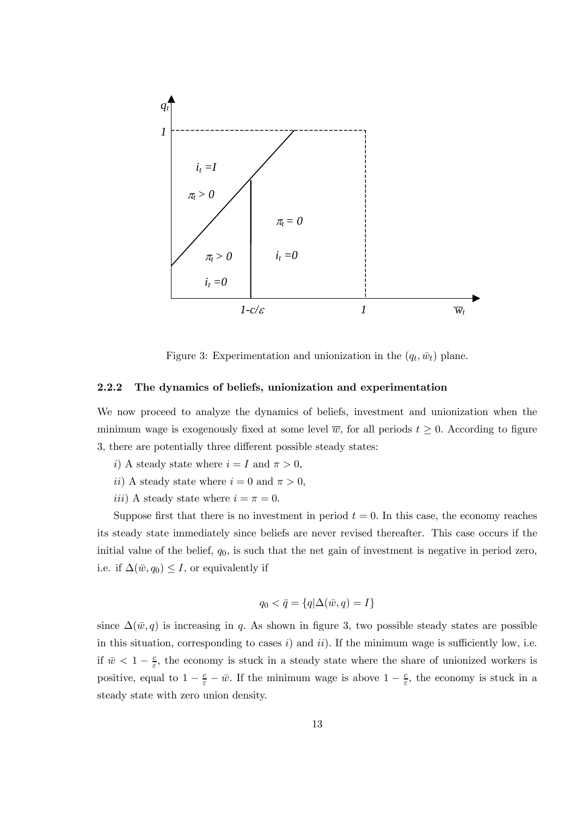

Figure 3: Experimentation and unionization in the  $(q_t, \bar{w}_t)$  plane.

### 2.2.2 The dynamics of beliefs, unionization and experimentation

We now proceed to analyze the dynamics of beliefs, investment and unionization when the minimum wage is exogenously fixed at some level  $\overline{w}$ , for all periods  $t \geq 0$ . According to figure 3, there are potentially three different possible steady states:

- i) A steady state where  $i = I$  and  $\pi > 0$ ,
- ii) A steady state where  $i = 0$  and  $\pi > 0$ ,
- iii) A steady state where  $i = \pi = 0$ .

Suppose first that there is no investment in period  $t = 0$ . In this case, the economy reaches its steady state immediately since beliefs are never revised thereafter. This case occurs if the initial value of the belief,  $q_0$ , is such that the net gain of investment is negative in period zero, i.e. if  $\Delta(\bar{w}, q_0) \leq I$ , or equivalently if

$$
q_0 < \bar{q} = \{q | \Delta(\bar{w}, q) = I\}
$$

since  $\Delta(\bar{w}, q)$  is increasing in q. As shown in figure 3, two possible steady states are possible in this situation, corresponding to cases i) and ii). If the minimum wage is sufficiently low, i.e. if  $\bar{w}$  < 1 –  $\frac{c}{\varepsilon}$ , the economy is stuck in a steady state where the share of unionized workers is positive, equal to  $1 - \frac{c}{\varepsilon} - \bar{w}$ . If the minimum wage is above  $1 - \frac{c}{\varepsilon}$ , the economy is stuck in a steady state with zero union density.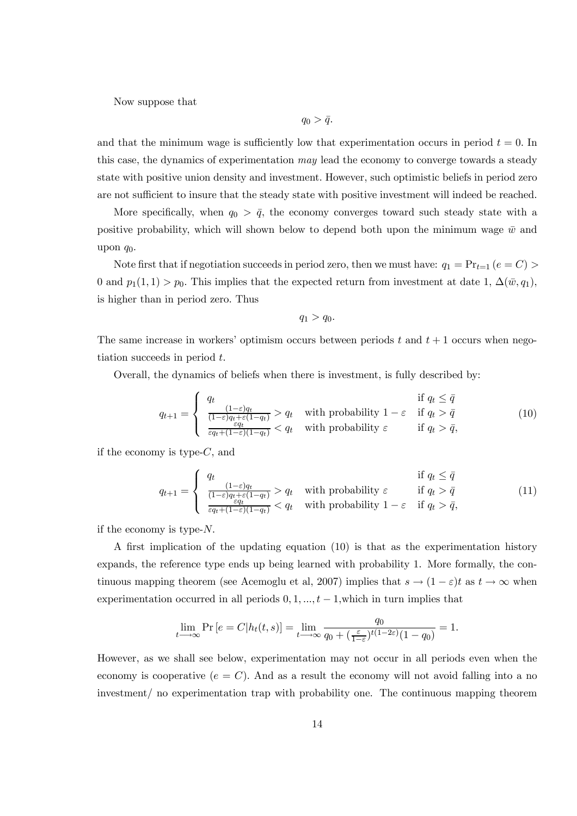Now suppose that

$$
q_0 > \bar{q}.
$$

and that the minimum wage is sufficiently low that experimentation occurs in period  $t = 0$ . In this case, the dynamics of experimentation may lead the economy to converge towards a steady state with positive union density and investment. However, such optimistic beliefs in period zero are not sufficient to insure that the steady state with positive investment will indeed be reached.

More specifically, when  $q_0 > \bar{q}$ , the economy converges toward such steady state with a positive probability, which will shown below to depend both upon the minimum wage  $\bar{w}$  and upon  $q_0$ .

Note first that if negotiation succeeds in period zero, then we must have:  $q_1 = Pr_{t=1} (e = C)$ 0 and  $p_1(1, 1) > p_0$ . This implies that the expected return from investment at date 1,  $\Delta(\bar{w}, q_1)$ , is higher than in period zero. Thus

$$
q_1 > q_0.
$$

The same increase in workers' optimism occurs between periods t and  $t + 1$  occurs when negotiation succeeds in period t.

Overall, the dynamics of beliefs when there is investment, is fully described by:

$$
q_{t+1} = \begin{cases} q_t & \text{if } q_t \le \bar{q} \\ \frac{(1-\varepsilon)q_t + \varepsilon(1-q_t)}{(1-\varepsilon)q_t + \varepsilon(1-q_t)} > q_t & \text{with probability } 1-\varepsilon & \text{if } q_t > \bar{q} \\ \frac{\varepsilon q_t}{\varepsilon q_t + (1-\varepsilon)(1-q_t)} < q_t & \text{with probability } \varepsilon & \text{if } q_t > \bar{q}, \end{cases}
$$
(10)

if the economy is type- $C$ , and

$$
q_{t+1} = \begin{cases} q_t & \text{if } q_t \le \bar{q} \\ \frac{(1-\varepsilon)q_t}{(1-\varepsilon)q_t+\varepsilon(1-q_t)} > q_t & \text{with probability } \varepsilon \\ \frac{\varepsilon q_t}{\varepsilon q_t+(1-\varepsilon)(1-q_t)} < q_t & \text{with probability } 1-\varepsilon \quad \text{if } q_t > \bar{q}, \end{cases}
$$
(11)

if the economy is type-N.

A first implication of the updating equation (10) is that as the experimentation history expands, the reference type ends up being learned with probability 1. More formally, the continuous mapping theorem (see Acemoglu et al, 2007) implies that  $s \to (1 - \varepsilon)t$  as  $t \to \infty$  when experimentation occurred in all periods  $0, 1, ..., t - 1$ , which in turn implies that

$$
\lim_{t \to \infty} \Pr\left[e = C|h_t(t,s)\right] = \lim_{t \to \infty} \frac{q_0}{q_0 + \left(\frac{\varepsilon}{1-\varepsilon}\right)^{t(1-2\varepsilon)}(1-q_0)} = 1.
$$

However, as we shall see below, experimentation may not occur in all periods even when the economy is cooperative  $(e = C)$ . And as a result the economy will not avoid falling into a no investment/ no experimentation trap with probability one. The continuous mapping theorem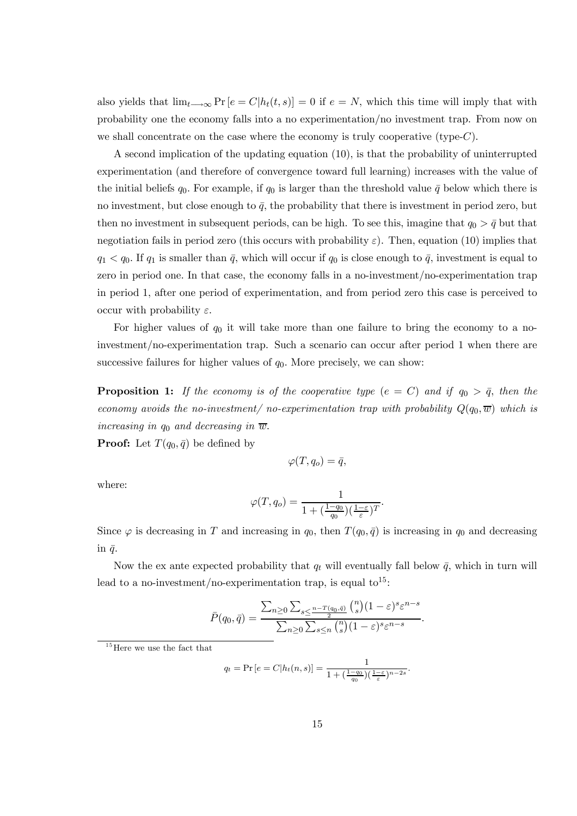also yields that  $\lim_{t\to\infty} \Pr\left[e = C|h_t(t,s)\right] = 0$  if  $e = N$ , which this time will imply that with probability one the economy falls into a no experimentation/no investment trap. From now on we shall concentrate on the case where the economy is truly cooperative (type-C).

A second implication of the updating equation (10), is that the probability of uninterrupted experimentation (and therefore of convergence toward full learning) increases with the value of the initial beliefs  $q_0$ . For example, if  $q_0$  is larger than the threshold value  $\bar{q}$  below which there is no investment, but close enough to  $\bar{q}$ , the probability that there is investment in period zero, but then no investment in subsequent periods, can be high. To see this, imagine that  $q_0 > \bar{q}$  but that negotiation fails in period zero (this occurs with probability  $\varepsilon$ ). Then, equation (10) implies that  $q_1 < q_0$ . If  $q_1$  is smaller than  $\bar{q}$ , which will occur if  $q_0$  is close enough to  $\bar{q}$ , investment is equal to zero in period one. In that case, the economy falls in a no-investment/no-experimentation trap in period 1, after one period of experimentation, and from period zero this case is perceived to occur with probability  $\varepsilon$ .

For higher values of  $q_0$  it will take more than one failure to bring the economy to a noinvestment/no-experimentation trap. Such a scenario can occur after period 1 when there are successive failures for higher values of  $q_0$ . More precisely, we can show:

**Proposition 1:** If the economy is of the cooperative type  $(e = C)$  and if  $q_0 > \bar{q}$ , then the economy avoids the no-investment/ no-experimentation trap with probability  $Q(q_0, \overline{w})$  which is increasing in  $q_0$  and decreasing in  $\overline{w}$ .

**Proof:** Let  $T(q_0, \bar{q})$  be defined by

$$
\varphi(T, q_o) = \bar{q},
$$

where:

$$
\varphi(T, q_o) = \frac{1}{1 + (\frac{1 - q_o}{q_o})(\frac{1 - \varepsilon}{\varepsilon})^T}.
$$

Since  $\varphi$  is decreasing in T and increasing in  $q_0$ , then  $T(q_0, \bar{q})$  is increasing in  $q_0$  and decreasing in  $\bar{q}$ .

Now the ex ante expected probability that  $q_t$  will eventually fall below  $\bar{q}$ , which in turn will lead to a no-investment/no-experimentation trap, is equal to  $15$ :

$$
\bar{P}(q_0, \bar{q}) = \frac{\sum_{n \geq 0} \sum_{s \leq \frac{n - T(q_0, \bar{q})}{2}} {n \choose s} (1 - \varepsilon)^s \varepsilon^{n - s}}{\sum_{n \geq 0} \sum_{s \leq n} {n \choose s} (1 - \varepsilon)^s \varepsilon^{n - s}}.
$$

$$
q_t = \Pr\left[e = C|h_t(n,s)\right] = \frac{1}{1 + \left(\frac{1-q_0}{q_0}\right)\left(\frac{1-\epsilon}{\varepsilon}\right)^{n-2s}}.
$$

 $^{15}\mathrm{Here}$  we use the fact that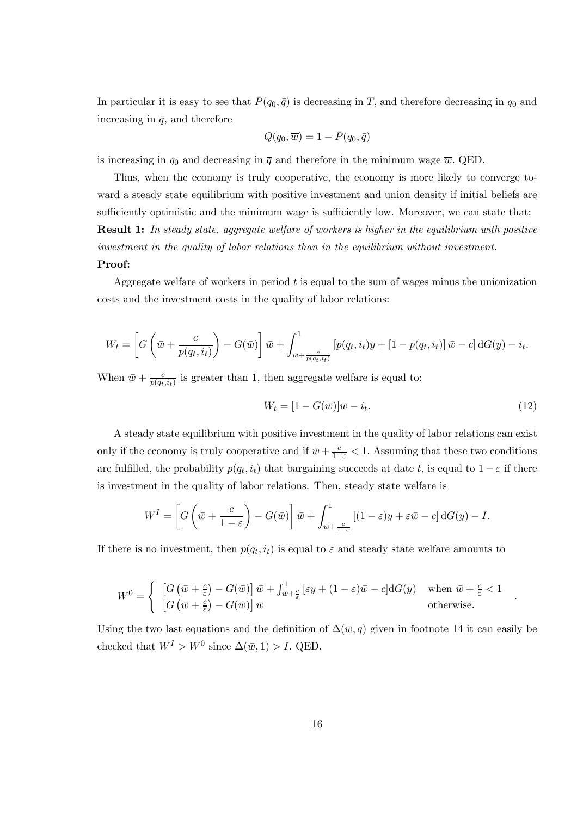In particular it is easy to see that  $\bar{P}(q_0, \bar{q})$  is decreasing in T, and therefore decreasing in  $q_0$  and increasing in  $\bar{q}$ , and therefore

$$
Q(q_0, \overline{w}) = 1 - \overline{P}(q_0, \overline{q})
$$

is increasing in  $q_0$  and decreasing in  $\overline{q}$  and therefore in the minimum wage  $\overline{w}$ . QED.

Thus, when the economy is truly cooperative, the economy is more likely to converge toward a steady state equilibrium with positive investment and union density if initial beliefs are sufficiently optimistic and the minimum wage is sufficiently low. Moreover, we can state that: Result 1: In steady state, aggregate welfare of workers is higher in the equilibrium with positive investment in the quality of labor relations than in the equilibrium without investment. Proof:

Aggregate welfare of workers in period  $t$  is equal to the sum of wages minus the unionization costs and the investment costs in the quality of labor relations:

$$
W_t = \left[ G\left(\bar{w} + \frac{c}{p(q_t, i_t)}\right) - G(\bar{w}) \right] \bar{w} + \int_{\bar{w} + \frac{c}{p(q_t, i_t)}}^1 \left[ p(q_t, i_t)y + \left[1 - p(q_t, i_t)\right] \bar{w} - c \right] dG(y) - i_t.
$$

When  $\bar{w} + \frac{c}{p(q_t, i_t)}$  is greater than 1, then aggregate welfare is equal to:

$$
W_t = [1 - G(\bar{w})]\bar{w} - i_t.
$$
\n(12)

A steady state equilibrium with positive investment in the quality of labor relations can exist only if the economy is truly cooperative and if  $\bar{w} + \frac{c}{1-\varepsilon} < 1$ . Assuming that these two conditions are fulfilled, the probability  $p(q_t, i_t)$  that bargaining succeeds at date t, is equal to  $1 - \varepsilon$  if there is investment in the quality of labor relations. Then, steady state welfare is

$$
W^{I} = \left[ G\left(\bar{w} + \frac{c}{1-\varepsilon}\right) - G(\bar{w}) \right] \bar{w} + \int_{\bar{w} + \frac{c}{1-\varepsilon}}^{1} \left[ (1-\varepsilon)y + \varepsilon \bar{w} - c \right] dG(y) - I.
$$

If there is no investment, then  $p(q_t, i_t)$  is equal to  $\varepsilon$  and steady state welfare amounts to

$$
W^{0} = \begin{cases} \begin{array}{c} \left[ G\left(\bar{w} + \frac{c}{\varepsilon}\right) - G(\bar{w}) \right] \bar{w} + \int_{\bar{w} + \frac{c}{\varepsilon}}^1 \left[ \varepsilon y + (1 - \varepsilon)\bar{w} - c \right] \mathrm{d}G(y) & \text{when } \bar{w} + \frac{c}{\varepsilon} < 1 \\ \left[ G\left(\bar{w} + \frac{c}{\varepsilon}\right) - G(\bar{w}) \right] \bar{w} & \text{otherwise.} \end{array} \end{cases}
$$

Using the two last equations and the definition of  $\Delta(\bar{w}, q)$  given in footnote 14 it can easily be checked that  $W^I > W^0$  since  $\Delta(\bar{w}, 1) > I$ . QED.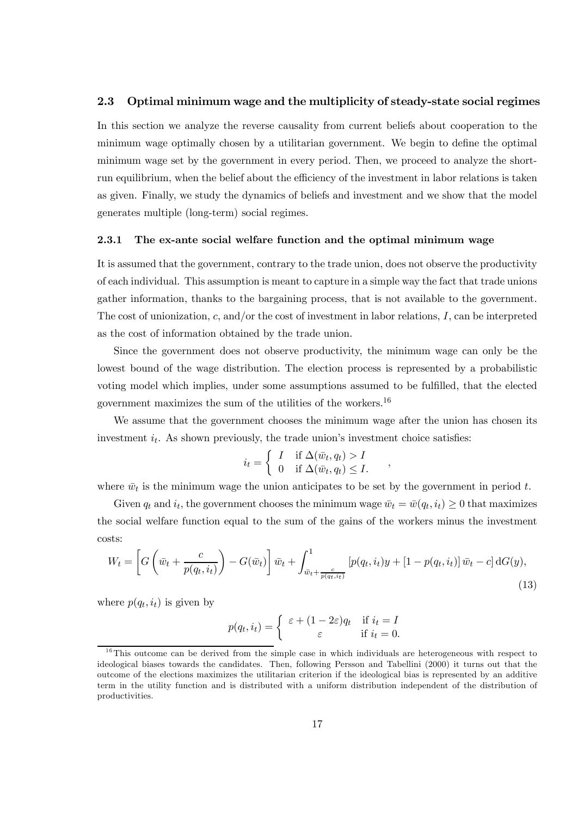### 2.3 Optimal minimum wage and the multiplicity of steady-state social regimes

In this section we analyze the reverse causality from current beliefs about cooperation to the minimum wage optimally chosen by a utilitarian government. We begin to define the optimal minimum wage set by the government in every period. Then, we proceed to analyze the shortrun equilibrium, when the belief about the efficiency of the investment in labor relations is taken as given. Finally, we study the dynamics of beliefs and investment and we show that the model generates multiple (long-term) social regimes.

### 2.3.1 The ex-ante social welfare function and the optimal minimum wage

It is assumed that the government, contrary to the trade union, does not observe the productivity of each individual. This assumption is meant to capture in a simple way the fact that trade unions gather information, thanks to the bargaining process, that is not available to the government. The cost of unionization, c, and/or the cost of investment in labor relations, I, can be interpreted as the cost of information obtained by the trade union.

Since the government does not observe productivity, the minimum wage can only be the lowest bound of the wage distribution. The election process is represented by a probabilistic voting model which implies, under some assumptions assumed to be fulfilled, that the elected government maximizes the sum of the utilities of the workers.16

We assume that the government chooses the minimum wage after the union has chosen its investment  $i_t$ . As shown previously, the trade union's investment choice satisfies:

$$
i_t = \begin{cases} I & \text{if } \Delta(\bar{w}_t, q_t) > I \\ 0 & \text{if } \Delta(\bar{w}_t, q_t) \leq I. \end{cases}
$$

where  $\bar{w}_t$  is the minimum wage the union anticipates to be set by the government in period t.

Given  $q_t$  and  $i_t$ , the government chooses the minimum wage  $\bar{w}_t = \bar{w}(q_t, i_t) \geq 0$  that maximizes the social welfare function equal to the sum of the gains of the workers minus the investment costs:

$$
W_t = \left[ G\left(\bar{w}_t + \frac{c}{p(q_t, i_t)}\right) - G(\bar{w}_t) \right] \bar{w}_t + \int_{\bar{w}_t + \frac{c}{p(q_t, i_t)}}^1 [p(q_t, i_t)y + [1 - p(q_t, i_t)] \bar{w}_t - c] \, dG(y),\tag{13}
$$

where  $p(q_t, i_t)$  is given by

$$
p(q_t, i_t) = \begin{cases} \varepsilon + (1 - 2\varepsilon)q_t & \text{if } i_t = I \\ \varepsilon & \text{if } i_t = 0. \end{cases}
$$

 $16$ This outcome can be derived from the simple case in which individuals are heterogeneous with respect to ideological biases towards the candidates. Then, following Persson and Tabellini (2000) it turns out that the outcome of the elections maximizes the utilitarian criterion if the ideological bias is represented by an additive term in the utility function and is distributed with a uniform distribution independent of the distribution of productivities.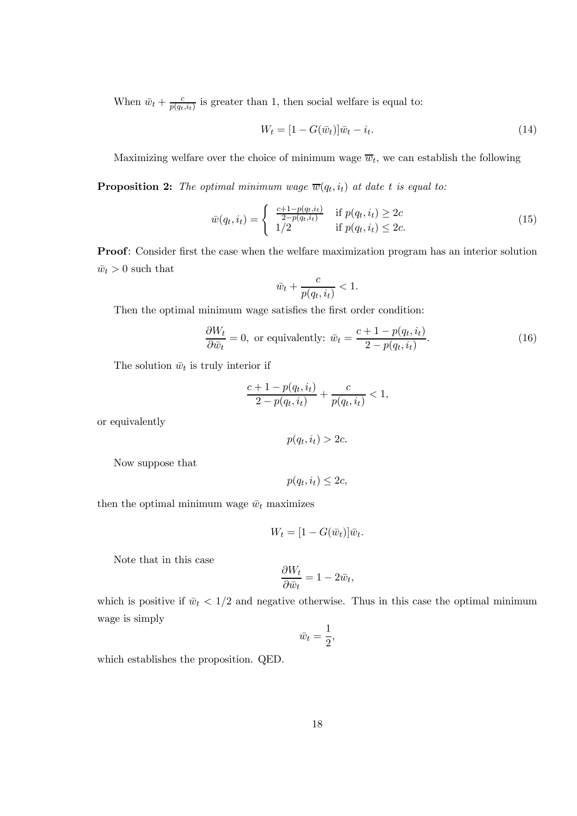When  $\bar{w}_t + \frac{c}{p(q_t,i_t)}$  is greater than 1, then social welfare is equal to:

$$
W_t = [1 - G(\bar{w}_t)]\bar{w}_t - i_t.
$$
\n
$$
(14)
$$

Maximizing welfare over the choice of minimum wage  $\overline{w}_t$ , we can establish the following

**Proposition 2:** The optimal minimum wage  $\overline{w}(q_t, i_t)$  at date t is equal to:

$$
\bar{w}(q_t, i_t) = \begin{cases}\n\frac{c+1 - p(q_t, i_t)}{2 - p(q_t, i_t)} & \text{if } p(q_t, i_t) \ge 2c \\
1/2 & \text{if } p(q_t, i_t) \le 2c.\n\end{cases}
$$
\n(15)

Proof: Consider first the case when the welfare maximization program has an interior solution  $\bar{w}_t > 0$  such that

$$
\bar{w}_t + \frac{c}{p(q_t, i_t)} < 1.
$$

Then the optimal minimum wage satisfies the first order condition:

$$
\frac{\partial W_t}{\partial \bar{w}_t} = 0, \text{ or equivalently: } \bar{w}_t = \frac{c+1-p(q_t, i_t)}{2-p(q_t, i_t)}.
$$
 (16)

The solution  $\bar{w}_t$  is truly interior if

$$
\frac{c+1-p(q_t, i_t)}{2-p(q_t, i_t)} + \frac{c}{p(q_t, i_t)} < 1,
$$

or equivalently

$$
p(q_t, i_t) > 2c.
$$

Now suppose that

 $p(q_t, i_t) \leq 2c$ ,

then the optimal minimum wage  $\bar{w}_t$  maximizes

$$
W_t = [1 - G(\bar{w}_t)]\bar{w}_t.
$$

Note that in this case

$$
\frac{\partial W_t}{\partial \bar{w}_t} = 1 - 2\bar{w}_t,
$$

which is positive if  $\bar{w}_t < 1/2$  and negative otherwise. Thus in this case the optimal minimum wage is simply

$$
\bar{w}_t = \frac{1}{2},
$$

which establishes the proposition. QED.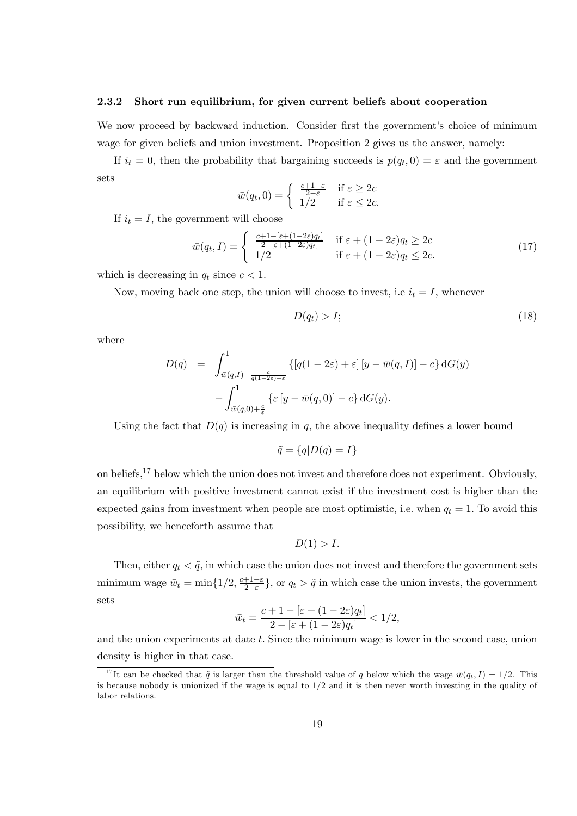### 2.3.2 Short run equilibrium, for given current beliefs about cooperation

We now proceed by backward induction. Consider first the government's choice of minimum wage for given beliefs and union investment. Proposition 2 gives us the answer, namely:

If  $i_t = 0$ , then the probability that bargaining succeeds is  $p(q_t, 0) = \varepsilon$  and the government sets

$$
\bar{w}(q_t, 0) = \begin{cases} \frac{c+1-\varepsilon}{2-\varepsilon} & \text{if } \varepsilon \ge 2c \\ 1/2 & \text{if } \varepsilon \le 2c. \end{cases}
$$

If  $i_t = I$ , the government will choose

$$
\bar{w}(q_t, I) = \begin{cases}\n\frac{c+1 - [\varepsilon + (1-2\varepsilon)q_t]}{2 - [\varepsilon + (1-2\varepsilon)q_t]} & \text{if } \varepsilon + (1-2\varepsilon)q_t \ge 2c \\
1/2 & \text{if } \varepsilon + (1-2\varepsilon)q_t \le 2c.\n\end{cases}
$$
\n(17)

which is decreasing in  $q_t$  since  $c < 1$ .

Now, moving back one step, the union will choose to invest, i.e  $i_t = I$ , whenever

$$
D(q_t) > I; \tag{18}
$$

where

$$
D(q) = \int_{\bar{w}(q,I)+\frac{c}{q(1-2\varepsilon)+\varepsilon}}^{1} \left\{ [q(1-2\varepsilon)+\varepsilon] \left[ y-\bar{w}(q,I) \right] - c \right\} dG(y)
$$

$$
-\int_{\bar{w}(q,0)+\frac{c}{\varepsilon}}^{1} \left\{ \varepsilon \left[ y-\bar{w}(q,0) \right] - c \right\} dG(y).
$$

Using the fact that  $D(q)$  is increasing in q, the above inequality defines a lower bound

$$
\tilde{q} = \{q|D(q) = I\}
$$

on beliefs,17 below which the union does not invest and therefore does not experiment. Obviously, an equilibrium with positive investment cannot exist if the investment cost is higher than the expected gains from investment when people are most optimistic, i.e. when  $q_t = 1$ . To avoid this possibility, we henceforth assume that

$$
D(1) > I.
$$

Then, either  $q_t < \tilde{q}$ , in which case the union does not invest and therefore the government sets minimum wage  $\bar{w}_t = \min\{1/2, \frac{c+1-\varepsilon}{2-\varepsilon}\}\$ , or  $q_t > \tilde{q}$  in which case the union invests, the government sets

$$
\bar{w}_t = \frac{c+1 - \left[\varepsilon + (1-2\varepsilon)q_t\right]}{2 - \left[\varepsilon + (1-2\varepsilon)q_t\right]} < 1/2,
$$

and the union experiments at date t. Since the minimum wage is lower in the second case, union density is higher in that case.

<sup>&</sup>lt;sup>17</sup>It can be checked that  $\tilde{q}$  is larger than the threshold value of q below which the wage  $\bar{w}(q_t, I)=1/2$ . This is because nobody is unionized if the wage is equal to  $1/2$  and it is then never worth investing in the quality of labor relations.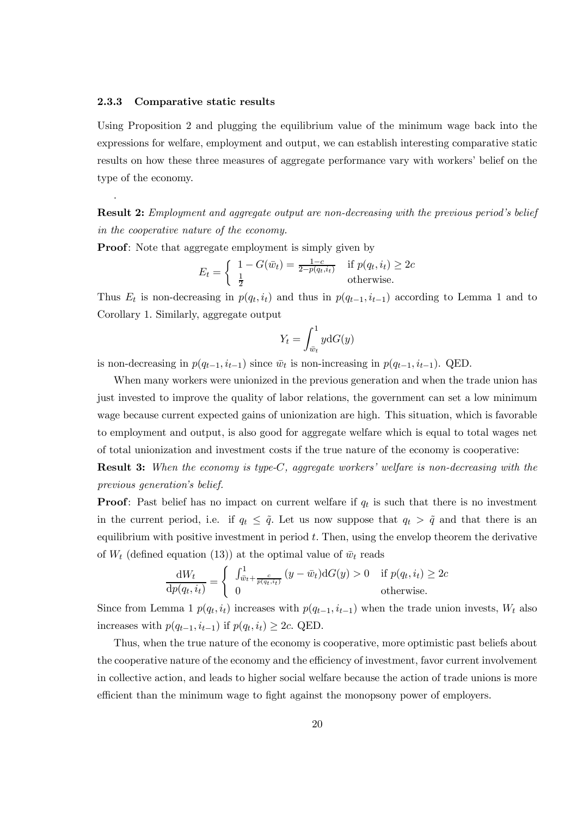### 2.3.3 Comparative static results

.

Using Proposition 2 and plugging the equilibrium value of the minimum wage back into the expressions for welfare, employment and output, we can establish interesting comparative static results on how these three measures of aggregate performance vary with workers' belief on the type of the economy.

**Result 2:** Employment and aggregate output are non-decreasing with the previous period's belief in the cooperative nature of the economy.

**Proof:** Note that aggregate employment is simply given by

$$
E_t = \begin{cases} 1 - G(\bar{w}_t) = \frac{1 - c}{2 - p(q_t, i_t)} & \text{if } p(q_t, i_t) \ge 2c\\ \frac{1}{2} & \text{otherwise.} \end{cases}
$$

Thus  $E_t$  is non-decreasing in  $p(q_t, i_t)$  and thus in  $p(q_{t-1}, i_{t-1})$  according to Lemma 1 and to Corollary 1. Similarly, aggregate output

$$
Y_t = \int_{\bar{w}_t}^1 y \mathrm{d}G(y)
$$

is non-decreasing in  $p(q_{t-1}, i_{t-1})$  since  $\bar{w}_t$  is non-increasing in  $p(q_{t-1}, i_{t-1})$ . QED.

When many workers were unionized in the previous generation and when the trade union has just invested to improve the quality of labor relations, the government can set a low minimum wage because current expected gains of unionization are high. This situation, which is favorable to employment and output, is also good for aggregate welfare which is equal to total wages net of total unionization and investment costs if the true nature of the economy is cooperative:

**Result 3:** When the economy is type-C, aggregate workers' welfare is non-decreasing with the previous generation's belief.

**Proof:** Past belief has no impact on current welfare if  $q_t$  is such that there is no investment in the current period, i.e. if  $q_t \leq \tilde{q}$ . Let us now suppose that  $q_t > \tilde{q}$  and that there is an equilibrium with positive investment in period  $t$ . Then, using the envelop theorem the derivative of  $W_t$  (defined equation (13)) at the optimal value of  $\bar{w}_t$  reads

$$
\frac{dW_t}{dp(q_t, i_t)} = \begin{cases} \int_{\bar{w}_t + \frac{c}{p(q_t, i_t)}}^1 (y - \bar{w}_t) dG(y) > 0 & \text{if } p(q_t, i_t) \ge 2c \\ 0 & \text{otherwise.} \end{cases}
$$

Since from Lemma 1  $p(q_t, i_t)$  increases with  $p(q_{t-1}, i_{t-1})$  when the trade union invests,  $W_t$  also increases with  $p(q_{t-1}, i_{t-1})$  if  $p(q_t, i_t) \geq 2c$ . QED.

Thus, when the true nature of the economy is cooperative, more optimistic past beliefs about the cooperative nature of the economy and the efficiency of investment, favor current involvement in collective action, and leads to higher social welfare because the action of trade unions is more efficient than the minimum wage to fight against the monopsony power of employers.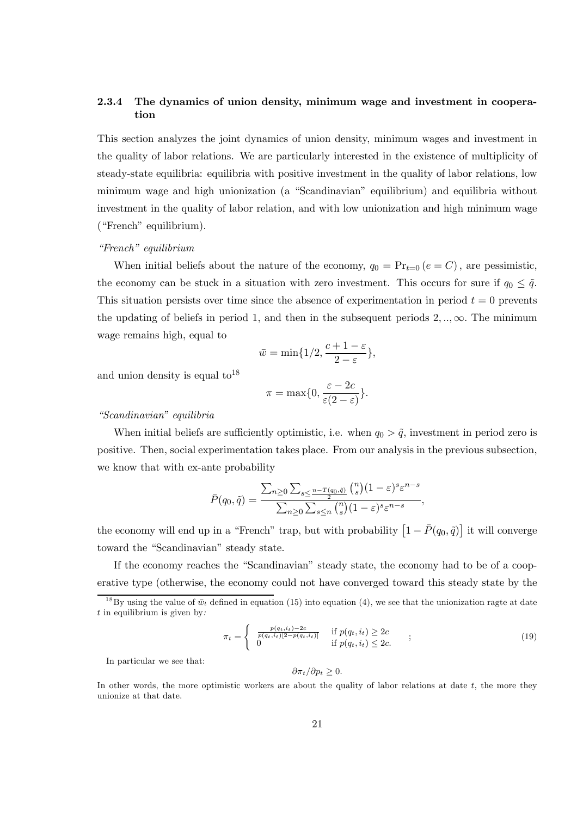### 2.3.4 The dynamics of union density, minimum wage and investment in cooperation

This section analyzes the joint dynamics of union density, minimum wages and investment in the quality of labor relations. We are particularly interested in the existence of multiplicity of steady-state equilibria: equilibria with positive investment in the quality of labor relations, low minimum wage and high unionization (a "Scandinavian" equilibrium) and equilibria without investment in the quality of labor relation, and with low unionization and high minimum wage ("French" equilibrium).

### "French" equilibrium

When initial beliefs about the nature of the economy,  $q_0 = Pr_{t=0} (e = C)$ , are pessimistic, the economy can be stuck in a situation with zero investment. This occurs for sure if  $q_0 \leq \tilde{q}$ . This situation persists over time since the absence of experimentation in period  $t = 0$  prevents the updating of beliefs in period 1, and then in the subsequent periods  $2, \ldots, \infty$ . The minimum wage remains high, equal to

$$
\bar{w} = \min\{1/2, \frac{c+1-\varepsilon}{2-\varepsilon}\},\
$$

and union density is equal  $\mathrm{to}^{18}$ 

$$
\pi = \max\{0, \frac{\varepsilon - 2c}{\varepsilon(2 - \varepsilon)}\}.
$$

### "Scandinavian" equilibria

When initial beliefs are sufficiently optimistic, i.e. when  $q_0 > \tilde{q}$ , investment in period zero is positive. Then, social experimentation takes place. From our analysis in the previous subsection, we know that with ex-ante probability

$$
\bar{P}(q_0, \tilde{q}) = \frac{\sum_{n \geq 0} \sum_{s \leq \frac{n - T(q_0, \tilde{q})}{2}} {n \choose s} (1 - \varepsilon)^s \varepsilon^{n - s}}{\sum_{n \geq 0} \sum_{s \leq n} {n \choose s} (1 - \varepsilon)^s \varepsilon^{n - s}},
$$

the economy will end up in a "French" trap, but with probability  $\left[1 - \bar{P}(q_0, \tilde{q})\right]$  it will converge toward the "Scandinavian" steady state.

If the economy reaches the "Scandinavian" steady state, the economy had to be of a cooperative type (otherwise, the economy could not have converged toward this steady state by the

$$
\pi_t = \begin{cases}\n\frac{p(q_t, i_t) - 2c}{p(q_t, i_t)[2 - p(q_t, i_t)]} & \text{if } p(q_t, i_t) \ge 2c \\
0 & \text{if } p(q_t, i_t) \le 2c.\n\end{cases}
$$
\n(19)

In particular we see that:

$$
\partial \pi_t / \partial p_t \geq 0.
$$

In other words, the more optimistic workers are about the quality of labor relations at date  $t$ , the more they unionize at that date.

<sup>&</sup>lt;sup>18</sup>By using the value of  $\bar{w}_t$  defined in equation (15) into equation (4), we see that the unionization ragte at date  $t$  in equilibrium is given by: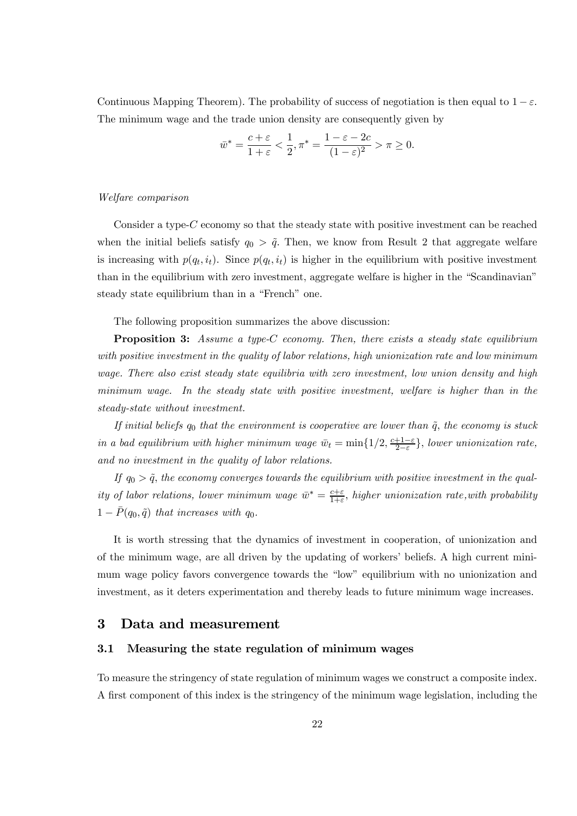Continuous Mapping Theorem). The probability of success of negotiation is then equal to  $1 - \varepsilon$ . The minimum wage and the trade union density are consequently given by

$$
\overline{w}^* = \frac{c+\varepsilon}{1+\varepsilon} < \frac{1}{2}, \pi^* = \frac{1-\varepsilon-2c}{(1-\varepsilon)^2} > \pi \ge 0.
$$

Welfare comparison

Consider a type-C economy so that the steady state with positive investment can be reached when the initial beliefs satisfy  $q_0 > \tilde{q}$ . Then, we know from Result 2 that aggregate welfare is increasing with  $p(q_t, i_t)$ . Since  $p(q_t, i_t)$  is higher in the equilibrium with positive investment than in the equilibrium with zero investment, aggregate welfare is higher in the "Scandinavian" steady state equilibrium than in a "French" one.

The following proposition summarizes the above discussion:

**Proposition 3:** Assume a type-C economy. Then, there exists a steady state equilibrium with positive investment in the quality of labor relations, high unionization rate and low minimum wage. There also exist steady state equilibria with zero investment, low union density and high minimum wage. In the steady state with positive investment, welfare is higher than in the steady-state without investment.

If initial beliefs  $q_0$  that the environment is cooperative are lower than  $\tilde{q}$ , the economy is stuck in a bad equilibrium with higher minimum wage  $\bar{w}_t = \min\{1/2, \frac{c+1-\varepsilon}{2-\varepsilon}\}\$ , lower unionization rate, and no investment in the quality of labor relations.

If  $q_0 > \tilde{q}$ , the economy converges towards the equilibrium with positive investment in the quality of labor relations, lower minimum wage  $\bar{w}^* = \frac{c+\varepsilon}{1+\varepsilon}$ , higher unionization rate, with probability  $1 - \bar{P}(q_0, \tilde{q})$  that increases with  $q_0$ .

It is worth stressing that the dynamics of investment in cooperation, of unionization and of the minimum wage, are all driven by the updating of workers' beliefs. A high current minimum wage policy favors convergence towards the "low" equilibrium with no unionization and investment, as it deters experimentation and thereby leads to future minimum wage increases.

### 3 Data and measurement

### 3.1 Measuring the state regulation of minimum wages

To measure the stringency of state regulation of minimum wages we construct a composite index. A first component of this index is the stringency of the minimum wage legislation, including the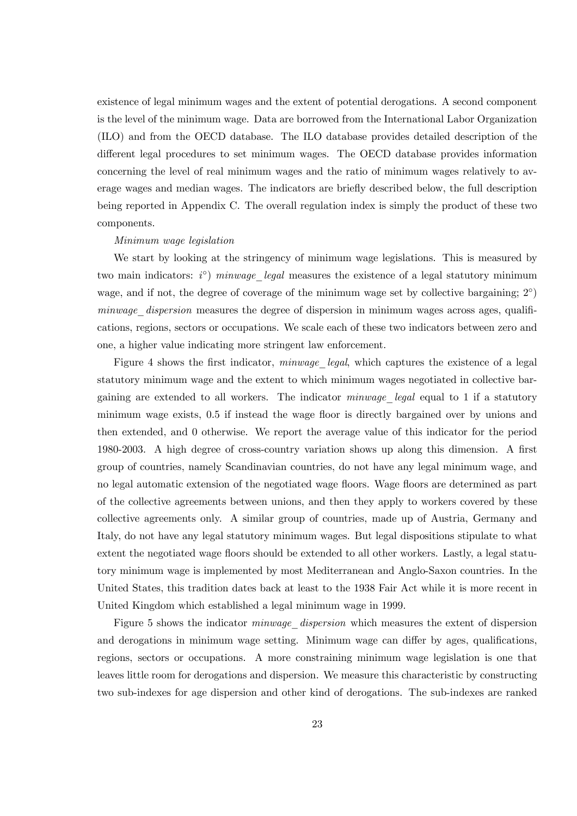existence of legal minimum wages and the extent of potential derogations. A second component is the level of the minimum wage. Data are borrowed from the International Labor Organization (ILO) and from the OECD database. The ILO database provides detailed description of the different legal procedures to set minimum wages. The OECD database provides information concerning the level of real minimum wages and the ratio of minimum wages relatively to average wages and median wages. The indicators are briefly described below, the full description being reported in Appendix C. The overall regulation index is simply the product of these two components.

### Minimum wage legislation

We start by looking at the stringency of minimum wage legislations. This is measured by two main indicators:  $i^{\circ}$  minwage legal measures the existence of a legal statutory minimum wage, and if not, the degree of coverage of the minimum wage set by collective bargaining;  $2°$ ) minwage dispersion measures the degree of dispersion in minimum wages across ages, qualifications, regions, sectors or occupations. We scale each of these two indicators between zero and one, a higher value indicating more stringent law enforcement.

Figure 4 shows the first indicator, *minwage legal*, which captures the existence of a legal statutory minimum wage and the extent to which minimum wages negotiated in collective bargaining are extended to all workers. The indicator *minwage* legal equal to 1 if a statutory minimum wage exists, 0.5 if instead the wage floor is directly bargained over by unions and then extended, and 0 otherwise. We report the average value of this indicator for the period 1980-2003. A high degree of cross-country variation shows up along this dimension. A first group of countries, namely Scandinavian countries, do not have any legal minimum wage, and no legal automatic extension of the negotiated wage floors. Wage floors are determined as part of the collective agreements between unions, and then they apply to workers covered by these collective agreements only. A similar group of countries, made up of Austria, Germany and Italy, do not have any legal statutory minimum wages. But legal dispositions stipulate to what extent the negotiated wage floors should be extended to all other workers. Lastly, a legal statutory minimum wage is implemented by most Mediterranean and Anglo-Saxon countries. In the United States, this tradition dates back at least to the 1938 Fair Act while it is more recent in United Kingdom which established a legal minimum wage in 1999.

Figure 5 shows the indicator *minwage* dispersion which measures the extent of dispersion and derogations in minimum wage setting. Minimum wage can differ by ages, qualifications, regions, sectors or occupations. A more constraining minimum wage legislation is one that leaves little room for derogations and dispersion. We measure this characteristic by constructing two sub-indexes for age dispersion and other kind of derogations. The sub-indexes are ranked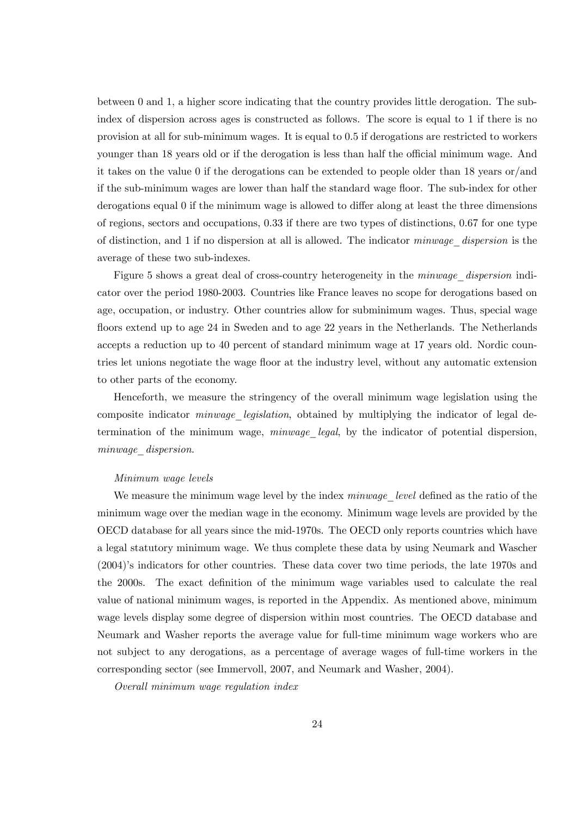between 0 and 1, a higher score indicating that the country provides little derogation. The subindex of dispersion across ages is constructed as follows. The score is equal to 1 if there is no provision at all for sub-minimum wages. It is equal to 0.5 if derogations are restricted to workers younger than 18 years old or if the derogation is less than half the official minimum wage. And it takes on the value 0 if the derogations can be extended to people older than 18 years or/and if the sub-minimum wages are lower than half the standard wage floor. The sub-index for other derogations equal 0 if the minimum wage is allowed to differ along at least the three dimensions of regions, sectors and occupations, 0.33 if there are two types of distinctions, 0.67 for one type of distinction, and 1 if no dispersion at all is allowed. The indicator minwage\_dispersion is the average of these two sub-indexes.

Figure 5 shows a great deal of cross-country heterogeneity in the *minwage* dispersion indicator over the period 1980-2003. Countries like France leaves no scope for derogations based on age, occupation, or industry. Other countries allow for subminimum wages. Thus, special wage floors extend up to age 24 in Sweden and to age 22 years in the Netherlands. The Netherlands accepts a reduction up to 40 percent of standard minimum wage at 17 years old. Nordic countries let unions negotiate the wage floor at the industry level, without any automatic extension to other parts of the economy.

Henceforth, we measure the stringency of the overall minimum wage legislation using the composite indicator *minwage* legislation, obtained by multiplying the indicator of legal determination of the minimum wage, *minwage legal*, by the indicator of potential dispersion, minwage dispersion.

### Minimum wage levels

We measure the minimum wage level by the index *minwage* level defined as the ratio of the minimum wage over the median wage in the economy. Minimum wage levels are provided by the OECD database for all years since the mid-1970s. The OECD only reports countries which have a legal statutory minimum wage. We thus complete these data by using Neumark and Wascher (2004)'s indicators for other countries. These data cover two time periods, the late 1970s and the 2000s. The exact definition of the minimum wage variables used to calculate the real value of national minimum wages, is reported in the Appendix. As mentioned above, minimum wage levels display some degree of dispersion within most countries. The OECD database and Neumark and Washer reports the average value for full-time minimum wage workers who are not subject to any derogations, as a percentage of average wages of full-time workers in the corresponding sector (see Immervoll, 2007, and Neumark and Washer, 2004).

Overall minimum wage regulation index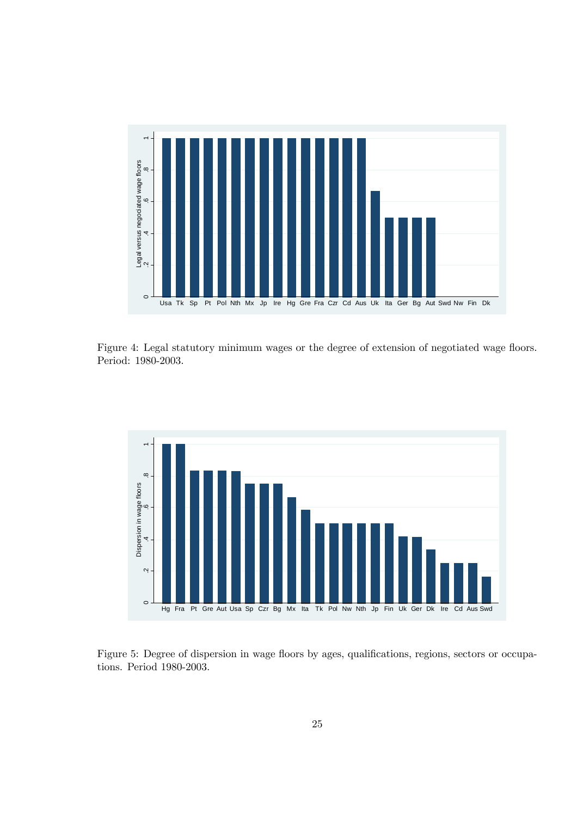

Figure 4: Legal statutory minimum wages or the degree of extension of negotiated wage floors. Period: 1980-2003.



Figure 5: Degree of dispersion in wage floors by ages, qualifications, regions, sectors or occupations. Period 1980-2003.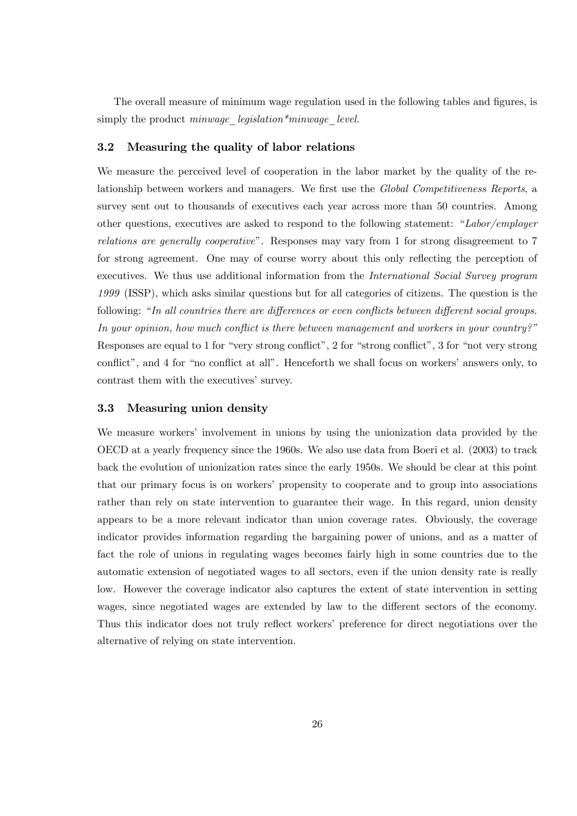The overall measure of minimum wage regulation used in the following tables and figures, is simply the product *minwage* legislation\*minwage level.

### 3.2 Measuring the quality of labor relations

We measure the perceived level of cooperation in the labor market by the quality of the relationship between workers and managers. We first use the Global Competitiveness Reports, a survey sent out to thousands of executives each year across more than 50 countries. Among other questions, executives are asked to respond to the following statement: "Labor/employer relations are generally cooperative". Responses may vary from 1 for strong disagreement to 7 for strong agreement. One may of course worry about this only reflecting the perception of executives. We thus use additional information from the International Social Survey program 1999 (ISSP), which asks similar questions but for all categories of citizens. The question is the following: "In all countries there are differences or even conflicts between different social groups. In your opinion, how much conflict is there between management and workers in your country?" Responses are equal to 1 for "very strong conflict", 2 for "strong conflict", 3 for "not very strong conflict", and 4 for "no conflict at all". Henceforth we shall focus on workers' answers only, to contrast them with the executives' survey.

### 3.3 Measuring union density

We measure workers' involvement in unions by using the unionization data provided by the OECD at a yearly frequency since the 1960s. We also use data from Boeri et al. (2003) to track back the evolution of unionization rates since the early 1950s. We should be clear at this point that our primary focus is on workers' propensity to cooperate and to group into associations rather than rely on state intervention to guarantee their wage. In this regard, union density appears to be a more relevant indicator than union coverage rates. Obviously, the coverage indicator provides information regarding the bargaining power of unions, and as a matter of fact the role of unions in regulating wages becomes fairly high in some countries due to the automatic extension of negotiated wages to all sectors, even if the union density rate is really low. However the coverage indicator also captures the extent of state intervention in setting wages, since negotiated wages are extended by law to the different sectors of the economy. Thus this indicator does not truly reflect workers' preference for direct negotiations over the alternative of relying on state intervention.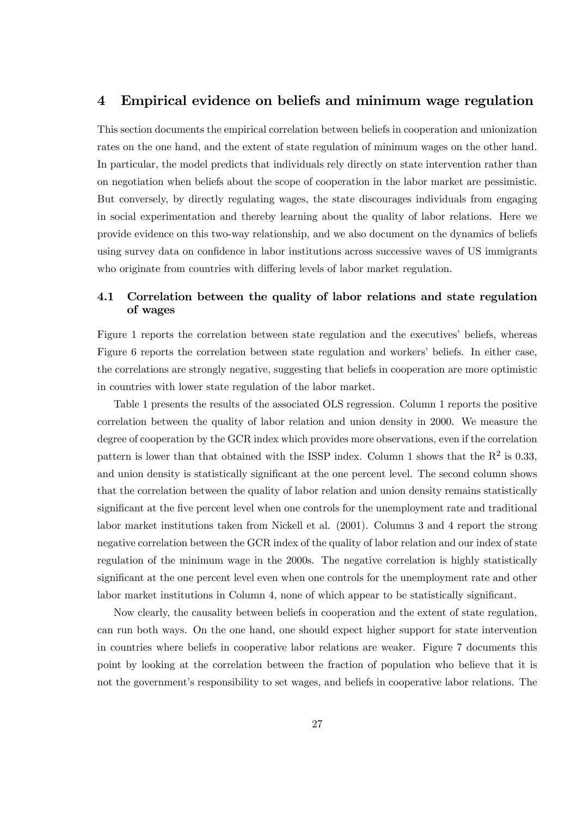### 4 Empirical evidence on beliefs and minimum wage regulation

This section documents the empirical correlation between beliefs in cooperation and unionization rates on the one hand, and the extent of state regulation of minimum wages on the other hand. In particular, the model predicts that individuals rely directly on state intervention rather than on negotiation when beliefs about the scope of cooperation in the labor market are pessimistic. But conversely, by directly regulating wages, the state discourages individuals from engaging in social experimentation and thereby learning about the quality of labor relations. Here we provide evidence on this two-way relationship, and we also document on the dynamics of beliefs using survey data on confidence in labor institutions across successive waves of US immigrants who originate from countries with differing levels of labor market regulation.

### 4.1 Correlation between the quality of labor relations and state regulation of wages

Figure 1 reports the correlation between state regulation and the executives' beliefs, whereas Figure 6 reports the correlation between state regulation and workers' beliefs. In either case, the correlations are strongly negative, suggesting that beliefs in cooperation are more optimistic in countries with lower state regulation of the labor market.

Table 1 presents the results of the associated OLS regression. Column 1 reports the positive correlation between the quality of labor relation and union density in 2000. We measure the degree of cooperation by the GCR index which provides more observations, even if the correlation pattern is lower than that obtained with the ISSP index. Column 1 shows that the  $R^2$  is 0.33, and union density is statistically significant at the one percent level. The second column shows that the correlation between the quality of labor relation and union density remains statistically significant at the five percent level when one controls for the unemployment rate and traditional labor market institutions taken from Nickell et al. (2001). Columns 3 and 4 report the strong negative correlation between the GCR index of the quality of labor relation and our index of state regulation of the minimum wage in the 2000s. The negative correlation is highly statistically significant at the one percent level even when one controls for the unemployment rate and other labor market institutions in Column 4, none of which appear to be statistically significant.

Now clearly, the causality between beliefs in cooperation and the extent of state regulation, can run both ways. On the one hand, one should expect higher support for state intervention in countries where beliefs in cooperative labor relations are weaker. Figure 7 documents this point by looking at the correlation between the fraction of population who believe that it is not the government's responsibility to set wages, and beliefs in cooperative labor relations. The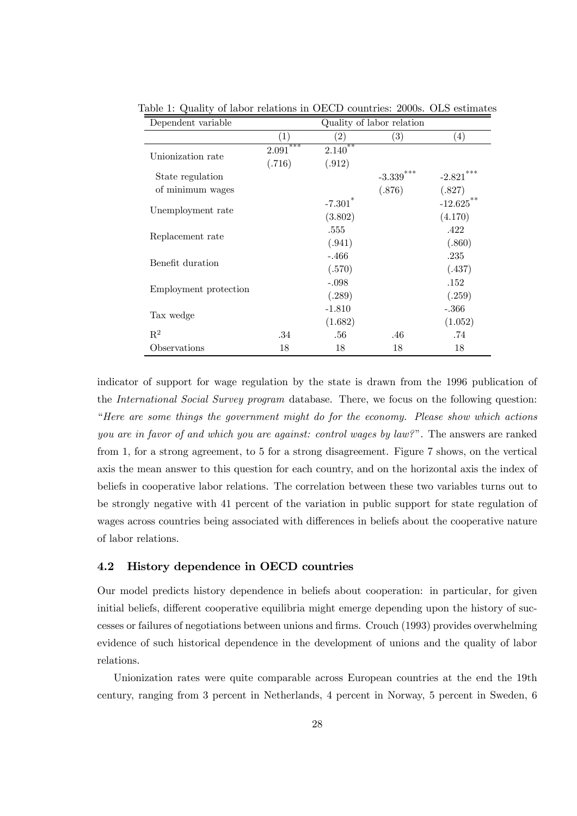| Dependent variable    | Quality of labor relation |                       |                                  |                   |
|-----------------------|---------------------------|-----------------------|----------------------------------|-------------------|
|                       | (1)                       | (2)                   | $\left( 3\right)$                | $\left( 4\right)$ |
| Unionization rate     | ***<br>2.091              | ऋक्र<br>2.140         |                                  |                   |
|                       | (.716)                    | (.912)                |                                  |                   |
| State regulation      |                           |                       | $\textbf{-3.339}^{\ast\ast\ast}$ | $***$<br>$-2.821$ |
| of minimum wages      |                           |                       | (.876)                           | (.827)            |
|                       |                           | $-7.301$ <sup>*</sup> |                                  | $-12.625$ **      |
| Unemployment rate     |                           | (3.802)               |                                  | (4.170)           |
|                       |                           | .555                  |                                  | .422              |
| Replacement rate      |                           | (.941)                |                                  | (.860)            |
| Benefit duration      |                           | $-.466$               |                                  | .235              |
|                       |                           | (.570)                |                                  | (.437)            |
| Employment protection |                           | $-.098$               |                                  | .152              |
|                       |                           | (.289)                |                                  | (.259)            |
| Tax wedge             |                           | $-1.810$              |                                  | $-.366$           |
|                       |                           | (1.682)               |                                  | (1.052)           |
| $\mathbf{R}^2$        | .34                       | .56                   | .46                              | .74               |
| Observations          | 18                        | 18                    | 18                               | 18                |

Table 1: Quality of labor relations in OECD countries: 2000s. OLS estimates

indicator of support for wage regulation by the state is drawn from the 1996 publication of the International Social Survey program database. There, we focus on the following question: "Here are some things the government might do for the economy. Please show which actions you are in favor of and which you are against: control wages by law?". The answers are ranked from 1, for a strong agreement, to 5 for a strong disagreement. Figure 7 shows, on the vertical axis the mean answer to this question for each country, and on the horizontal axis the index of beliefs in cooperative labor relations. The correlation between these two variables turns out to be strongly negative with 41 percent of the variation in public support for state regulation of wages across countries being associated with differences in beliefs about the cooperative nature of labor relations.

### 4.2 History dependence in OECD countries

Our model predicts history dependence in beliefs about cooperation: in particular, for given initial beliefs, different cooperative equilibria might emerge depending upon the history of successes or failures of negotiations between unions and firms. Crouch (1993) provides overwhelming evidence of such historical dependence in the development of unions and the quality of labor relations.

Unionization rates were quite comparable across European countries at the end the 19th century, ranging from 3 percent in Netherlands, 4 percent in Norway, 5 percent in Sweden, 6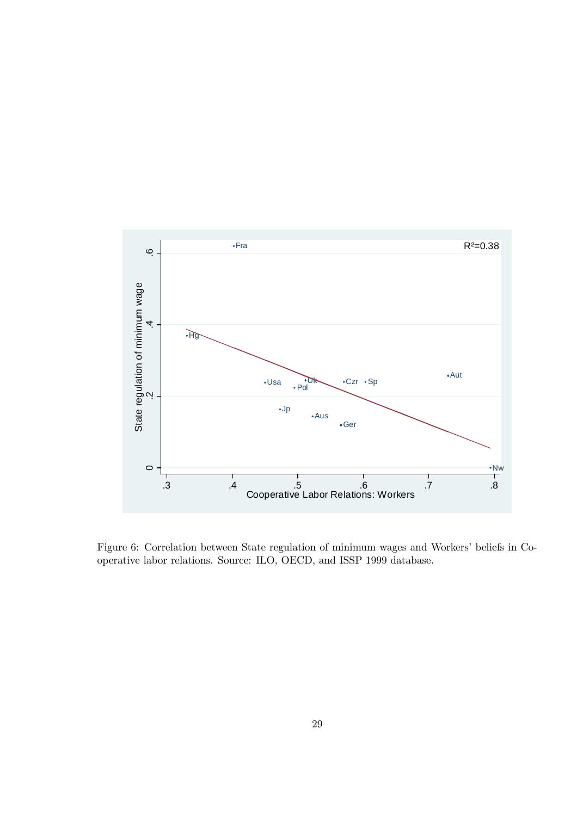

Figure 6: Correlation between State regulation of minimum wages and Workers' beliefs in Cooperative labor relations. Source: ILO, OECD, and ISSP 1999 database.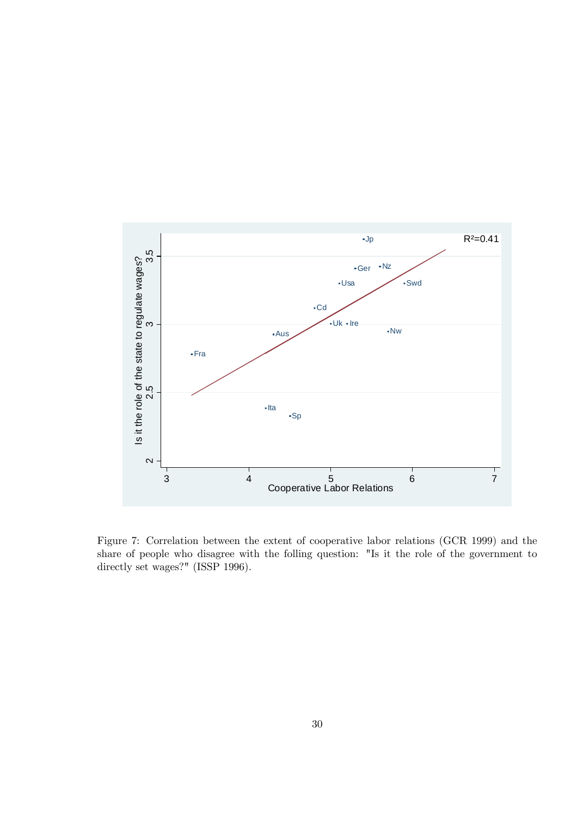

Figure 7: Correlation between the extent of cooperative labor relations (GCR 1999) and the share of people who disagree with the folling question: "Is it the role of the government to directly set wages?" (ISSP 1996).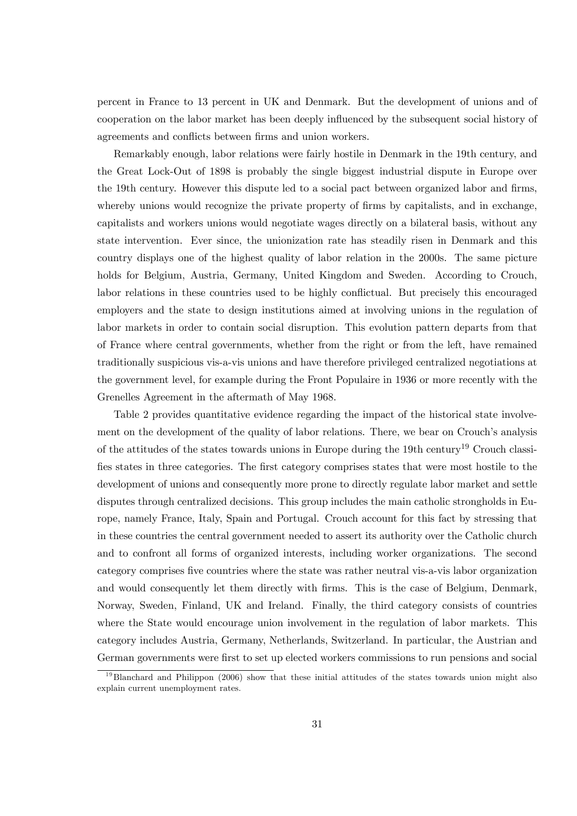percent in France to 13 percent in UK and Denmark. But the development of unions and of cooperation on the labor market has been deeply influenced by the subsequent social history of agreements and conflicts between firms and union workers.

Remarkably enough, labor relations were fairly hostile in Denmark in the 19th century, and the Great Lock-Out of 1898 is probably the single biggest industrial dispute in Europe over the 19th century. However this dispute led to a social pact between organized labor and firms, whereby unions would recognize the private property of firms by capitalists, and in exchange, capitalists and workers unions would negotiate wages directly on a bilateral basis, without any state intervention. Ever since, the unionization rate has steadily risen in Denmark and this country displays one of the highest quality of labor relation in the 2000s. The same picture holds for Belgium, Austria, Germany, United Kingdom and Sweden. According to Crouch, labor relations in these countries used to be highly conflictual. But precisely this encouraged employers and the state to design institutions aimed at involving unions in the regulation of labor markets in order to contain social disruption. This evolution pattern departs from that of France where central governments, whether from the right or from the left, have remained traditionally suspicious vis-a-vis unions and have therefore privileged centralized negotiations at the government level, for example during the Front Populaire in 1936 or more recently with the Grenelles Agreement in the aftermath of May 1968.

Table 2 provides quantitative evidence regarding the impact of the historical state involvement on the development of the quality of labor relations. There, we bear on Crouch's analysis of the attitudes of the states towards unions in Europe during the 19th century<sup>19</sup> Crouch classifies states in three categories. The first category comprises states that were most hostile to the development of unions and consequently more prone to directly regulate labor market and settle disputes through centralized decisions. This group includes the main catholic strongholds in Europe, namely France, Italy, Spain and Portugal. Crouch account for this fact by stressing that in these countries the central government needed to assert its authority over the Catholic church and to confront all forms of organized interests, including worker organizations. The second category comprises five countries where the state was rather neutral vis-a-vis labor organization and would consequently let them directly with firms. This is the case of Belgium, Denmark, Norway, Sweden, Finland, UK and Ireland. Finally, the third category consists of countries where the State would encourage union involvement in the regulation of labor markets. This category includes Austria, Germany, Netherlands, Switzerland. In particular, the Austrian and German governments were first to set up elected workers commissions to run pensions and social

 $19$ Blanchard and Philippon (2006) show that these initial attitudes of the states towards union might also explain current unemployment rates.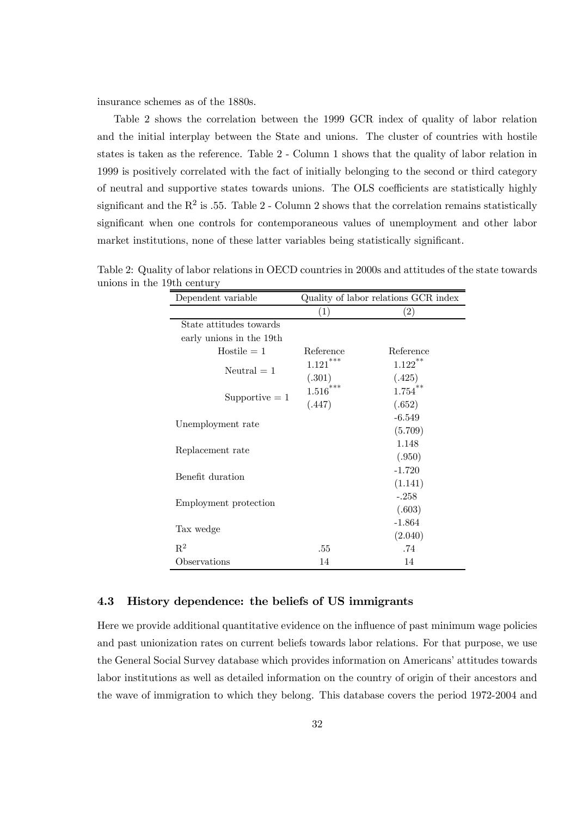insurance schemes as of the 1880s.

Table 2 shows the correlation between the 1999 GCR index of quality of labor relation and the initial interplay between the State and unions. The cluster of countries with hostile states is taken as the reference. Table 2 - Column 1 shows that the quality of labor relation in 1999 is positively correlated with the fact of initially belonging to the second or third category of neutral and supportive states towards unions. The OLS coefficients are statistically highly significant and the  $\mathbb{R}^2$  is .55. Table 2 - Column 2 shows that the correlation remains statistically significant when one controls for contemporaneous values of unemployment and other labor market institutions, none of these latter variables being statistically significant.

| Dependent variable       |                                    | Quality of labor relations GCR index |
|--------------------------|------------------------------------|--------------------------------------|
|                          | (1)                                | (2)                                  |
| State attitudes towards  |                                    |                                      |
| early unions in the 19th |                                    |                                      |
| $Hostile = 1$            | Reference                          | Reference                            |
| $Neutral = 1$            | $\left\mathtt{1.121}^{***}\right.$ | $1.122***$                           |
|                          | (.301)                             | (.425)                               |
| Supportive $= 1$         | $1.516***$                         | $1.754***$                           |
|                          | (.447)                             | (.652)                               |
|                          |                                    | $-6.549$                             |
| Unemployment rate        |                                    | (5.709)                              |
|                          |                                    | 1.148                                |
| Replacement rate         |                                    | (.950)                               |
| Benefit duration         |                                    | $-1.720$                             |
|                          |                                    | (1.141)                              |
|                          |                                    | $-.258$                              |
| Employment protection    |                                    | (.603)                               |
|                          |                                    | $-1.864$                             |
| Tax wedge                |                                    | (2.040)                              |
| $\mathbb{R}^2$           | .55                                | .74                                  |
| Observations             | 14                                 | 14                                   |

Table 2: Quality of labor relations in OECD countries in 2000s and attitudes of the state towards unions in the 19th century

### 4.3 History dependence: the beliefs of US immigrants

Here we provide additional quantitative evidence on the influence of past minimum wage policies and past unionization rates on current beliefs towards labor relations. For that purpose, we use the General Social Survey database which provides information on Americans' attitudes towards labor institutions as well as detailed information on the country of origin of their ancestors and the wave of immigration to which they belong. This database covers the period 1972-2004 and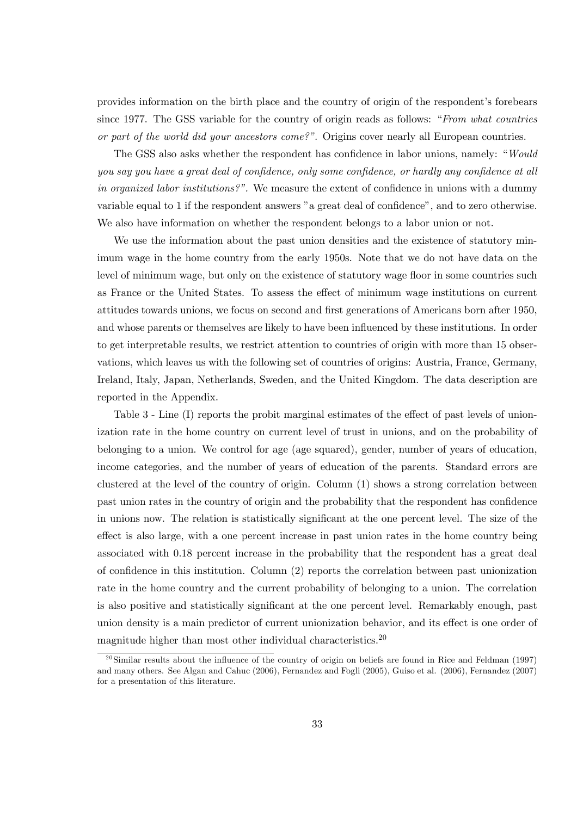provides information on the birth place and the country of origin of the respondent's forebears since 1977. The GSS variable for the country of origin reads as follows: "From what countries or part of the world did your ancestors come?". Origins cover nearly all European countries.

The GSS also asks whether the respondent has confidence in labor unions, namely: "Would you say you have a great deal of confidence, only some confidence, or hardly any confidence at all in organized labor institutions?". We measure the extent of confidence in unions with a dummy variable equal to 1 if the respondent answers "a great deal of confidence", and to zero otherwise. We also have information on whether the respondent belongs to a labor union or not.

We use the information about the past union densities and the existence of statutory minimum wage in the home country from the early 1950s. Note that we do not have data on the level of minimum wage, but only on the existence of statutory wage floor in some countries such as France or the United States. To assess the effect of minimum wage institutions on current attitudes towards unions, we focus on second and first generations of Americans born after 1950, and whose parents or themselves are likely to have been influenced by these institutions. In order to get interpretable results, we restrict attention to countries of origin with more than 15 observations, which leaves us with the following set of countries of origins: Austria, France, Germany, Ireland, Italy, Japan, Netherlands, Sweden, and the United Kingdom. The data description are reported in the Appendix.

Table 3 - Line (I) reports the probit marginal estimates of the effect of past levels of unionization rate in the home country on current level of trust in unions, and on the probability of belonging to a union. We control for age (age squared), gender, number of years of education, income categories, and the number of years of education of the parents. Standard errors are clustered at the level of the country of origin. Column (1) shows a strong correlation between past union rates in the country of origin and the probability that the respondent has confidence in unions now. The relation is statistically significant at the one percent level. The size of the effect is also large, with a one percent increase in past union rates in the home country being associated with 0.18 percent increase in the probability that the respondent has a great deal of confidence in this institution. Column (2) reports the correlation between past unionization rate in the home country and the current probability of belonging to a union. The correlation is also positive and statistically significant at the one percent level. Remarkably enough, past union density is a main predictor of current unionization behavior, and its effect is one order of magnitude higher than most other individual characteristics.<sup>20</sup>

 $^{20}$ Similar results about the influence of the country of origin on beliefs are found in Rice and Feldman (1997) and many others. See Algan and Cahuc (2006), Fernandez and Fogli (2005), Guiso et al. (2006), Fernandez (2007) for a presentation of this literature.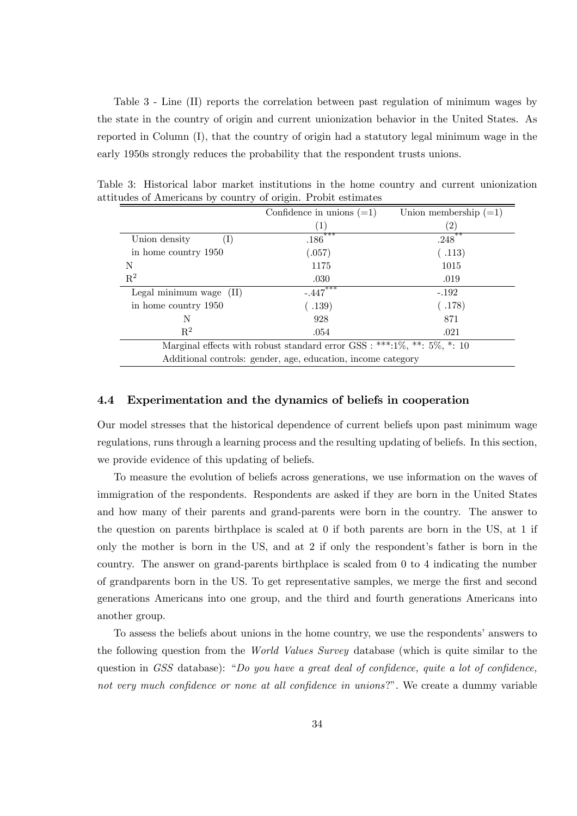Table 3 - Line (II) reports the correlation between past regulation of minimum wages by the state in the country of origin and current unionization behavior in the United States. As reported in Column (I), that the country of origin had a statutory legal minimum wage in the early 1950s strongly reduces the probability that the respondent trusts unions.

|                                                                           | Confidence in unions $(=1)$ | Union membership $(=1)$ |  |  |
|---------------------------------------------------------------------------|-----------------------------|-------------------------|--|--|
|                                                                           |                             | $\left( 2\right)$       |  |  |
| Union density                                                             | $.186***$                   | ∗∗<br>.248              |  |  |
| in home country 1950                                                      | (.057)                      | (.113)                  |  |  |
| N                                                                         | 1175                        | 1015                    |  |  |
| $\mathbf{R}^2$                                                            | .030                        | .019                    |  |  |
| Legal minimum wage $(II)$                                                 | $-.447$ <sup>***</sup>      | $-.192$                 |  |  |
| in home country 1950                                                      | (.139)                      | $($ .178)               |  |  |
| N                                                                         | 928                         | 871                     |  |  |
| $\mathbf{R}^2$                                                            | .054                        | .021                    |  |  |
| Marginal effects with robust standard error GSS : ***:1\%, **: 5\%, *: 10 |                             |                         |  |  |
| Additional controls: gender, age, education, income category              |                             |                         |  |  |

Table 3: Historical labor market institutions in the home country and current unionization attitudes of Americans by country of origin. Probit estimates

### 4.4 Experimentation and the dynamics of beliefs in cooperation

Our model stresses that the historical dependence of current beliefs upon past minimum wage regulations, runs through a learning process and the resulting updating of beliefs. In this section, we provide evidence of this updating of beliefs.

To measure the evolution of beliefs across generations, we use information on the waves of immigration of the respondents. Respondents are asked if they are born in the United States and how many of their parents and grand-parents were born in the country. The answer to the question on parents birthplace is scaled at 0 if both parents are born in the US, at 1 if only the mother is born in the US, and at 2 if only the respondent's father is born in the country. The answer on grand-parents birthplace is scaled from 0 to 4 indicating the number of grandparents born in the US. To get representative samples, we merge the first and second generations Americans into one group, and the third and fourth generations Americans into another group.

To assess the beliefs about unions in the home country, we use the respondents' answers to the following question from the World Values Survey database (which is quite similar to the question in GSS database): "Do you have a great deal of confidence, quite a lot of confidence, not very much confidence or none at all confidence in unions?". We create a dummy variable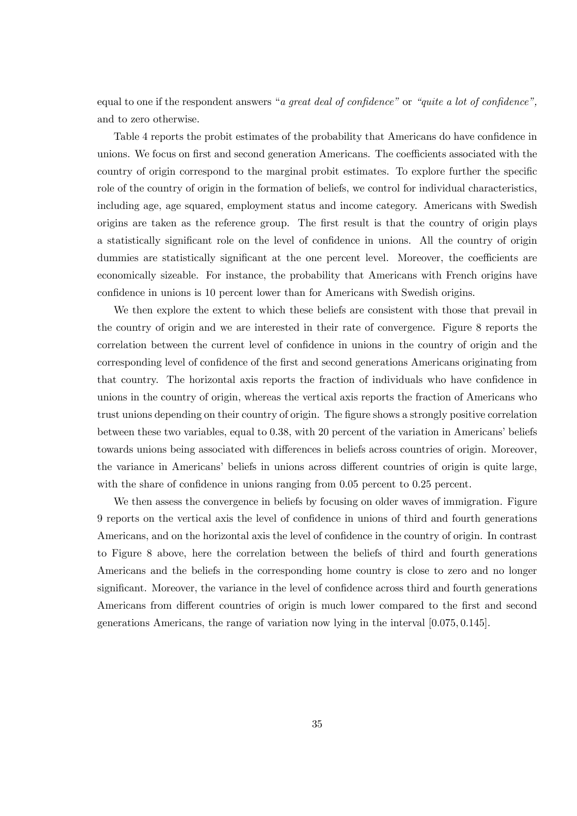equal to one if the respondent answers "a great deal of confidence" or "quite a lot of confidence", and to zero otherwise.

Table 4 reports the probit estimates of the probability that Americans do have confidence in unions. We focus on first and second generation Americans. The coefficients associated with the country of origin correspond to the marginal probit estimates. To explore further the specific role of the country of origin in the formation of beliefs, we control for individual characteristics, including age, age squared, employment status and income category. Americans with Swedish origins are taken as the reference group. The first result is that the country of origin plays a statistically significant role on the level of confidence in unions. All the country of origin dummies are statistically significant at the one percent level. Moreover, the coefficients are economically sizeable. For instance, the probability that Americans with French origins have confidence in unions is 10 percent lower than for Americans with Swedish origins.

We then explore the extent to which these beliefs are consistent with those that prevail in the country of origin and we are interested in their rate of convergence. Figure 8 reports the correlation between the current level of confidence in unions in the country of origin and the corresponding level of confidence of the first and second generations Americans originating from that country. The horizontal axis reports the fraction of individuals who have confidence in unions in the country of origin, whereas the vertical axis reports the fraction of Americans who trust unions depending on their country of origin. The figure shows a strongly positive correlation between these two variables, equal to 0.38, with 20 percent of the variation in Americans' beliefs towards unions being associated with differences in beliefs across countries of origin. Moreover, the variance in Americans' beliefs in unions across different countries of origin is quite large, with the share of confidence in unions ranging from 0.05 percent to 0.25 percent.

We then assess the convergence in beliefs by focusing on older waves of immigration. Figure 9 reports on the vertical axis the level of confidence in unions of third and fourth generations Americans, and on the horizontal axis the level of confidence in the country of origin. In contrast to Figure 8 above, here the correlation between the beliefs of third and fourth generations Americans and the beliefs in the corresponding home country is close to zero and no longer significant. Moreover, the variance in the level of confidence across third and fourth generations Americans from different countries of origin is much lower compared to the first and second generations Americans, the range of variation now lying in the interval [0.075, 0.145].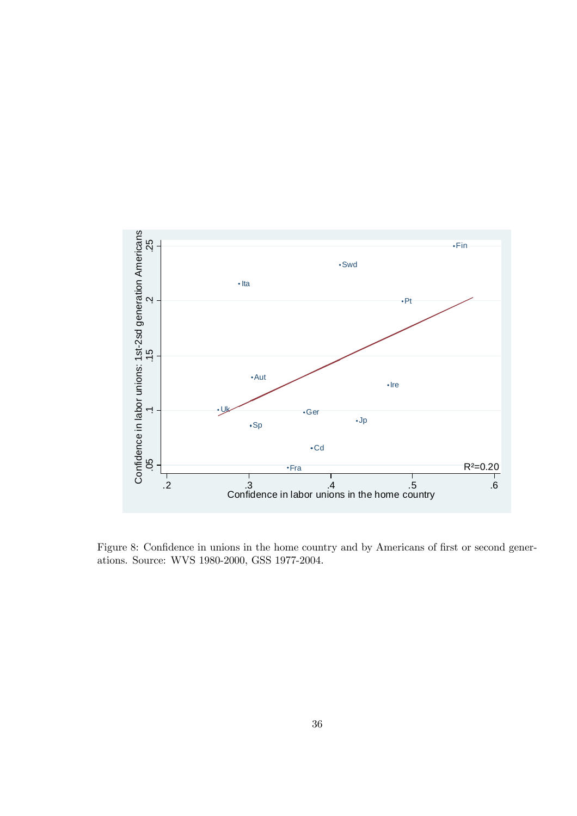

Figure 8: Confidence in unions in the home country and by Americans of first or second generations. Source: WVS 1980-2000, GSS 1977-2004.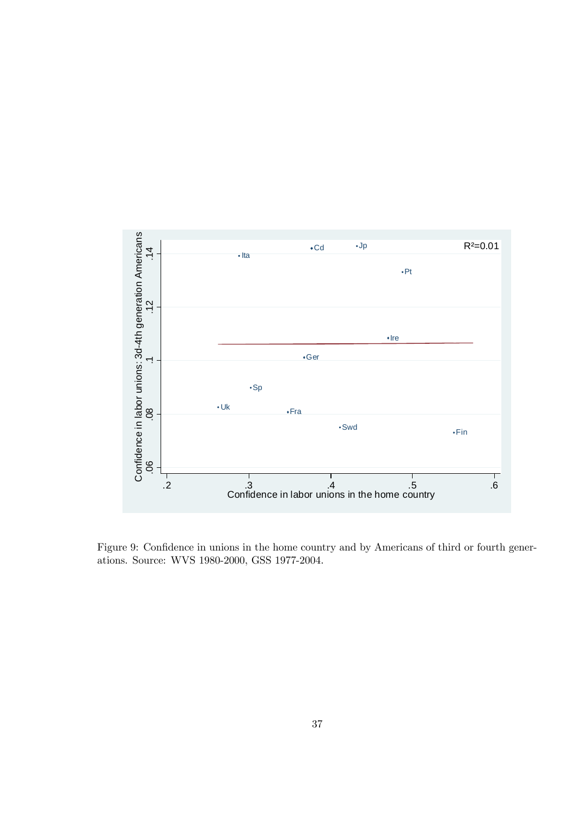

Figure 9: Confidence in unions in the home country and by Americans of third or fourth generations. Source: WVS 1980-2000, GSS 1977-2004.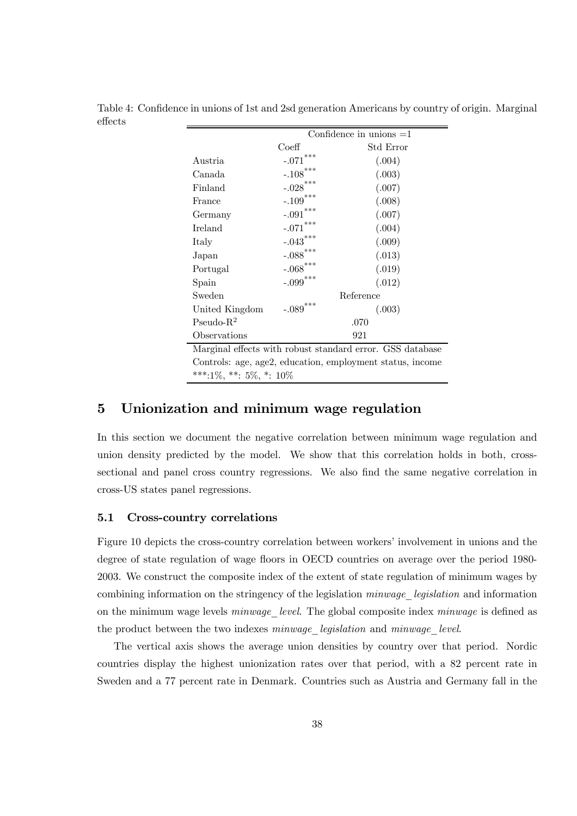|                |                        | Confidence in unions $=1$ |
|----------------|------------------------|---------------------------|
|                | Coeff                  | Std Error                 |
| Austria        | ***<br>$-.071$         | (.004)                    |
| Canada         | $***$<br>$-.108$       | (.003)                    |
| Finland        | $\textbf{-.028}^{***}$ | (.007)                    |
| France         | $-.109$                | (.008)                    |
| Germany        | ***<br>$-.091$         | (.007)                    |
| <b>Ireland</b> | ***<br>$-.071$         | (.004)                    |
| Italy          | $-.043***$             | (.009)                    |
| Japan          | $-.088$ ***            | (.013)                    |
| Portugal       | ${\text -}.068}^{***}$ | (.019)                    |
| Spain          | $-.099***$             | (.012)                    |
| Sweden         |                        | Reference                 |
| United Kingdom | $-.089$ ***            | (.003)                    |
| $Pseudo-R2$    |                        | .070                      |
| Observations   |                        | 921                       |

Table 4: Confidence in unions of 1st and 2sd generation Americans by country of origin. Marginal effects

Marginal effects with robust standard error. GSS database Controls: age, age2, education, employment status, income \*\*\*:1%, \*\*: 5%, \*: 10%

### 5 Unionization and minimum wage regulation

In this section we document the negative correlation between minimum wage regulation and union density predicted by the model. We show that this correlation holds in both, crosssectional and panel cross country regressions. We also find the same negative correlation in cross-US states panel regressions.

### 5.1 Cross-country correlations

Figure 10 depicts the cross-country correlation between workers' involvement in unions and the degree of state regulation of wage floors in OECD countries on average over the period 1980- 2003. We construct the composite index of the extent of state regulation of minimum wages by combining information on the stringency of the legislation minwage—legislation and information on the minimum wage levels *minwage* level. The global composite index *minwage* is defined as the product between the two indexes minwage legislation and minwage level.

The vertical axis shows the average union densities by country over that period. Nordic countries display the highest unionization rates over that period, with a 82 percent rate in Sweden and a 77 percent rate in Denmark. Countries such as Austria and Germany fall in the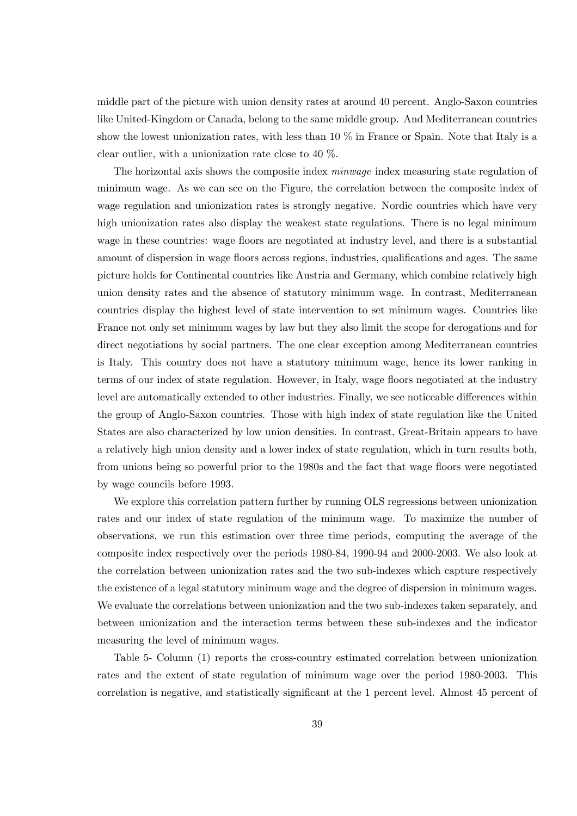middle part of the picture with union density rates at around 40 percent. Anglo-Saxon countries like United-Kingdom or Canada, belong to the same middle group. And Mediterranean countries show the lowest unionization rates, with less than 10 % in France or Spain. Note that Italy is a clear outlier, with a unionization rate close to 40 %.

The horizontal axis shows the composite index *minwage* index measuring state regulation of minimum wage. As we can see on the Figure, the correlation between the composite index of wage regulation and unionization rates is strongly negative. Nordic countries which have very high unionization rates also display the weakest state regulations. There is no legal minimum wage in these countries: wage floors are negotiated at industry level, and there is a substantial amount of dispersion in wage floors across regions, industries, qualifications and ages. The same picture holds for Continental countries like Austria and Germany, which combine relatively high union density rates and the absence of statutory minimum wage. In contrast, Mediterranean countries display the highest level of state intervention to set minimum wages. Countries like France not only set minimum wages by law but they also limit the scope for derogations and for direct negotiations by social partners. The one clear exception among Mediterranean countries is Italy. This country does not have a statutory minimum wage, hence its lower ranking in terms of our index of state regulation. However, in Italy, wage floors negotiated at the industry level are automatically extended to other industries. Finally, we see noticeable differences within the group of Anglo-Saxon countries. Those with high index of state regulation like the United States are also characterized by low union densities. In contrast, Great-Britain appears to have a relatively high union density and a lower index of state regulation, which in turn results both, from unions being so powerful prior to the 1980s and the fact that wage floors were negotiated by wage councils before 1993.

We explore this correlation pattern further by running OLS regressions between unionization rates and our index of state regulation of the minimum wage. To maximize the number of observations, we run this estimation over three time periods, computing the average of the composite index respectively over the periods 1980-84, 1990-94 and 2000-2003. We also look at the correlation between unionization rates and the two sub-indexes which capture respectively the existence of a legal statutory minimum wage and the degree of dispersion in minimum wages. We evaluate the correlations between unionization and the two sub-indexes taken separately, and between unionization and the interaction terms between these sub-indexes and the indicator measuring the level of minimum wages.

Table 5- Column (1) reports the cross-country estimated correlation between unionization rates and the extent of state regulation of minimum wage over the period 1980-2003. This correlation is negative, and statistically significant at the 1 percent level. Almost 45 percent of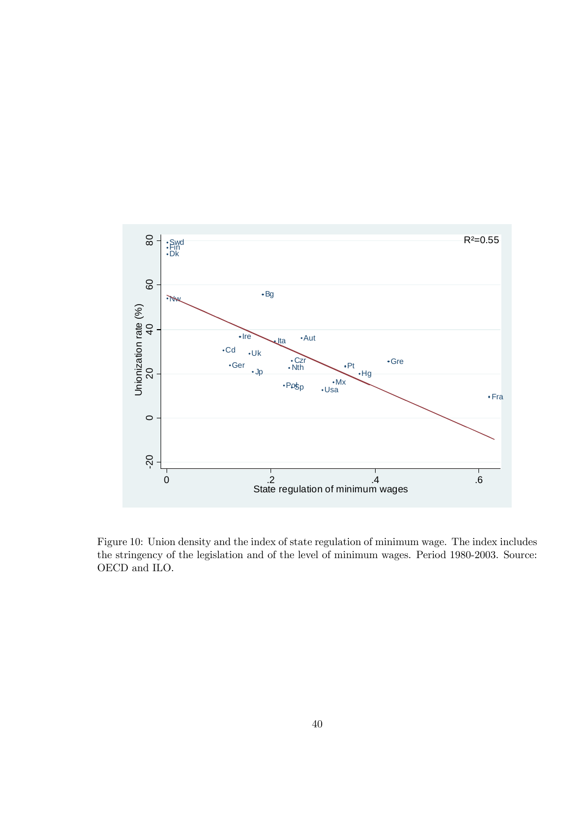

Figure 10: Union density and the index of state regulation of minimum wage. The index includes the stringency of the legislation and of the level of minimum wages. Period 1980-2003. Source: OECD and ILO.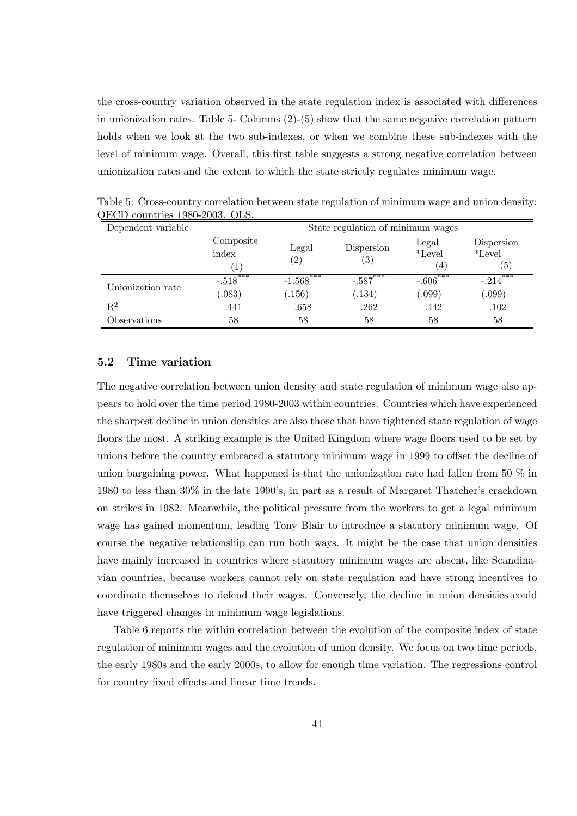the cross-country variation observed in the state regulation index is associated with differences in unionization rates. Table 5- Columns (2)-(5) show that the same negative correlation pattern holds when we look at the two sub-indexes, or when we combine these sub-indexes with the level of minimum wage. Overall, this first table suggests a strong negative correlation between unionization rates and the extent to which the state strictly regulates minimum wage.

| Dependent variable | State regulation of minimum wages |                            |                                 |                                      |                                |
|--------------------|-----------------------------------|----------------------------|---------------------------------|--------------------------------------|--------------------------------|
|                    | Composite<br>index                | Legal<br>$\left( 2\right)$ | Dispersion<br>$\left( 3\right)$ | Legal<br>$*$ Level<br>$\overline{4}$ | Dispersion<br>$*$ Level<br>(5) |
| Unionization rate  | $-0.518$                          | $-1.568$                   | $-.587$                         | $-.606***$                           | .***<br>$-.214$                |
|                    | (.083)                            | (.156)                     | (.134)                          | (.099)                               | .099)                          |
| $R^2$              | .441                              | .658                       | .262                            | .442                                 | .102                           |
| Observations       | 58                                | 58                         | 58                              | 58                                   | 58                             |

Table 5: Cross-country correlation between state regulation of minimum wage and union density: OECD countries 1980-2003. OLS.

### 5.2 Time variation

The negative correlation between union density and state regulation of minimum wage also appears to hold over the time period 1980-2003 within countries. Countries which have experienced the sharpest decline in union densities are also those that have tightened state regulation of wage floors the most. A striking example is the United Kingdom where wage floors used to be set by unions before the country embraced a statutory minimum wage in 1999 to offset the decline of union bargaining power. What happened is that the unionization rate had fallen from 50 % in 1980 to less than 30% in the late 1990's, in part as a result of Margaret Thatcher's crackdown on strikes in 1982. Meanwhile, the political pressure from the workers to get a legal minimum wage has gained momentum, leading Tony Blair to introduce a statutory minimum wage. Of course the negative relationship can run both ways. It might be the case that union densities have mainly increased in countries where statutory minimum wages are absent, like Scandinavian countries, because workers cannot rely on state regulation and have strong incentives to coordinate themselves to defend their wages. Conversely, the decline in union densities could have triggered changes in minimum wage legislations.

Table 6 reports the within correlation between the evolution of the composite index of state regulation of minimum wages and the evolution of union density. We focus on two time periods, the early 1980s and the early 2000s, to allow for enough time variation. The regressions control for country fixed effects and linear time trends.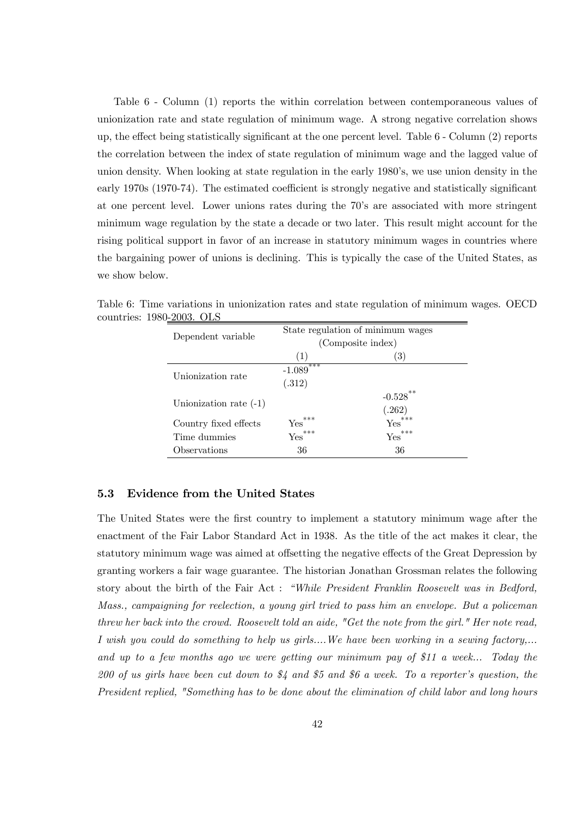Table 6 - Column (1) reports the within correlation between contemporaneous values of unionization rate and state regulation of minimum wage. A strong negative correlation shows up, the effect being statistically significant at the one percent level. Table 6 - Column (2) reports the correlation between the index of state regulation of minimum wage and the lagged value of union density. When looking at state regulation in the early 1980's, we use union density in the early 1970s (1970-74). The estimated coefficient is strongly negative and statistically significant at one percent level. Lower unions rates during the 70's are associated with more stringent minimum wage regulation by the state a decade or two later. This result might account for the rising political support in favor of an increase in statutory minimum wages in countries where the bargaining power of unions is declining. This is typically the case of the United States, as we show below.

| Dependent variable       | State regulation of minimum wages |                      |  |
|--------------------------|-----------------------------------|----------------------|--|
|                          |                                   | (Composite index)    |  |
|                          | (1)                               | 3)                   |  |
| Unionization rate        | $-1.089$ <sup>***</sup>           |                      |  |
|                          | (.312)                            |                      |  |
|                          |                                   | $-0.528$ **          |  |
| Unionization rate $(-1)$ |                                   | (.262)               |  |
| Country fixed effects    | $\mathrm{Yes}^{***}$              | $Yes^{\ast**}$       |  |
| Time dummies             | $\mathrm{Yes}^{***}$              | $\mathrm{Yes}^{***}$ |  |
| Observations             | 36                                | 36                   |  |

Table 6: Time variations in unionization rates and state regulation of minimum wages. OECD countries: 1980-2003. OLS

### 5.3 Evidence from the United States

The United States were the first country to implement a statutory minimum wage after the enactment of the Fair Labor Standard Act in 1938. As the title of the act makes it clear, the statutory minimum wage was aimed at offsetting the negative effects of the Great Depression by granting workers a fair wage guarantee. The historian Jonathan Grossman relates the following story about the birth of the Fair Act : "While President Franklin Roosevelt was in Bedford, Mass., campaigning for reelection, a young girl tried to pass him an envelope. But a policeman threw her back into the crowd. Roosevelt told an aide, "Get the note from the girl." Her note read, I wish you could do something to help us girls....We have been working in a sewing factory,... and up to a few months ago we were getting our minimum pay of \$11 a week... Today the 200 of us girls have been cut down to  $\frac{6}{4}$  and  $\frac{6}{5}$  and  $\frac{6}{5}$  a week. To a reporter's question, the President replied, "Something has to be done about the elimination of child labor and long hours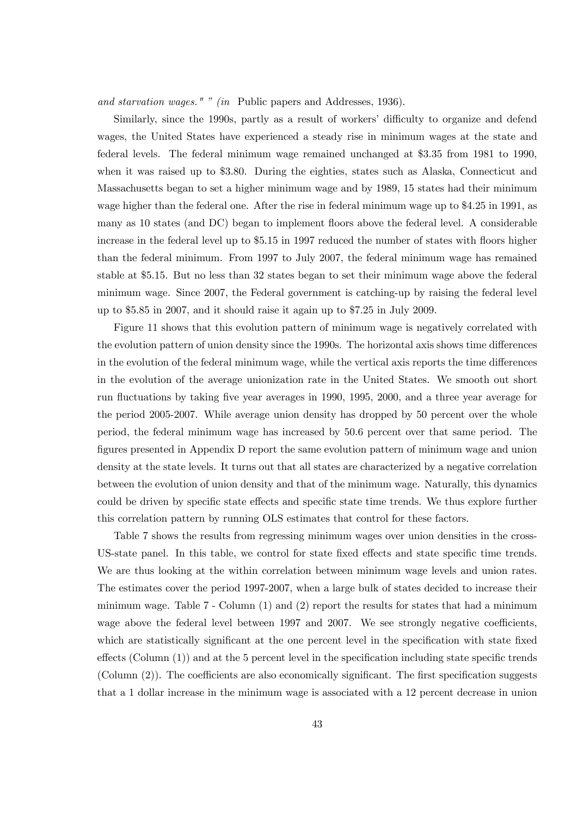and starvation wages." " (in Public papers and Addresses, 1936).

Similarly, since the 1990s, partly as a result of workers' difficulty to organize and defend wages, the United States have experienced a steady rise in minimum wages at the state and federal levels. The federal minimum wage remained unchanged at \$3.35 from 1981 to 1990, when it was raised up to \$3.80. During the eighties, states such as Alaska, Connecticut and Massachusetts began to set a higher minimum wage and by 1989, 15 states had their minimum wage higher than the federal one. After the rise in federal minimum wage up to \$4.25 in 1991, as many as 10 states (and DC) began to implement floors above the federal level. A considerable increase in the federal level up to \$5.15 in 1997 reduced the number of states with floors higher than the federal minimum. From 1997 to July 2007, the federal minimum wage has remained stable at \$5.15. But no less than 32 states began to set their minimum wage above the federal minimum wage. Since 2007, the Federal government is catching-up by raising the federal level up to \$5.85 in 2007, and it should raise it again up to \$7.25 in July 2009.

Figure 11 shows that this evolution pattern of minimum wage is negatively correlated with the evolution pattern of union density since the 1990s. The horizontal axis shows time differences in the evolution of the federal minimum wage, while the vertical axis reports the time differences in the evolution of the average unionization rate in the United States. We smooth out short run fluctuations by taking five year averages in 1990, 1995, 2000, and a three year average for the period 2005-2007. While average union density has dropped by 50 percent over the whole period, the federal minimum wage has increased by 50.6 percent over that same period. The figures presented in Appendix D report the same evolution pattern of minimum wage and union density at the state levels. It turns out that all states are characterized by a negative correlation between the evolution of union density and that of the minimum wage. Naturally, this dynamics could be driven by specific state effects and specific state time trends. We thus explore further this correlation pattern by running OLS estimates that control for these factors.

Table 7 shows the results from regressing minimum wages over union densities in the cross-US-state panel. In this table, we control for state fixed effects and state specific time trends. We are thus looking at the within correlation between minimum wage levels and union rates. The estimates cover the period 1997-2007, when a large bulk of states decided to increase their minimum wage. Table 7 - Column (1) and (2) report the results for states that had a minimum wage above the federal level between 1997 and 2007. We see strongly negative coefficients, which are statistically significant at the one percent level in the specification with state fixed effects (Column (1)) and at the 5 percent level in the specification including state specific trends (Column (2)). The coefficients are also economically significant. The first specification suggests that a 1 dollar increase in the minimum wage is associated with a 12 percent decrease in union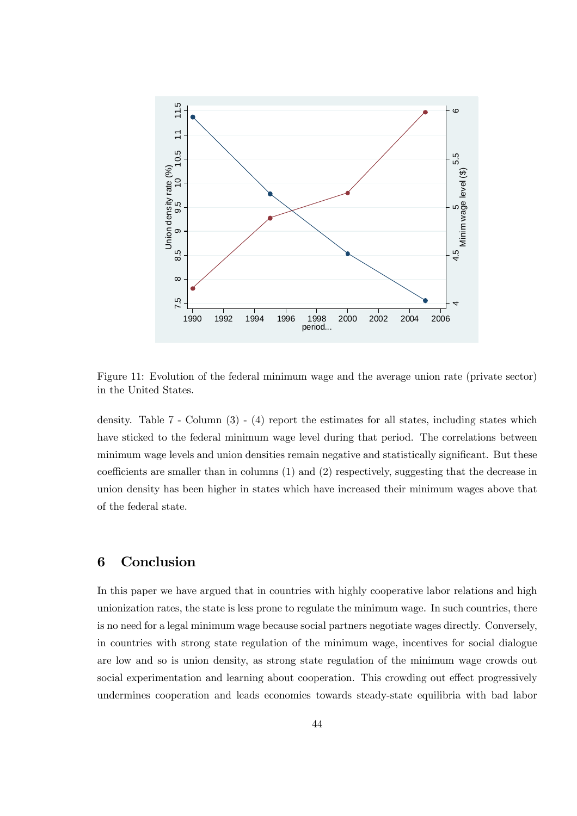

Figure 11: Evolution of the federal minimum wage and the average union rate (private sector) in the United States.

density. Table 7 - Column (3) - (4) report the estimates for all states, including states which have sticked to the federal minimum wage level during that period. The correlations between minimum wage levels and union densities remain negative and statistically significant. But these coefficients are smaller than in columns (1) and (2) respectively, suggesting that the decrease in union density has been higher in states which have increased their minimum wages above that of the federal state.

### 6 Conclusion

In this paper we have argued that in countries with highly cooperative labor relations and high unionization rates, the state is less prone to regulate the minimum wage. In such countries, there is no need for a legal minimum wage because social partners negotiate wages directly. Conversely, in countries with strong state regulation of the minimum wage, incentives for social dialogue are low and so is union density, as strong state regulation of the minimum wage crowds out social experimentation and learning about cooperation. This crowding out effect progressively undermines cooperation and leads economies towards steady-state equilibria with bad labor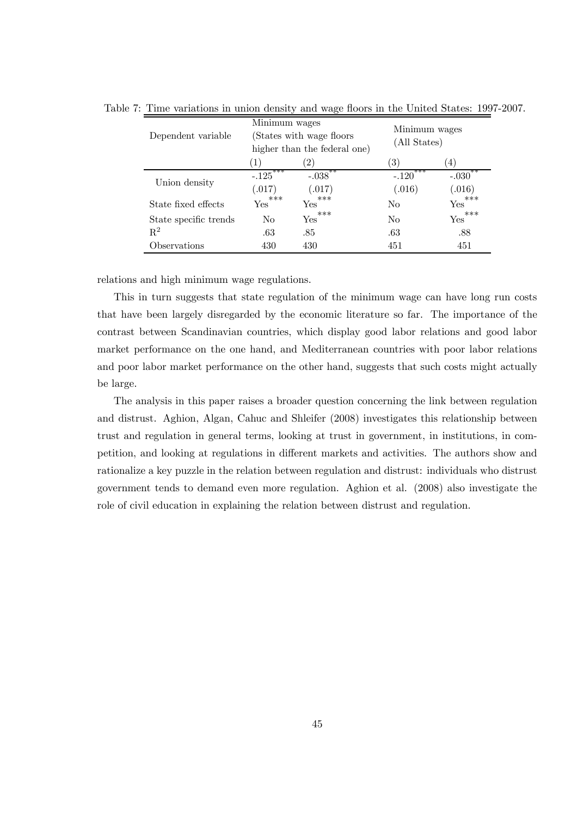| Dependent variable    | Minimum wages<br>(States with wage floors)<br>higher than the federal one) |                             | Minimum wages<br>(All States) |                                      |
|-----------------------|----------------------------------------------------------------------------|-----------------------------|-------------------------------|--------------------------------------|
|                       | $\left(1\right)$                                                           |                             | '3'                           | 4                                    |
| Union density         | $-.125$ <sup>***</sup>                                                     | .**<br>$-.038$ <sup>*</sup> | ***<br>$-.120$                | $***$<br>$-.030$                     |
|                       | (.017)                                                                     | (.017)                      | (.016)                        | (.016)                               |
| State fixed effects   | $Yes$ ***                                                                  | ${\rm Yes}^{***}$           | No.                           | $\mathop{\mathrm{Yes}}\limits^{***}$ |
| State specific trends | No                                                                         | ***<br>Yes                  | No.                           | ***<br>Yes                           |
| $\mathbf{R}^2$        | .63                                                                        | .85                         | .63                           | .88                                  |
| Observations          | 430                                                                        | 430                         | 451                           | 451                                  |

Table 7: Time variations in union density and wage floors in the United States: 1997-2007.

relations and high minimum wage regulations.

This in turn suggests that state regulation of the minimum wage can have long run costs that have been largely disregarded by the economic literature so far. The importance of the contrast between Scandinavian countries, which display good labor relations and good labor market performance on the one hand, and Mediterranean countries with poor labor relations and poor labor market performance on the other hand, suggests that such costs might actually be large.

The analysis in this paper raises a broader question concerning the link between regulation and distrust. Aghion, Algan, Cahuc and Shleifer (2008) investigates this relationship between trust and regulation in general terms, looking at trust in government, in institutions, in competition, and looking at regulations in different markets and activities. The authors show and rationalize a key puzzle in the relation between regulation and distrust: individuals who distrust government tends to demand even more regulation. Aghion et al. (2008) also investigate the role of civil education in explaining the relation between distrust and regulation.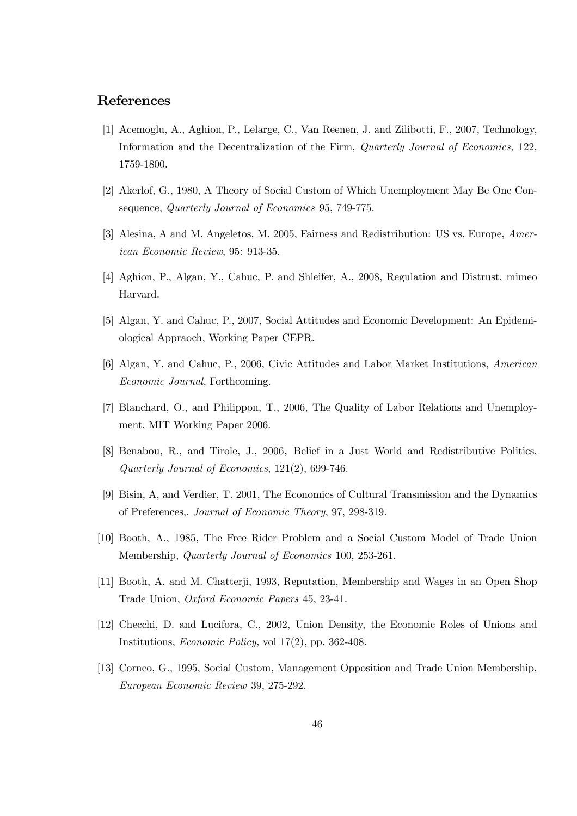### References

- [1] Acemoglu, A., Aghion, P., Lelarge, C., Van Reenen, J. and Zilibotti, F., 2007, Technology, Information and the Decentralization of the Firm, Quarterly Journal of Economics, 122, 1759-1800.
- [2] Akerlof, G., 1980, A Theory of Social Custom of Which Unemployment May Be One Consequence, Quarterly Journal of Economics 95, 749-775.
- [3] Alesina, A and M. Angeletos, M. 2005, Fairness and Redistribution: US vs. Europe, American Economic Review, 95: 913-35.
- [4] Aghion, P., Algan, Y., Cahuc, P. and Shleifer, A., 2008, Regulation and Distrust, mimeo Harvard.
- [5] Algan, Y. and Cahuc, P., 2007, Social Attitudes and Economic Development: An Epidemiological Appraoch, Working Paper CEPR.
- [6] Algan, Y. and Cahuc, P., 2006, Civic Attitudes and Labor Market Institutions, American Economic Journal, Forthcoming.
- [7] Blanchard, O., and Philippon, T., 2006, The Quality of Labor Relations and Unemployment, MIT Working Paper 2006.
- [8] Benabou, R., and Tirole, J., 2006, Belief in a Just World and Redistributive Politics, Quarterly Journal of Economics, 121(2), 699-746.
- [9] Bisin, A, and Verdier, T. 2001, The Economics of Cultural Transmission and the Dynamics of Preferences,. Journal of Economic Theory, 97, 298-319.
- [10] Booth, A., 1985, The Free Rider Problem and a Social Custom Model of Trade Union Membership, Quarterly Journal of Economics 100, 253-261.
- [11] Booth, A. and M. Chatterji, 1993, Reputation, Membership and Wages in an Open Shop Trade Union, Oxford Economic Papers 45, 23-41.
- [12] Checchi, D. and Lucifora, C., 2002, Union Density, the Economic Roles of Unions and Institutions, Economic Policy, vol 17(2), pp. 362-408.
- [13] Corneo, G., 1995, Social Custom, Management Opposition and Trade Union Membership, European Economic Review 39, 275-292.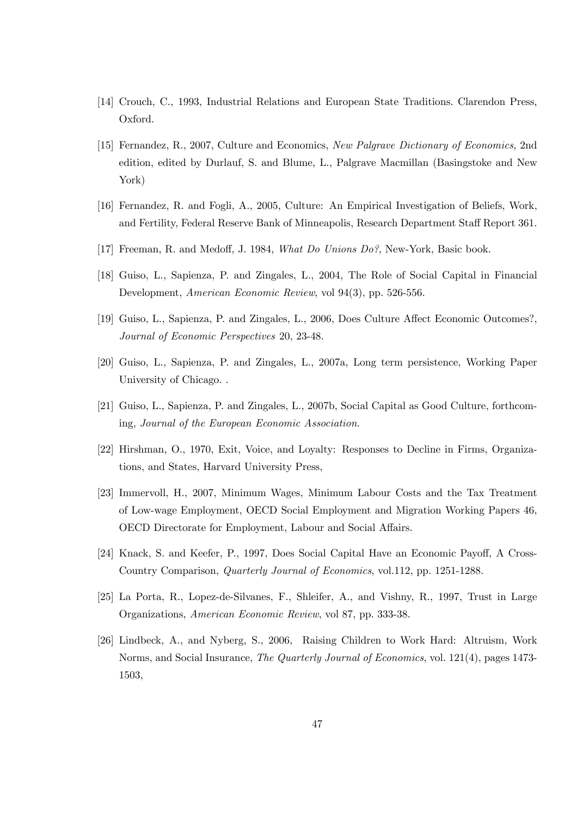- [14] Crouch, C., 1993, Industrial Relations and European State Traditions. Clarendon Press, Oxford.
- [15] Fernandez, R., 2007, Culture and Economics, New Palgrave Dictionary of Economics, 2nd edition, edited by Durlauf, S. and Blume, L., Palgrave Macmillan (Basingstoke and New York)
- [16] Fernandez, R. and Fogli, A., 2005, Culture: An Empirical Investigation of Beliefs, Work, and Fertility, Federal Reserve Bank of Minneapolis, Research Department Staff Report 361.
- [17] Freeman, R. and Medoff, J. 1984, What Do Unions Do?, New-York, Basic book.
- [18] Guiso, L., Sapienza, P. and Zingales, L., 2004, The Role of Social Capital in Financial Development, American Economic Review, vol 94(3), pp. 526-556.
- [19] Guiso, L., Sapienza, P. and Zingales, L., 2006, Does Culture Affect Economic Outcomes?, Journal of Economic Perspectives 20, 23-48.
- [20] Guiso, L., Sapienza, P. and Zingales, L., 2007a, Long term persistence, Working Paper University of Chicago. .
- [21] Guiso, L., Sapienza, P. and Zingales, L., 2007b, Social Capital as Good Culture, forthcoming, Journal of the European Economic Association.
- [22] Hirshman, O., 1970, Exit, Voice, and Loyalty: Responses to Decline in Firms, Organizations, and States, Harvard University Press,
- [23] Immervoll, H., 2007, Minimum Wages, Minimum Labour Costs and the Tax Treatment of Low-wage Employment, OECD Social Employment and Migration Working Papers 46, OECD Directorate for Employment, Labour and Social Affairs.
- [24] Knack, S. and Keefer, P., 1997, Does Social Capital Have an Economic Payoff, A Cross-Country Comparison, Quarterly Journal of Economics, vol.112, pp. 1251-1288.
- [25] La Porta, R., Lopez-de-Silvanes, F., Shleifer, A., and Vishny, R., 1997, Trust in Large Organizations, American Economic Review, vol 87, pp. 333-38.
- [26] Lindbeck, A., and Nyberg, S., 2006, Raising Children to Work Hard: Altruism, Work Norms, and Social Insurance, The Quarterly Journal of Economics, vol. 121(4), pages 1473- 1503,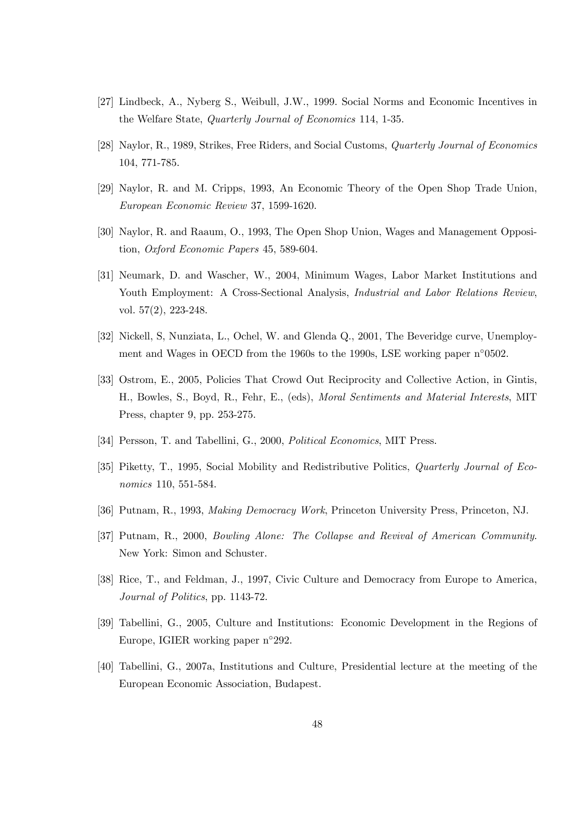- [27] Lindbeck, A., Nyberg S., Weibull, J.W., 1999. Social Norms and Economic Incentives in the Welfare State, Quarterly Journal of Economics 114, 1-35.
- [28] Naylor, R., 1989, Strikes, Free Riders, and Social Customs, Quarterly Journal of Economics 104, 771-785.
- [29] Naylor, R. and M. Cripps, 1993, An Economic Theory of the Open Shop Trade Union, European Economic Review 37, 1599-1620.
- [30] Naylor, R. and Raaum, O., 1993, The Open Shop Union, Wages and Management Opposition, Oxford Economic Papers 45, 589-604.
- [31] Neumark, D. and Wascher, W., 2004, Minimum Wages, Labor Market Institutions and Youth Employment: A Cross-Sectional Analysis, *Industrial and Labor Relations Review*, vol. 57(2), 223-248.
- [32] Nickell, S, Nunziata, L., Ochel, W. and Glenda Q., 2001, The Beveridge curve, Unemployment and Wages in OECD from the 1960s to the 1990s, LSE working paper n°0502.
- [33] Ostrom, E., 2005, Policies That Crowd Out Reciprocity and Collective Action, in Gintis, H., Bowles, S., Boyd, R., Fehr, E., (eds), Moral Sentiments and Material Interests, MIT Press, chapter 9, pp. 253-275.
- [34] Persson, T. and Tabellini, G., 2000, *Political Economics*, MIT Press.
- [35] Piketty, T., 1995, Social Mobility and Redistributive Politics, *Quarterly Journal of Eco*nomics 110, 551-584.
- [36] Putnam, R., 1993, Making Democracy Work, Princeton University Press, Princeton, NJ.
- [37] Putnam, R., 2000, Bowling Alone: The Collapse and Revival of American Community. New York: Simon and Schuster.
- [38] Rice, T., and Feldman, J., 1997, Civic Culture and Democracy from Europe to America, Journal of Politics, pp. 1143-72.
- [39] Tabellini, G., 2005, Culture and Institutions: Economic Development in the Regions of Europe, IGIER working paper n◦292.
- [40] Tabellini, G., 2007a, Institutions and Culture, Presidential lecture at the meeting of the European Economic Association, Budapest.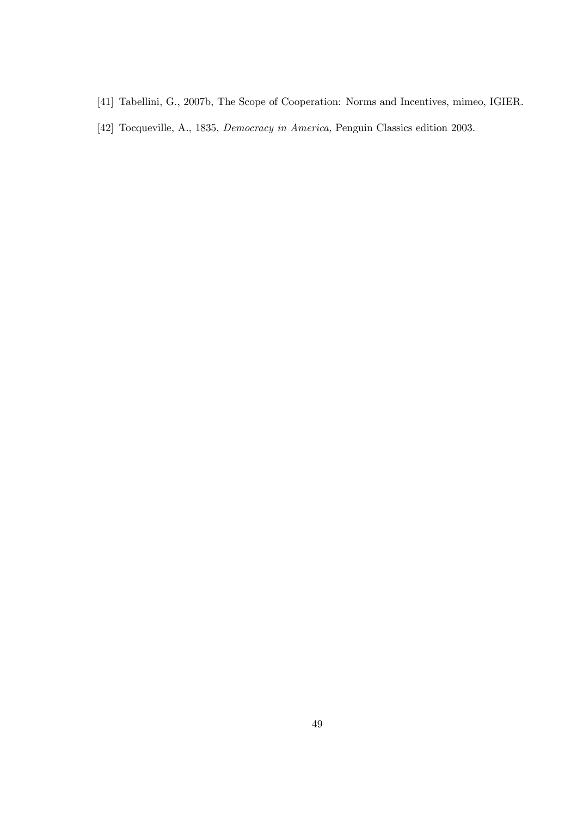- [41] Tabellini, G., 2007b, The Scope of Cooperation: Norms and Incentives, mimeo, IGIER.
- [42] Tocqueville, A., 1835, Democracy in America, Penguin Classics edition 2003.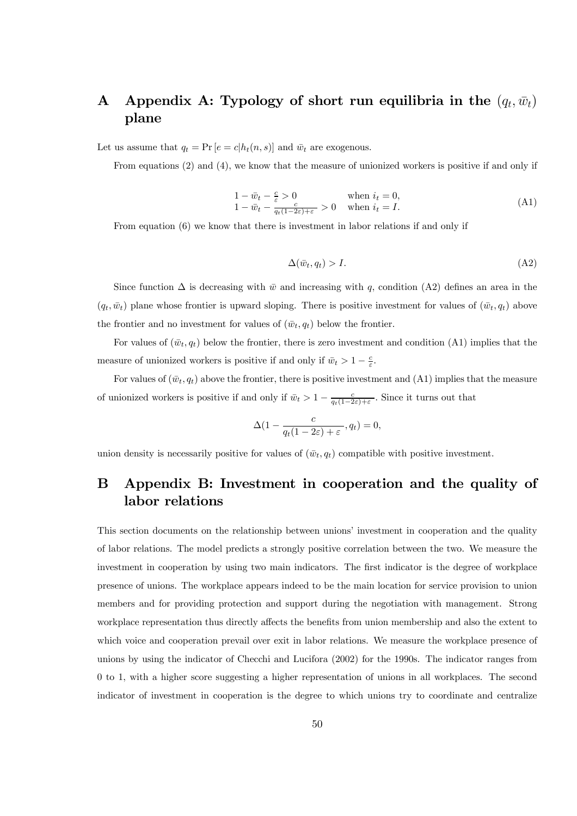# A Appendix A: Typology of short run equilibria in the  $(q_t, \bar{w}_t)$ plane

Let us assume that  $q_t = \Pr\left[e = c | h_t(n, s)\right]$  and  $\bar{w}_t$  are exogenous.

From equations (2) and (4), we know that the measure of unionized workers is positive if and only if

$$
\begin{array}{l}\n1 - \bar{w}_t - \frac{c}{\varepsilon} > 0 & \text{when } i_t = 0, \\
1 - \bar{w}_t - \frac{c}{q_t(1 - 2\varepsilon) + \varepsilon} > 0 & \text{when } i_t = I.\n\end{array} \tag{A1}
$$

From equation (6) we know that there is investment in labor relations if and only if

$$
\Delta(\bar{w}_t, q_t) > I. \tag{A2}
$$

Since function  $\Delta$  is decreasing with  $\bar{w}$  and increasing with q, condition (A2) defines an area in the  $(q_t, \bar{w}_t)$  plane whose frontier is upward sloping. There is positive investment for values of  $(\bar{w}_t, q_t)$  above the frontier and no investment for values of  $(\bar{w}_t, q_t)$  below the frontier.

For values of  $(\bar{w}_t, q_t)$  below the frontier, there is zero investment and condition (A1) implies that the measure of unionized workers is positive if and only if  $\bar{w}_t > 1 - \frac{c}{\varepsilon}$ .

For values of  $(\bar{w}_t, q_t)$  above the frontier, there is positive investment and (A1) implies that the measure of unionized workers is positive if and only if  $\bar{w}_t > 1 - \frac{c}{q_t(1-2\varepsilon)+\varepsilon}$ . Since it turns out that

$$
\Delta(1 - \frac{c}{q_t(1 - 2\varepsilon) + \varepsilon}, q_t) = 0,
$$

union density is necessarily positive for values of  $(\bar{w}_t, q_t)$  compatible with positive investment.

# B Appendix B: Investment in cooperation and the quality of labor relations

This section documents on the relationship between unions' investment in cooperation and the quality of labor relations. The model predicts a strongly positive correlation between the two. We measure the investment in cooperation by using two main indicators. The first indicator is the degree of workplace presence of unions. The workplace appears indeed to be the main location for service provision to union members and for providing protection and support during the negotiation with management. Strong workplace representation thus directly affects the benefits from union membership and also the extent to which voice and cooperation prevail over exit in labor relations. We measure the workplace presence of unions by using the indicator of Checchi and Lucifora (2002) for the 1990s. The indicator ranges from 0 to 1, with a higher score suggesting a higher representation of unions in all workplaces. The second indicator of investment in cooperation is the degree to which unions try to coordinate and centralize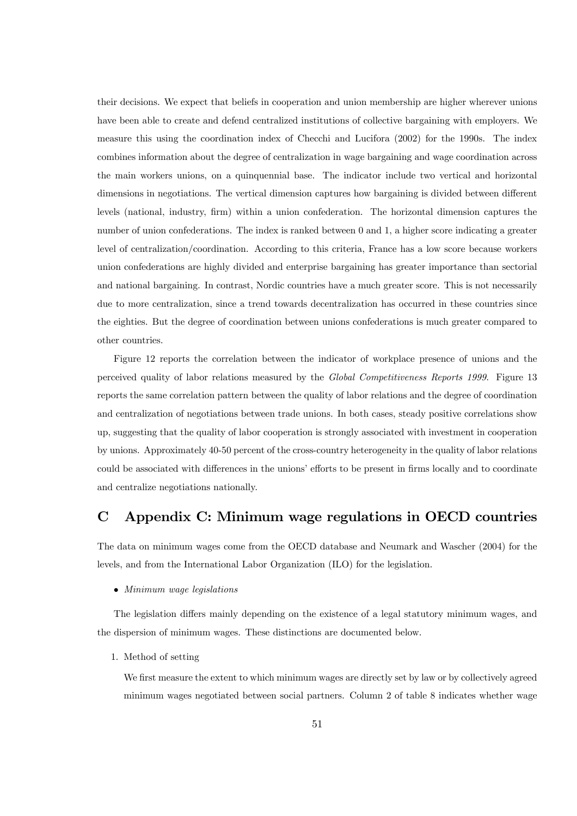their decisions. We expect that beliefs in cooperation and union membership are higher wherever unions have been able to create and defend centralized institutions of collective bargaining with employers. We measure this using the coordination index of Checchi and Lucifora (2002) for the 1990s. The index combines information about the degree of centralization in wage bargaining and wage coordination across the main workers unions, on a quinquennial base. The indicator include two vertical and horizontal dimensions in negotiations. The vertical dimension captures how bargaining is divided between different levels (national, industry, firm) within a union confederation. The horizontal dimension captures the number of union confederations. The index is ranked between 0 and 1, a higher score indicating a greater level of centralization/coordination. According to this criteria, France has a low score because workers union confederations are highly divided and enterprise bargaining has greater importance than sectorial and national bargaining. In contrast, Nordic countries have a much greater score. This is not necessarily due to more centralization, since a trend towards decentralization has occurred in these countries since the eighties. But the degree of coordination between unions confederations is much greater compared to other countries.

Figure 12 reports the correlation between the indicator of workplace presence of unions and the perceived quality of labor relations measured by the Global Competitiveness Reports 1999. Figure 13 reports the same correlation pattern between the quality of labor relations and the degree of coordination and centralization of negotiations between trade unions. In both cases, steady positive correlations show up, suggesting that the quality of labor cooperation is strongly associated with investment in cooperation by unions. Approximately 40-50 percent of the cross-country heterogeneity in the quality of labor relations could be associated with differences in the unions' efforts to be present in firms locally and to coordinate and centralize negotiations nationally.

### C Appendix C: Minimum wage regulations in OECD countries

The data on minimum wages come from the OECD database and Neumark and Wascher (2004) for the levels, and from the International Labor Organization (ILO) for the legislation.

• Minimum wage legislations

The legislation differs mainly depending on the existence of a legal statutory minimum wages, and the dispersion of minimum wages. These distinctions are documented below.

1. Method of setting

We first measure the extent to which minimum wages are directly set by law or by collectively agreed minimum wages negotiated between social partners. Column 2 of table 8 indicates whether wage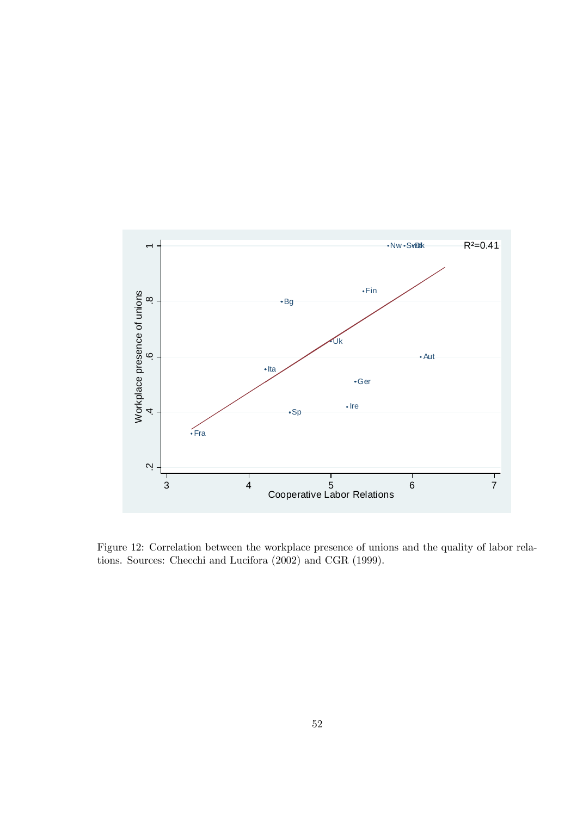

Figure 12: Correlation between the workplace presence of unions and the quality of labor relations. Sources: Checchi and Lucifora (2002) and CGR (1999).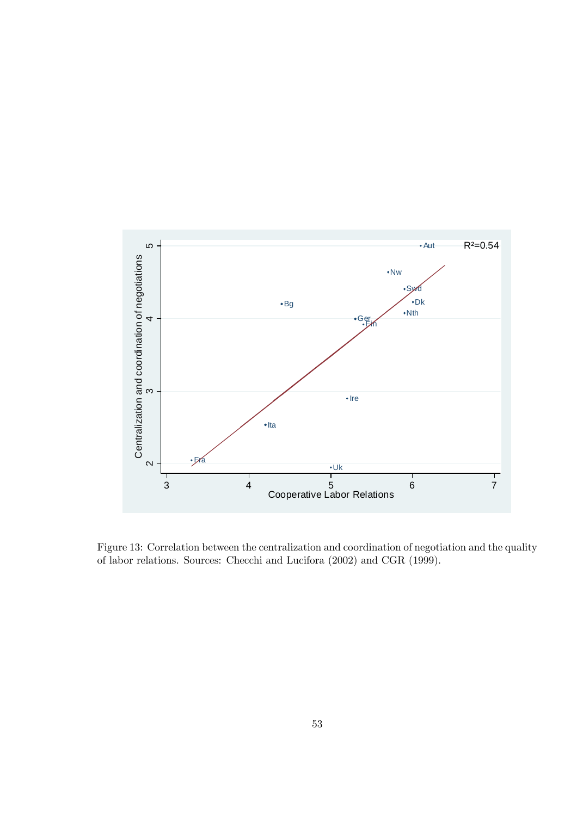

Figure 13: Correlation between the centralization and coordination of negotiation and the quality of labor relations. Sources: Checchi and Lucifora (2002) and CGR (1999).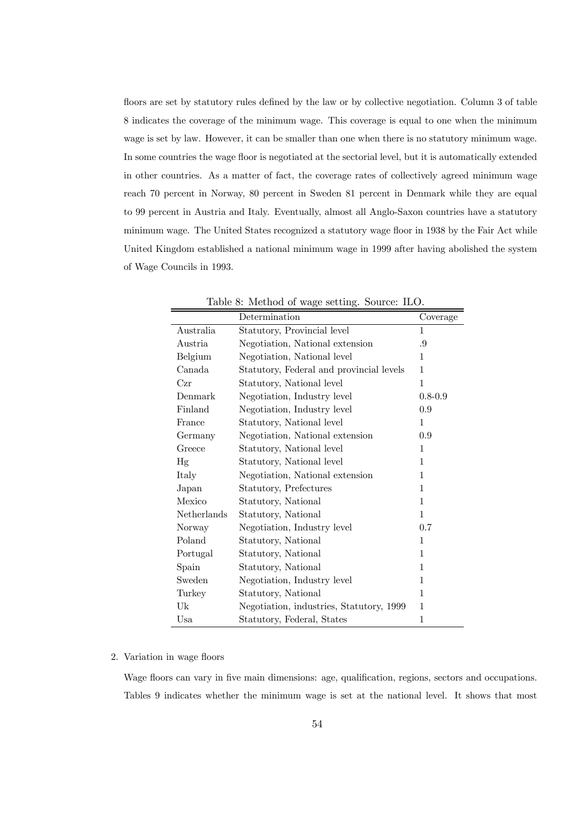floors are set by statutory rules defined by the law or by collective negotiation. Column 3 of table 8 indicates the coverage of the minimum wage. This coverage is equal to one when the minimum wage is set by law. However, it can be smaller than one when there is no statutory minimum wage. In some countries the wage floor is negotiated at the sectorial level, but it is automatically extended in other countries. As a matter of fact, the coverage rates of collectively agreed minimum wage reach 70 percent in Norway, 80 percent in Sweden 81 percent in Denmark while they are equal to 99 percent in Austria and Italy. Eventually, almost all Anglo-Saxon countries have a statutory minimum wage. The United States recognized a statutory wage floor in 1938 by the Fair Act while United Kingdom established a national minimum wage in 1999 after having abolished the system of Wage Councils in 1993.

|             | Determination                            | Coverage    |
|-------------|------------------------------------------|-------------|
| Australia   | Statutory, Provincial level              | 1           |
| Austria     | Negotiation, National extension          | .9          |
| Belgium     | Negotiation, National level              | 1           |
| Canada      | Statutory, Federal and provincial levels | 1           |
| Czr         | Statutory, National level                | 1           |
| Denmark     | Negotiation, Industry level              | $0.8 - 0.9$ |
| Finland     | Negotiation, Industry level              | 0.9         |
| France      | Statutory, National level                | 1           |
| Germany     | Negotiation, National extension          | 0.9         |
| Greece      | Statutory, National level                | 1           |
| Hg          | Statutory, National level                | 1           |
| Italy       | Negotiation, National extension          | 1           |
| Japan       | Statutory, Prefectures                   | 1           |
| Mexico      | Statutory, National                      | 1           |
| Netherlands | Statutory, National                      | 1           |
| Norway      | Negotiation, Industry level              | 0.7         |
| Poland      | Statutory, National                      | 1           |
| Portugal    | Statutory, National                      | 1           |
| Spain       | Statutory, National                      | 1           |
| Sweden      | Negotiation, Industry level              | 1           |
| Turkey      | Statutory, National                      | 1           |
| Uk          | Negotiation, industries, Statutory, 1999 | 1           |
| Usa         | Statutory, Federal, States               | 1           |

Table 8: Method of wage setting. Source: ILO.

### 2. Variation in wage floors

Wage floors can vary in five main dimensions: age, qualification, regions, sectors and occupations. Tables 9 indicates whether the minimum wage is set at the national level. It shows that most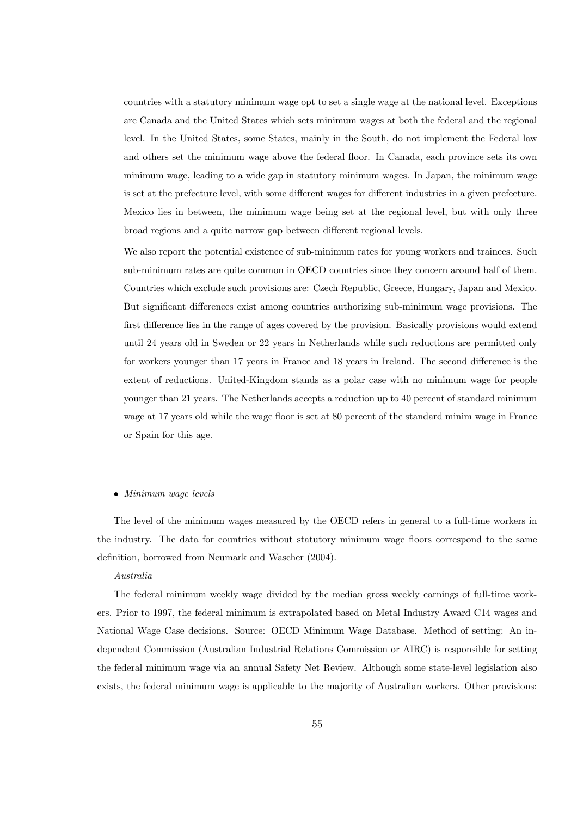countries with a statutory minimum wage opt to set a single wage at the national level. Exceptions are Canada and the United States which sets minimum wages at both the federal and the regional level. In the United States, some States, mainly in the South, do not implement the Federal law and others set the minimum wage above the federal floor. In Canada, each province sets its own minimum wage, leading to a wide gap in statutory minimum wages. In Japan, the minimum wage is set at the prefecture level, with some different wages for different industries in a given prefecture. Mexico lies in between, the minimum wage being set at the regional level, but with only three broad regions and a quite narrow gap between different regional levels.

We also report the potential existence of sub-minimum rates for young workers and trainees. Such sub-minimum rates are quite common in OECD countries since they concern around half of them. Countries which exclude such provisions are: Czech Republic, Greece, Hungary, Japan and Mexico. But significant differences exist among countries authorizing sub-minimum wage provisions. The first difference lies in the range of ages covered by the provision. Basically provisions would extend until 24 years old in Sweden or 22 years in Netherlands while such reductions are permitted only for workers younger than 17 years in France and 18 years in Ireland. The second difference is the extent of reductions. United-Kingdom stands as a polar case with no minimum wage for people younger than 21 years. The Netherlands accepts a reduction up to 40 percent of standard minimum wage at 17 years old while the wage floor is set at 80 percent of the standard minim wage in France or Spain for this age.

### • Minimum wage levels

The level of the minimum wages measured by the OECD refers in general to a full-time workers in the industry. The data for countries without statutory minimum wage floors correspond to the same definition, borrowed from Neumark and Wascher (2004).

### Australia

The federal minimum weekly wage divided by the median gross weekly earnings of full-time workers. Prior to 1997, the federal minimum is extrapolated based on Metal Industry Award C14 wages and National Wage Case decisions. Source: OECD Minimum Wage Database. Method of setting: An independent Commission (Australian Industrial Relations Commission or AIRC) is responsible for setting the federal minimum wage via an annual Safety Net Review. Although some state-level legislation also exists, the federal minimum wage is applicable to the majority of Australian workers. Other provisions: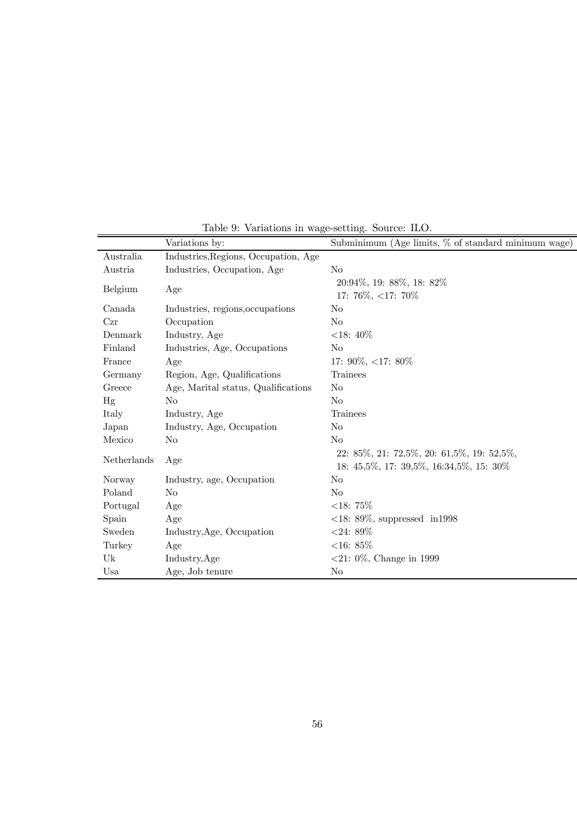|             | Variations by:                       | Subminimum (Age limits, % of standard minimum wage)                                      |
|-------------|--------------------------------------|------------------------------------------------------------------------------------------|
| Australia   | Industries, Regions, Occupation, Age |                                                                                          |
| Austria     | Industries, Occupation, Age          | N <sub>o</sub>                                                                           |
| Belgium     | Age                                  | 20:94\%, 19: 88\%, 18: 82\%<br>17: 76\%, <17: 70\%                                       |
| Canada      | Industries, regions, occupations     | No                                                                                       |
| Czr         | Occupation                           | N <sub>0</sub>                                                                           |
| Denmark     | Industry, Age                        | $<$ 18: 40%                                                                              |
| Finland     | Industries, Age, Occupations         | N <sub>o</sub>                                                                           |
| France      | Age                                  | 17: 90%, $\langle 17: 80\% \rangle$                                                      |
| Germany     | Region, Age, Qualifications          | Trainees                                                                                 |
| Greece      | Age, Marital status, Qualifications  | N <sub>o</sub>                                                                           |
| Hg          | No                                   | N <sub>0</sub>                                                                           |
| Italy       | Industry, Age                        | Trainees                                                                                 |
| Japan       | Industry, Age, Occupation            | N <sub>o</sub>                                                                           |
| Mexico      | No                                   | N <sub>o</sub>                                                                           |
| Netherlands | Age                                  | 22: 85\%, 21: 72,5\%, 20: 61,5\%, 19: 52,5\%,<br>18: 45,5%, 17: 39,5%, 16:34,5%, 15: 30% |
| Norway      | Industry, age, Occupation            | No                                                                                       |
| Poland      | No                                   | N <sub>0</sub>                                                                           |
| Portugal    | Age                                  | $<$ 18: 75%                                                                              |
| Spain       | Age                                  | $<18: 89\%$ , suppressed in 1998                                                         |
| Sweden      | Industry, Age, Occupation            | $<$ 24: 89%                                                                              |
| Turkey      | Age                                  | <16:85%                                                                                  |
| Uk          | Industry, Age                        | $<21:0\%$ , Change in 1999                                                               |
| Usa         | Age, Job tenure                      | No                                                                                       |

Table 9: Variations in wage-setting. Source: ILO.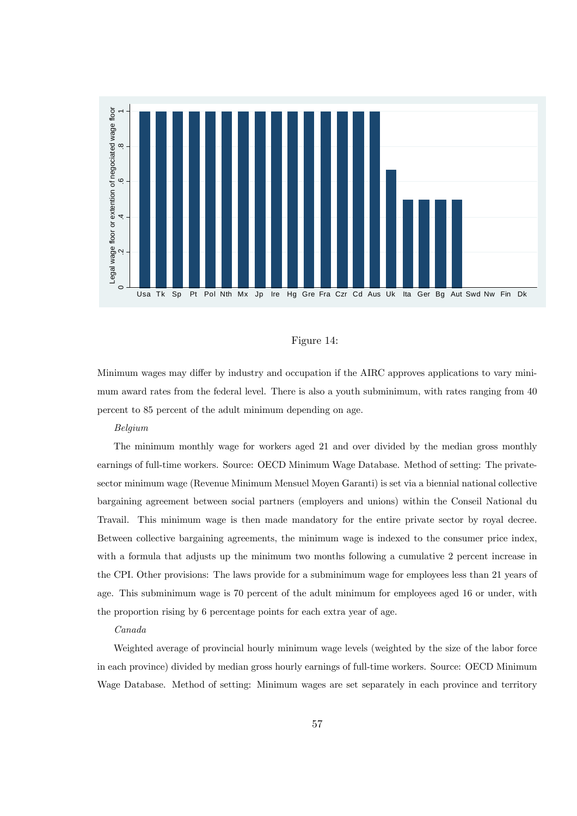

### Figure 14:

Minimum wages may differ by industry and occupation if the AIRC approves applications to vary minimum award rates from the federal level. There is also a youth subminimum, with rates ranging from 40 percent to 85 percent of the adult minimum depending on age.

### Belgium

The minimum monthly wage for workers aged 21 and over divided by the median gross monthly earnings of full-time workers. Source: OECD Minimum Wage Database. Method of setting: The privatesector minimum wage (Revenue Minimum Mensuel Moyen Garanti) is set via a biennial national collective bargaining agreement between social partners (employers and unions) within the Conseil National du Travail. This minimum wage is then made mandatory for the entire private sector by royal decree. Between collective bargaining agreements, the minimum wage is indexed to the consumer price index, with a formula that adjusts up the minimum two months following a cumulative 2 percent increase in the CPI. Other provisions: The laws provide for a subminimum wage for employees less than 21 years of age. This subminimum wage is 70 percent of the adult minimum for employees aged 16 or under, with the proportion rising by 6 percentage points for each extra year of age.

### Canada

Weighted average of provincial hourly minimum wage levels (weighted by the size of the labor force in each province) divided by median gross hourly earnings of full-time workers. Source: OECD Minimum Wage Database. Method of setting: Minimum wages are set separately in each province and territory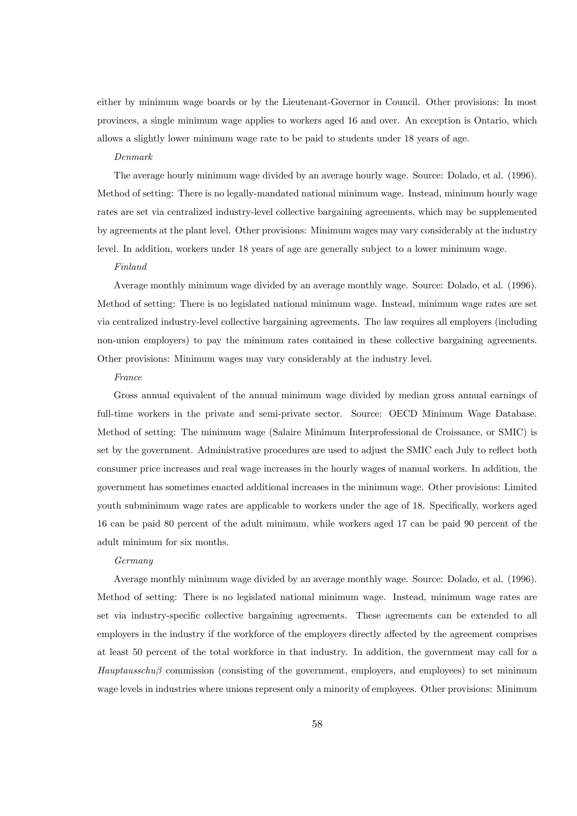either by minimum wage boards or by the Lieutenant-Governor in Council. Other provisions: In most provinces, a single minimum wage applies to workers aged 16 and over. An exception is Ontario, which allows a slightly lower minimum wage rate to be paid to students under 18 years of age.

#### Denmark

The average hourly minimum wage divided by an average hourly wage. Source: Dolado, et al. (1996). Method of setting: There is no legally-mandated national minimum wage. Instead, minimum hourly wage rates are set via centralized industry-level collective bargaining agreements, which may be supplemented by agreements at the plant level. Other provisions: Minimum wages may vary considerably at the industry level. In addition, workers under 18 years of age are generally subject to a lower minimum wage.

#### Finland

Average monthly minimum wage divided by an average monthly wage. Source: Dolado, et al. (1996). Method of setting: There is no legislated national minimum wage. Instead, minimum wage rates are set via centralized industry-level collective bargaining agreements. The law requires all employers (including non-union employers) to pay the minimum rates contained in these collective bargaining agreements. Other provisions: Minimum wages may vary considerably at the industry level.

### France

Gross annual equivalent of the annual minimum wage divided by median gross annual earnings of full-time workers in the private and semi-private sector. Source: OECD Minimum Wage Database. Method of setting: The minimum wage (Salaire Minimum Interprofessional de Croissance, or SMIC) is set by the government. Administrative procedures are used to adjust the SMIC each July to reflect both consumer price increases and real wage increases in the hourly wages of manual workers. In addition, the government has sometimes enacted additional increases in the minimum wage. Other provisions: Limited youth subminimum wage rates are applicable to workers under the age of 18. Specifically, workers aged 16 can be paid 80 percent of the adult minimum, while workers aged 17 can be paid 90 percent of the adult minimum for six months.

### Germany

Average monthly minimum wage divided by an average monthly wage. Source: Dolado, et al. (1996). Method of setting: There is no legislated national minimum wage. Instead, minimum wage rates are set via industry-specific collective bargaining agreements. These agreements can be extended to all employers in the industry if the workforce of the employers directly affected by the agreement comprises at least 50 percent of the total workforce in that industry. In addition, the government may call for a  $Hauptausschu\beta$  commission (consisting of the government, employers, and employees) to set minimum wage levels in industries where unions represent only a minority of employees. Other provisions: Minimum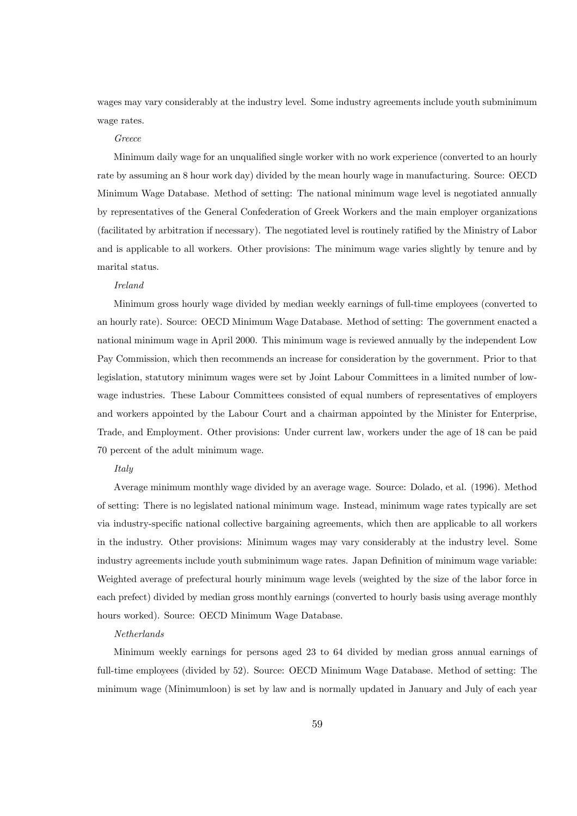wages may vary considerably at the industry level. Some industry agreements include youth subminimum wage rates.

#### Greece

Minimum daily wage for an unqualified single worker with no work experience (converted to an hourly rate by assuming an 8 hour work day) divided by the mean hourly wage in manufacturing. Source: OECD Minimum Wage Database. Method of setting: The national minimum wage level is negotiated annually by representatives of the General Confederation of Greek Workers and the main employer organizations (facilitated by arbitration if necessary). The negotiated level is routinely ratified by the Ministry of Labor and is applicable to all workers. Other provisions: The minimum wage varies slightly by tenure and by marital status.

### Ireland

Minimum gross hourly wage divided by median weekly earnings of full-time employees (converted to an hourly rate). Source: OECD Minimum Wage Database. Method of setting: The government enacted a national minimum wage in April 2000. This minimum wage is reviewed annually by the independent Low Pay Commission, which then recommends an increase for consideration by the government. Prior to that legislation, statutory minimum wages were set by Joint Labour Committees in a limited number of lowwage industries. These Labour Committees consisted of equal numbers of representatives of employers and workers appointed by the Labour Court and a chairman appointed by the Minister for Enterprise, Trade, and Employment. Other provisions: Under current law, workers under the age of 18 can be paid 70 percent of the adult minimum wage.

#### Italy

Average minimum monthly wage divided by an average wage. Source: Dolado, et al. (1996). Method of setting: There is no legislated national minimum wage. Instead, minimum wage rates typically are set via industry-specific national collective bargaining agreements, which then are applicable to all workers in the industry. Other provisions: Minimum wages may vary considerably at the industry level. Some industry agreements include youth subminimum wage rates. Japan Definition of minimum wage variable: Weighted average of prefectural hourly minimum wage levels (weighted by the size of the labor force in each prefect) divided by median gross monthly earnings (converted to hourly basis using average monthly hours worked). Source: OECD Minimum Wage Database.

### Netherlands

Minimum weekly earnings for persons aged 23 to 64 divided by median gross annual earnings of full-time employees (divided by 52). Source: OECD Minimum Wage Database. Method of setting: The minimum wage (Minimumloon) is set by law and is normally updated in January and July of each year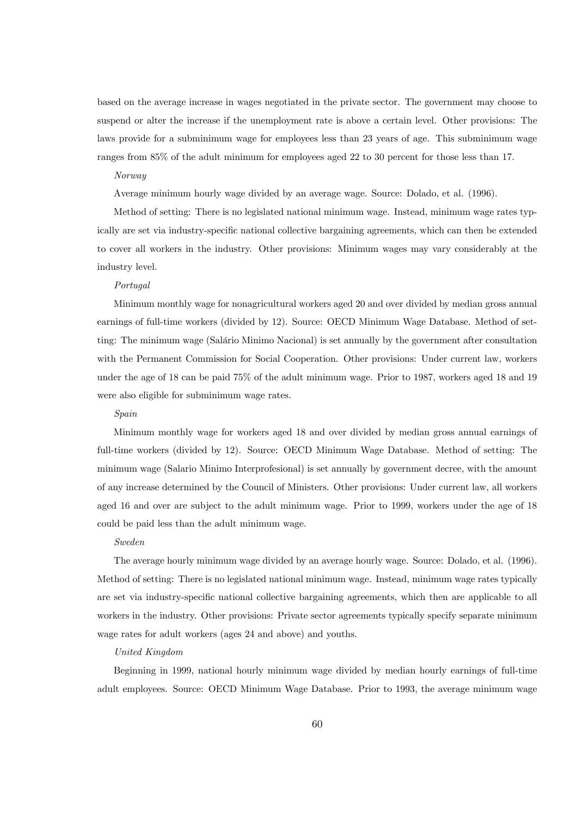based on the average increase in wages negotiated in the private sector. The government may choose to suspend or alter the increase if the unemployment rate is above a certain level. Other provisions: The laws provide for a subminimum wage for employees less than 23 years of age. This subminimum wage ranges from 85% of the adult minimum for employees aged 22 to 30 percent for those less than 17.

#### Norway

Average minimum hourly wage divided by an average wage. Source: Dolado, et al. (1996).

Method of setting: There is no legislated national minimum wage. Instead, minimum wage rates typically are set via industry-specific national collective bargaining agreements, which can then be extended to cover all workers in the industry. Other provisions: Minimum wages may vary considerably at the industry level.

### Portugal

Minimum monthly wage for nonagricultural workers aged 20 and over divided by median gross annual earnings of full-time workers (divided by 12). Source: OECD Minimum Wage Database. Method of setting: The minimum wage (Salário Minimo Nacional) is set annually by the government after consultation with the Permanent Commission for Social Cooperation. Other provisions: Under current law, workers under the age of 18 can be paid 75% of the adult minimum wage. Prior to 1987, workers aged 18 and 19 were also eligible for subminimum wage rates.

#### Spain

Minimum monthly wage for workers aged 18 and over divided by median gross annual earnings of full-time workers (divided by 12). Source: OECD Minimum Wage Database. Method of setting: The minimum wage (Salario Minimo Interprofesional) is set annually by government decree, with the amount of any increase determined by the Council of Ministers. Other provisions: Under current law, all workers aged 16 and over are subject to the adult minimum wage. Prior to 1999, workers under the age of 18 could be paid less than the adult minimum wage.

#### Sweden

The average hourly minimum wage divided by an average hourly wage. Source: Dolado, et al. (1996). Method of setting: There is no legislated national minimum wage. Instead, minimum wage rates typically are set via industry-specific national collective bargaining agreements, which then are applicable to all workers in the industry. Other provisions: Private sector agreements typically specify separate minimum wage rates for adult workers (ages 24 and above) and youths.

### United Kingdom

Beginning in 1999, national hourly minimum wage divided by median hourly earnings of full-time adult employees. Source: OECD Minimum Wage Database. Prior to 1993, the average minimum wage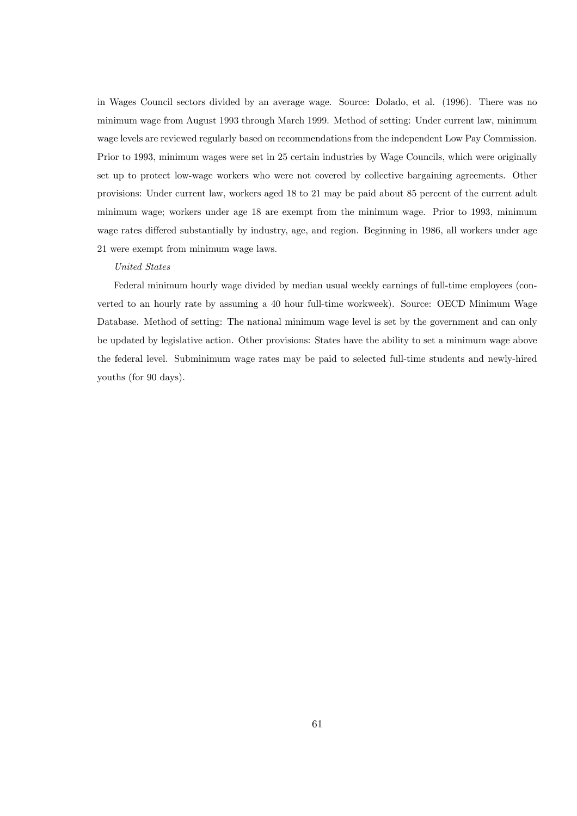in Wages Council sectors divided by an average wage. Source: Dolado, et al. (1996). There was no minimum wage from August 1993 through March 1999. Method of setting: Under current law, minimum wage levels are reviewed regularly based on recommendations from the independent Low Pay Commission. Prior to 1993, minimum wages were set in 25 certain industries by Wage Councils, which were originally set up to protect low-wage workers who were not covered by collective bargaining agreements. Other provisions: Under current law, workers aged 18 to 21 may be paid about 85 percent of the current adult minimum wage; workers under age 18 are exempt from the minimum wage. Prior to 1993, minimum wage rates differed substantially by industry, age, and region. Beginning in 1986, all workers under age 21 were exempt from minimum wage laws.

#### United States

Federal minimum hourly wage divided by median usual weekly earnings of full-time employees (converted to an hourly rate by assuming a 40 hour full-time workweek). Source: OECD Minimum Wage Database. Method of setting: The national minimum wage level is set by the government and can only be updated by legislative action. Other provisions: States have the ability to set a minimum wage above the federal level. Subminimum wage rates may be paid to selected full-time students and newly-hired youths (for 90 days).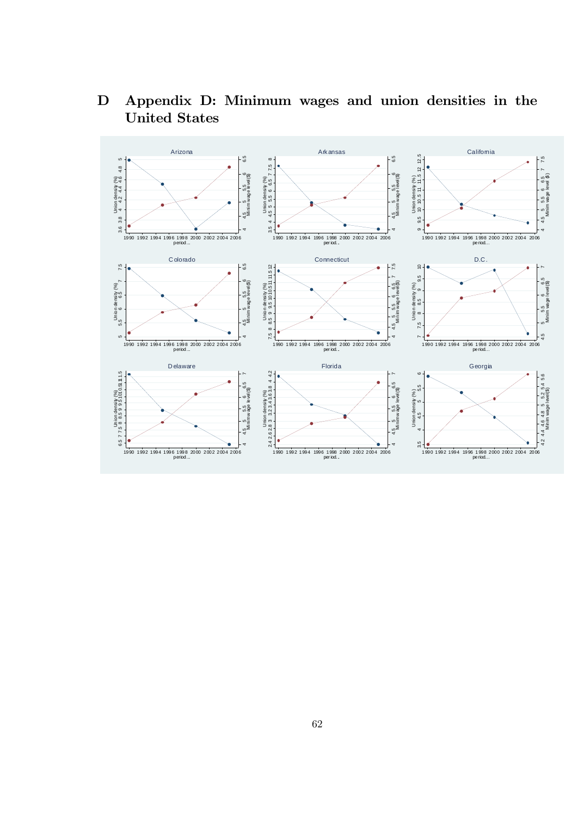

# D Appendix D: Minimum wages and union densities in the United States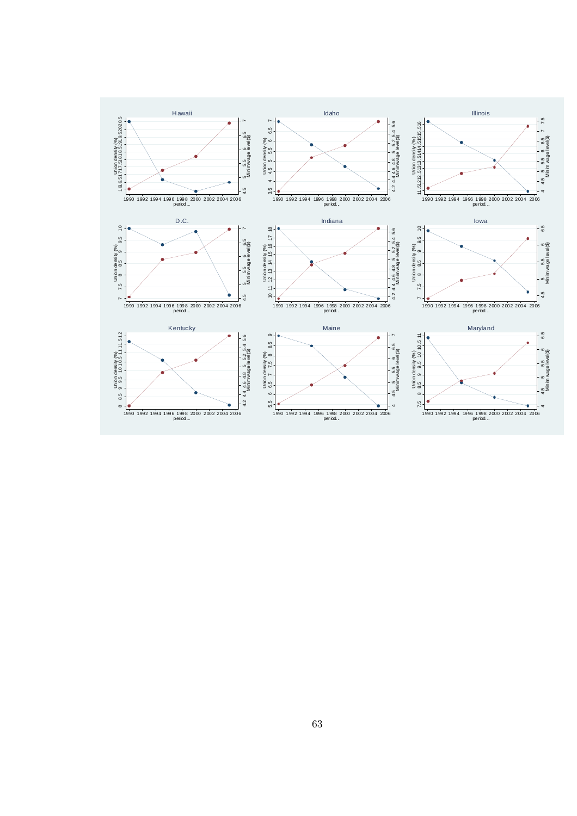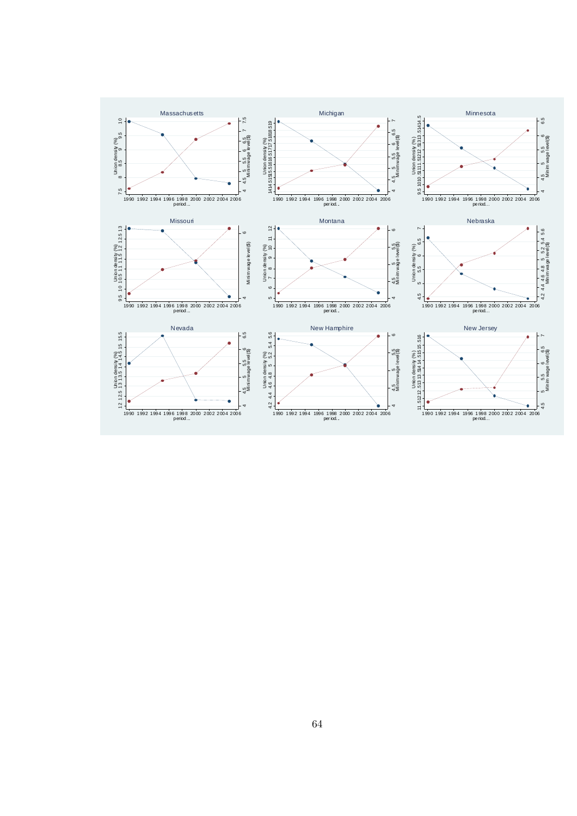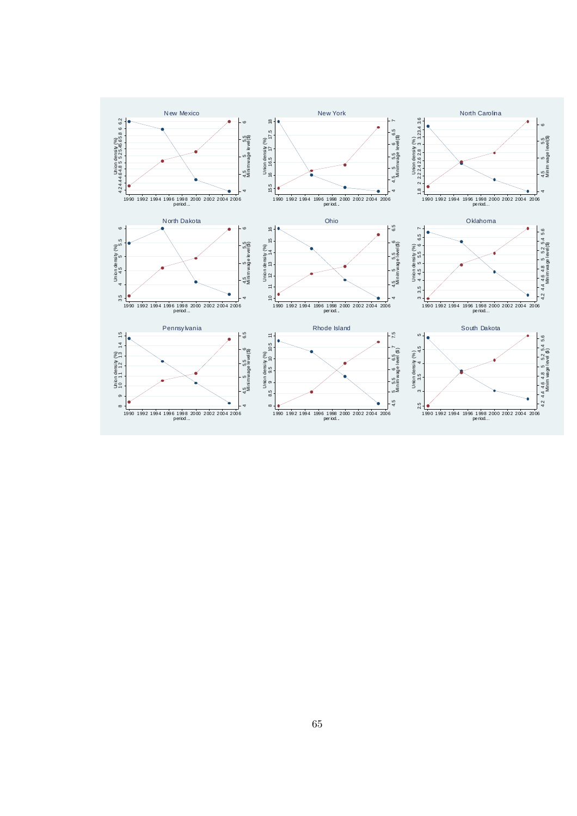